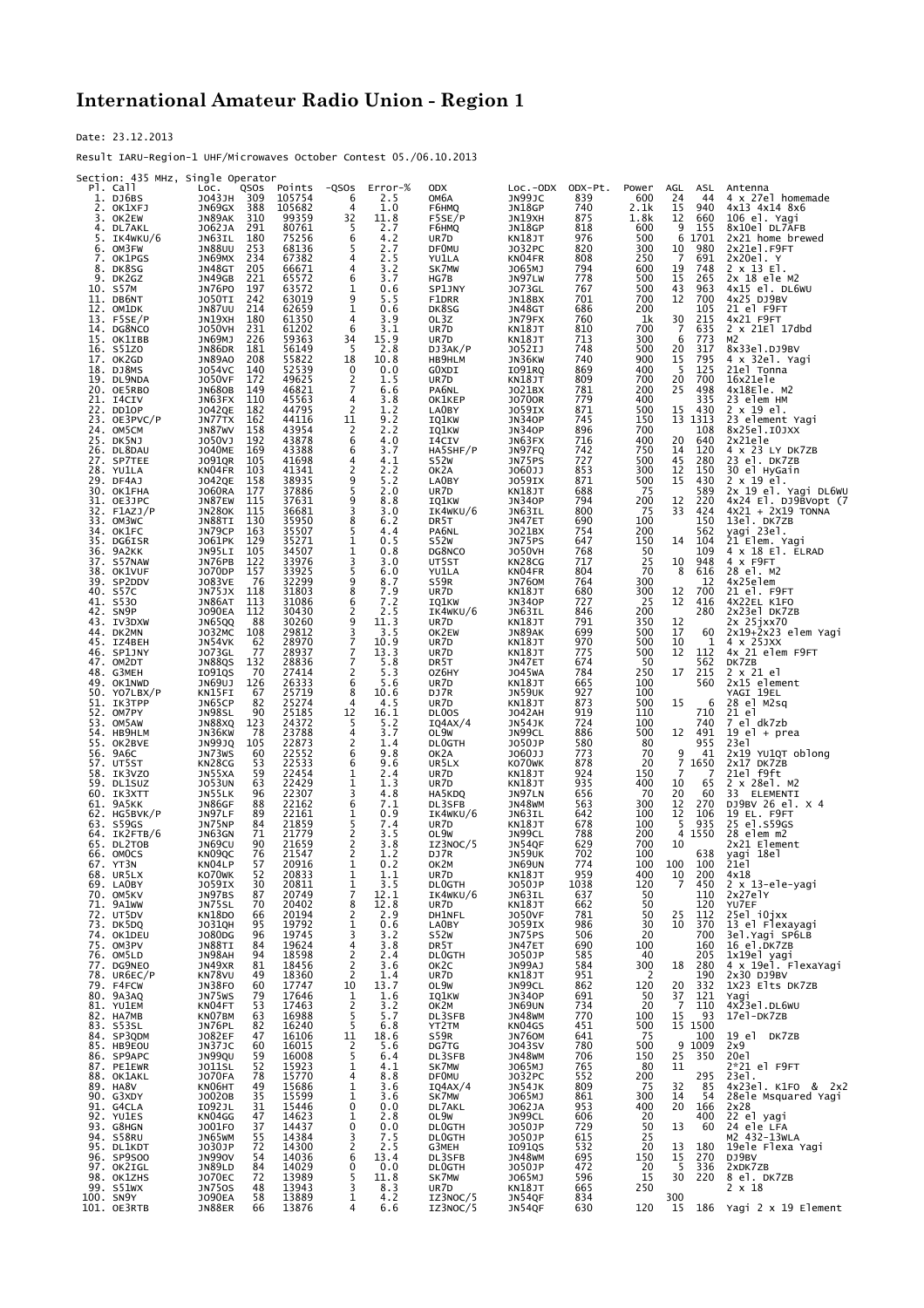## **International Amateur Radio Union - Region 1**

Date: 23.12.2013

Result IARU-Region-1 UHF/Microwaves October Contest 05./06.10.2013

| Section: 435 MHz, Single Operator  |                                       |                  |                     |                |                                  |                                   |                |              |                                  |                                             |
|------------------------------------|---------------------------------------|------------------|---------------------|----------------|----------------------------------|-----------------------------------|----------------|--------------|----------------------------------|---------------------------------------------|
| PI. Call<br>1. DJ6BS               | LOC.<br>QSOS<br>309<br>J043JH         | Points<br>105754 | -QSOS<br>6          | Error-%<br>2.5 | <b>ODX</b><br>ОМ6А               | $Loc.-ODX$<br>JN99JC              | ODX-Pt.<br>839 | Power<br>600 | AGL<br>ASL<br>24<br>44           | Antenna<br>4 x 27el homemade                |
| 2. OK1XFJ                          | JN69GX<br>388<br>JN89AK<br>310        | 105682<br>99359  | 4                   | 1.0<br>11.8    | F6HMQ<br>F5SE/P                  | JN18GP<br>JN19XH                  | 740<br>875     | 2.1k<br>1.8k | 15<br>940<br>12<br>660           | 4x13 4x14 8x6                               |
| 3. OK2EW<br>4. DL7AKL              | 291<br>J062JA                         | 80761            | $\frac{32}{5}$      | 2.7            | F6HMQ                            | JN18GP                            | 818            | 600          | 9<br>155                         | 106 el. Yagi<br>8x10el DL7AFB               |
| 5. IK4WKU/6<br>OM3FW<br>6.         | 180<br>JN63IL<br><b>JN88UU</b><br>253 | 75256<br>68136   | 6<br>5              | 4.2<br>2.7     | UR7D<br><b>DFOMU</b>             | KN18JT<br>J032PC                  | 976<br>820     | 500<br>300   | 6<br>1701<br>10<br>980           | 2x21 home brewed<br>2x21el.F9FT             |
| OK1PGS<br>7.                       | JN69MX<br>234                         | 67382            | 4                   | 2.5            | YU1LA                            | KN04FR                            | 808            | 250          | -7<br>691                        | 2x20el. Y                                   |
| DK8SG<br>8.<br>DK2GZ<br>9.         | JN48GT<br>205<br>JN49GB<br>221        | 66671<br>65572   | 4<br>6              | 3.2<br>3.7     | SK7MW<br>HG7B                    | J065MJ<br>JN97LW                  | 794<br>778     | 600<br>500   | 19<br>748<br>15<br>265           | $2 \times 13$ El.<br>2x 18 ele M2           |
| 10. S57M                           | JN76PO<br>197                         | 63572            | 1                   | 0.6            | SP1JNY                           | J073GL                            | 767            | 500          | 43<br>963                        | $4x15$ el. DL6WU                            |
| 11. DB6NT<br>12.<br>OM1DK          | 242<br>JO50TI<br><b>JN87UU</b><br>214 | 63019<br>62659   | 9<br>1              | 5.5<br>0.6     | F1DRR<br>DK8SG                   | JN18BX<br>JN48GT                  | 701<br>686     | 700<br>200   | 12<br>700<br>105                 | 4x25 DJ9BV<br>21 el F9FT                    |
| 13.<br>F5SE/P                      | JN19XH<br>180                         | 61350            | 4                   | 3.9            | OL3Z                             | JN79FX                            | 760            | 1k           | 30<br>215                        | 4x21 F9FT                                   |
| 14. DG8NCO<br>15. OK1IBB           | <b>JO50VH</b><br>231<br>226<br>JN69MJ | 61202<br>59363   | 6<br>34             | 3.1<br>15.9    | UR7D<br>UR7D                     | KN18JT<br>KN18JT                  | 810<br>713     | 700<br>300   | 7<br>635<br>773<br>6             | $2 \times 21E1$ 17dbd<br>M2                 |
| 16. S51ZO                          | JN86DR<br>181                         | 56149            | 5                   | 2.8            | DJ3AK/P                          | J052IJ                            | 748            | 500          | 20<br>317                        | 8x33el.DJ9BV                                |
| 17. OK2GD<br>18. DJ8MS             | <b>JN89AO</b><br>208<br>J054VC<br>140 | 55822<br>52539   | 18<br>0             | 10.8<br>0.0    | HB9HLM<br>G0XDI                  | JN36KW<br>I091RQ                  | 740<br>869     | 900<br>400   | 15<br>795<br>5<br>125            | 4 x 32el. Yagi<br>21el Tonna                |
| 19. DL9NDA                         | <b>JO50VF</b><br>172                  | 49625            | 2                   | 1.5            | UR7D                             | KN18JT                            | 809            | 700          | 20<br>700                        | 16x21ele                                    |
| 20. OE5RBO<br>21. I4CIV            | <b>JN680B</b><br>149<br>JN63FX<br>110 | 46821<br>45563   | 7<br>4              | 6.6<br>3.8     | PA6NL<br>OK1KEP                  | J021BX<br><b>JO700R</b>           | 781<br>779     | 200<br>400   | 25<br>498<br>335                 | 4x18Ele. M2<br>23 elem HM                   |
| 22. DD10P<br>23. OE3PVC/P          | J042QE<br>182<br>162                  | 44795<br>44116   | 2<br>11             | 1.2<br>9.2     | LA0BY                            | J059IX                            | 871<br>745     | 500<br>150   | 15<br>430<br>13 1313             | 2 x 19 el.<br>23 element Yagi               |
| 24. OM5CM                          | JN77TX<br>158<br>JN87WV               | 43954            | 2                   | 2.2            | IQ1KW<br>IQ1KW                   | <b>JN340P</b><br><b>JN340P</b>    | 896            | 700          | 108                              | 8x25e1.I0JXX                                |
| 25.<br>DK5NJ<br>26. DL8DAU         | 192<br>J050VJ<br><b>JO40ME</b><br>169 | 43878<br>43388   | 6<br>6              | 4.0<br>3.7     | I4CIV<br>HA5SHF/P                | JN63FX<br>JN97FQ                  | 716<br>742     | 400<br>750   | 20<br>640<br>14<br>120           | 2x21ele<br>4 x 23 LY DK7ZB                  |
| 27. SP7TEE                         | 105<br>J091QR                         | 41698            | 4                   | 4.1            | S52W                             | JN75PS                            | 727            | 500          | 45<br>280                        | 23 el. DK7ZB                                |
| 28. YU1LA<br>29. DF4AJ             | KN04FR<br>103<br>J042QE<br>158        | 41341<br>38935   | 2<br>9              | 2.2<br>5.2     | OK2A<br>LA0BY                    | J060JJ<br>J059IX                  | 853<br>871     | 300<br>500   | 150<br>12<br>15<br>430           | 30 el HyGain<br>2 x 19 el.                  |
| 30. OK1FHA                         | <b>JO60RA</b><br>177                  | 37886            | 5                   | 2.0            | UR7D                             | KN18JT                            | 688            | -75          | 589                              | 2x 19 el. Yagi DL6WU                        |
| 31. OE3JPC<br>$32.$ F $1$ AZJ $/P$ | JN87EW<br>115<br><b>JN280K</b><br>115 | 37631<br>36681   | 9<br>3              | 8.8<br>3.0     | IQ1KW<br>IK4WKU/6                | <b>JN340P</b><br>JN63IL           | 794<br>800     | 200<br>75    | 12<br>220<br>33<br>424           | 4x24 El. DJ9BVopt (7<br>$4x21 + 2x19$ TONNA |
| 33. OM3WC                          | JN88TI<br>130                         | 35950            | 8                   | 6.2            | DR5T                             | JN47ET                            | 690            | 100          | 150                              | 13el. DK7ZB<br>yagi 23el.                   |
| 34. OK1FC<br>35. DG6ISR            | JN79CP<br>163<br>129<br>J061PK        | 35507<br>35271   | 5<br>1              | 4.4<br>0.5     | PA6NL<br>S52W                    | J021BX<br>JN75PS                  | 754<br>647     | 200<br>150   | 562<br>14<br>104                 | 21 Elem. Yagi                               |
| 36.<br>9A2KK                       | JN95LI<br>105                         | 34507            | 1                   | 0.8            | DG8NCO                           | <b>JO50VH</b>                     | 768            | 50           | 109                              | 4 x 18 El. ELRAD                            |
| 37.<br>S57NAW<br>38. OK1VUF        | JN76PB<br>122<br>J070DP<br>157        | 33976<br>33925   | 3<br>5              | 3.0<br>6.0     | UT5ST<br>YU1LA                   | KN28CG<br>KN04FR                  | 717<br>804     | 25<br>70     | 10<br>948<br>616<br>8            | 4 X F9FT<br>28 el. M2                       |
| 39. SP2DDV                         | J083VE<br>76                          | 32299            | 9<br>8              | 8.7            | S59R                             | JN760M                            | 764            | 300          | 12                               | 4x25elem                                    |
| 40. S57C<br>41. S530               | JN75JX<br>118<br>JN86AT<br>113        | 31803<br>31086   | 6                   | 7.9<br>7.2     | UR7D<br>IQ1KW                    | KN18JT<br><b>JN340P</b>           | 680<br>727     | 300<br>25    | 12<br>700<br>12<br>416           | 21 el. F9FT<br>4X22EL K1FO                  |
| 42. SN9P                           | <b>JO90EA</b><br>112                  | 30430            | 2<br>9              | 2.5            | IK4WKU/6                         | JN63IL                            | 846            | 200          | 280                              | 2x23el DK7ZB                                |
| 43. IV3DXW<br>44. DK2MN            | JN65QQ<br>88<br>J032MC<br>108         | 30260<br>29812   | 3                   | 11.3<br>3.5    | UR7D<br>OK2EW                    | KN18JT<br>JN89AK                  | 791<br>699     | 350<br>500   | 12<br>17<br>60                   | 2x 25jxx70<br>2x19+2x23 elem Yagi           |
| 45. IZ4BEH<br>46. SP1JNY           | JN54VK<br>62<br>77<br>J073GL          | 28970<br>28937   | 7<br>$\overline{7}$ | 10.9<br>13.3   | UR7D<br>UR7D                     | KN18JT<br>KN18JT                  | 970<br>775     | 500<br>500   | 10<br>1<br>112<br>12             | $4 \times 25JXX$<br>4x 21 elem F9FT         |
| 47. OM2DT                          | 132<br>JN88QS                         | 28836            | 7                   | 5.8            | DR5T                             | JN47ET                            | 674            | 50           | 562                              | DK7ZB                                       |
| 48. G3MEH<br>49. OK1NWD            | I091QS<br>70<br>JN69UJ<br>126         | 27414<br>26333   | 2<br>6              | 5.3<br>5.6     | OZ6HY<br>UR7D                    | <b>JO45WA</b><br>KN18JT           | 784<br>665     | 250<br>100   | 17<br>215<br>560                 | 2 x 21 el<br>2x15 element                   |
| 50. YO7LBX/P                       | KN15FI<br>67                          | 25719            | 8                   | 10.6           | DJ7R                             | JN59UK                            | 927            | 100          |                                  | YAGI 19EL                                   |
| 51. IK3TPP<br>52. OM7PY            | 82<br>JN65CP<br>90<br>JN98SL          | 25274<br>25185   | 4<br>12             | 4.5<br>16.1    | UR7D<br>DL <sub>0</sub> OS       | KN18JT<br><b>JO42AH</b>           | 873<br>919     | 500<br>110   | 15<br>6<br>710                   | 28 el M2sq<br>21 el                         |
| 53. OM5AW                          | 123<br>JN88XQ                         | 24372            | 5                   | 5.2            | IQAAX/4                          | JN54JK                            | 724            | 100          | 740                              | 7 el dk7zb                                  |
| 54. HB9HLM<br>55.<br>OK2BVE        | JN36KW<br>78<br><b>JN99JQ</b><br>105  | 23788<br>22873   | 4<br>2              | 3.7<br>1.4     | OL9W<br><b>DLOGTH</b>            | JN99CL<br>J050JP                  | 886<br>580     | 500<br>80    | 12<br>491<br>955                 | $19$ el + prea<br>23e1                      |
| 9A6C<br>56.                        | JN73WS<br>60                          | 22552            | 6                   | 9.8            | OK2A                             | J060JJ                            | 773            | 70           | 9<br>41                          | 2x19 YU1QT oblong                           |
| 57. UT5ST<br>58. IK3VZO            | KN28CG<br>53<br>JN55XA<br>59          | 22533<br>22454   | 6<br>1              | 9.6<br>2.4     | UR5LX<br>UR7D                    | KO70WK<br>KN18JT                  | 878<br>924     | 20<br>150    | $\overline{7}$<br>1650<br>7<br>7 | 2x17 DK7ZB<br>21el f9ft                     |
| 59. DL1SUZ                         | <b>JO53UN</b><br>63                   | 22429            | 1<br>3              | 1.3            | UR7D                             | KN18JT                            | 935            | 400          | 10<br>65                         | 2 x 28el. M2                                |
| 60. IK3XTT<br>61. 9A5KK            | 96<br>JN55LK<br>88<br>JN86GF          | 22307<br>22162   | 6                   | 4.8<br>7.1     | HA5KDQ<br>DL3SFB                 | JN97LN<br>JN48WM                  | 656<br>563     | 70<br>300    | 20<br>60<br>12<br>270            | 33 ELEMENTI<br>DJ9BV 26 el. X 4             |
| 62. HG5BVK/P                       | JN97LF<br>89<br>JN75NP<br>84          | 22161<br>21859   | 1<br>5              | 0.9<br>7.4     | IK4WKU/6<br>UR7D                 | JN63IL                            | 642<br>678     | 100<br>100   | 12<br>106<br>5<br>935            | 19 EL. F9FT<br>25 el.s59GS                  |
| 63. S59GS<br>64. IK2FTB/6          | 71<br>JN63GN                          | 21779            | 2                   | 3.5            | OL9W                             | KN18JT<br>JN99CL                  | 788            | 200          | 4<br>1550                        | 28 elem m2                                  |
| 65. DL2TOB<br>66. OMOCS            | JN69CU<br>90<br>76<br>KN09QC          | 21659<br>21547   | 2<br>2              | 3.8<br>1.2     | IZ3NOC/5<br>DJ7R                 | JN54QF<br>JN59UK                  | 629<br>702     | 700<br>100   | 10<br>638                        | 2x21 Element<br>yagi 18el                   |
| 67.<br>YT3N                        | KN04LP<br>57                          | 20916            | 1                   | 0.2            | OK2M                             | JN69UN                            | 774            | 100          | 100<br>100                       | 21e1                                        |
| 68. UR5LX<br>69. LAOBY             | KO70WK<br>52<br>JO59IX<br>30          | 20833<br>20811   | 1<br>1              | 1.1<br>3.5     | UR7D<br><b>DLOGTH</b>            | KN18JT<br>J050JP                  | 959<br>1038    | 400<br>120   | 200<br>10<br>7<br>450            | 4x18<br>2 x 13-ele-yagi                     |
| 70. OM5KV                          | 87<br>JN97BS                          | 20749<br>20402   | $\overline{7}$      | 12.1           | IK4WKU/6                         | JN63IL<br>KN18JT                  | 637            | 50           | 110                              | 2x27elY                                     |
| 71. 9A1WW<br>72. UT5DV             | JN75SL<br>70<br>KN18DO<br>66          | 20194            | 8<br>$\overline{c}$ | 12.8<br>2.9    | UR7D<br>DH1NFL                   | <b>JO50VF</b>                     | 662<br>781     | 50<br>50     | 120<br>25<br>112                 | YU7EF<br>25el i0jxx                         |
| 73. DK5DQ                          | J031QH<br>95                          | 19792            | 1                   | 0.6            | LA0BY                            | <b>JO59IX</b><br>JN75PS<br>JN47ET | 986            | 30           | 10<br>370                        | 13 el Flexayagi                             |
| 74. OK1DEU<br>75. OM3PV            | J080DG<br>96<br>JN88TI<br>84          | 19745<br>19624   | 3<br>4              | 3.2<br>3.8     | <b>S52W</b><br>DR <sub>5</sub> T |                                   | 506<br>690     | 20<br>100    | 700<br>160                       | 3el.Yagi SP6LB<br>16 el.DK7ZB               |
| 76. OM5LD                          | JN98AH<br>94                          | 18598            | $\overline{c}$      | 2.4            | <b>DLOGTH</b>                    | J050JP                            | 585            | 40           | 205                              | 1x19el yagi<br>4 x 19el. FlexaYagi          |
| 77. DG9NEO<br>78. UR6EC/P          | JN49XR<br>81<br>KN78VU<br>49          | 18456<br>18360   | $\frac{2}{2}$       | 3.6<br>1.4     | OK <sub>2</sub> C<br>UR7D        | JN99AJ<br>KN18JT                  | 584<br>951     | 300<br>2     | 280<br>18<br>190                 | 2x30 DJ9BV                                  |
| 79. F4FCW                          | JN38FO<br>60                          | 17747            | 10                  | 13.7           | OL9W                             | JN99CL                            | 862            | 120          | 20<br>332                        | 1X23 Elts DK7ZB                             |
| 80. 9A3AQ<br>81. YU1EM             | JN75WS<br>79<br>KN04FT<br>53          | 17646<br>17463   | 1<br>$\overline{c}$ | 1.6<br>3.2     | IQ1KW<br>OK <sub>2M</sub>        | <b>JN340P</b><br><b>JN69UN</b>    | 691<br>734     | 50<br>20     | $\frac{37}{7}$<br>121<br>110     | Yagi<br>4x23e1.DL6WU                        |
| 82. HA7MB<br>83. S53SL             | KN07BM<br>63<br>JN76PL<br>82          | 16988<br>16240   | 5<br>5              | 5.7            | DL3SFB<br>YT2TM                  | JN48WM<br>KN04GS                  | 770<br>451     | 100<br>500   | 15<br>93<br>15 1500              | 17el-DK7ZB                                  |
| 84. SP3QDM                         | 47<br>J082EF                          | 16106            | 11                  | 6.8<br>18.6    | S59R                             | <b>JN760M</b>                     | 641            | 75           | 100                              | 19 el DK7ZB                                 |
| 85. HB9EOU                         | JN37JC<br>60<br>JN99QU<br>59          | 16015<br>16008   | $\frac{2}{5}$       | 5.6<br>6.4     | DG7TG<br>DL3SFB                  | J043SV<br><b>JN48WM</b>           | 780<br>706     | 500<br>150   | 9 1009<br>25 350                 | 2x9<br>20e1                                 |
| 86. SP9APC<br>87. PE1EWR           | 52<br>J011SL                          | 15923<br>15770   | $\mathbf{1}$        | 4.1            | SK7MW                            | J065MJ                            | 765            | 80           | 11                               | $2*21$ el F9FT                              |
| 88. OK1AKL<br>89. HA8V             | <b>JO70FA</b><br>78<br>KN06HT<br>49   | 15686            | 4<br>1              | 8.8<br>3.6     | <b>DF0MU</b><br>IQ4AX/4          | <b>JO32PC</b><br>JN54JK           | 552<br>809     | 200<br>75    | 295<br>32<br>85                  | 23el.<br>4x23el. K1FO & 2x2                 |
| 90. G3XDY                          | J0020B<br>35                          | 15599            | $\mathbf{1}$        | 3.6            | SK7MW                            | J065MJ                            | 861            | 300          | 14<br>54                         | 28ele Msquared Yagi                         |
| 91. G4CLA<br>92. YU1ES             | I092JL<br>31<br>KN04GG<br>47          | 15446<br>14623   | 0<br>1              | 0.0<br>2.8     | DL7AKL<br>OL9W                   | J062JA<br>JN99CL                  | 953<br>606     | 400<br>20    | 20<br>166<br>400                 | 2x28<br>22 el yagi                          |
| 93. G8HGN                          | J001F0<br>37                          | 14437            | 0                   | 0.0            | DL0GTH                           | J050JP                            | 729            | 50           | 13<br>60                         | 24 ele LFA                                  |
| 94. S58RU<br>95. DL1KDT            | 55<br>JN65WM<br>J030JP<br>72          | 14384<br>14300   | 3<br>2              | 7.5<br>2.5     | DL0GTH<br>G3MEH                  | J050JP<br>I091QS                  | 615<br>532     | 25<br>20     | 13<br>180                        | M2 432-13WLA<br>19ele Flexa Yagi            |
| 96. SP9S00                         | 54<br><b>JN990V</b>                   | 14036            | 6                   | 13.4           | DL3SFB                           | <b>JN48WM</b>                     | 695            | 150          | 15<br>270                        | DJ9BV                                       |
| 97. OK2IGL<br>98. OK1ZHS           | JN89LD<br>84<br>J070EC<br>72          | 14029<br>13989   | 0<br>5              | 0.0<br>11.8    | <b>DLOGTH</b><br>SK7MW           | J050JP                            | 472<br>596     | 20<br>15     | $\frac{5}{30}$<br>336<br>220     | 2xDK7ZB<br>8 el. DK7ZB                      |
| 99. S51WX                          | <b>JN750S</b><br>48                   | 13943            | 3                   | 8.3            | UR7D                             | 1065MJ<br>KN18JT                  | 665            | 250          |                                  | $2 \times 18$                               |
| 100. SN9Y<br>101. OE3RTB           | <b>JO90EA</b><br>58<br>JN88ER<br>66   | 13889<br>13876   | 1<br>4              | 4.2<br>6.6     | IZ3NOC/5<br>IZ3NOC/5             | JN54QF<br>JN54QF                  | 834<br>630     | 120          | 300<br>15                        | 186 Yagi 2 x 19 Element                     |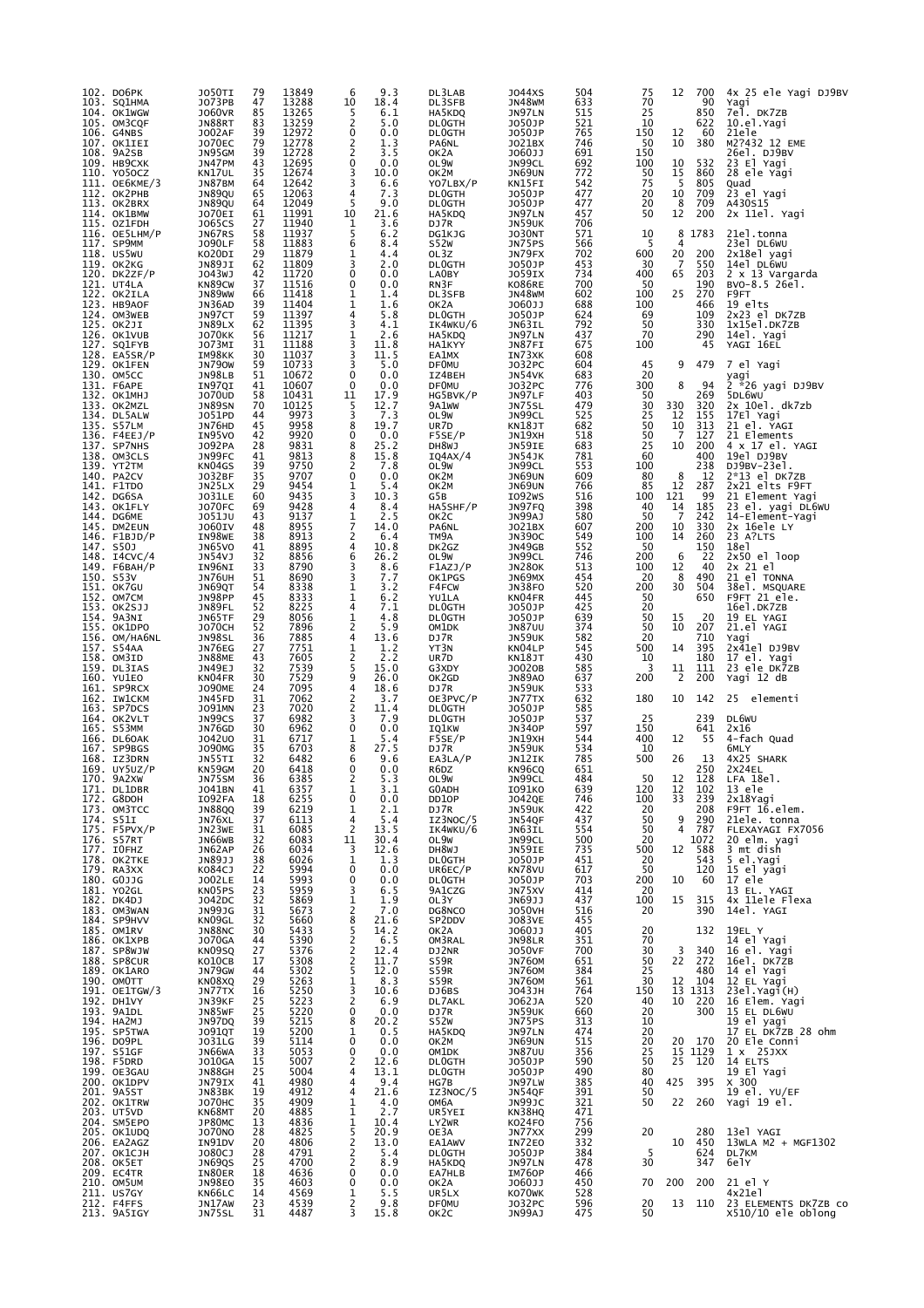|      | 102. DO6PK<br>103. SQ1HMA                | JO50TI<br>J073PB                  | 79<br>47                                | 13849<br>13288 | 9.3<br>6<br>18.4<br>10                      | DL3LAB<br>DL3SFB               | J044XS<br>JN48WM                         | 504<br>633               | 75<br>70              | 12                  | 700<br>90       | 4x 25 ele Yagi DJ9BV<br>Yagi         |
|------|------------------------------------------|-----------------------------------|-----------------------------------------|----------------|---------------------------------------------|--------------------------------|------------------------------------------|--------------------------|-----------------------|---------------------|-----------------|--------------------------------------|
|      | 104. OK1WGW<br>105. OM3CQF               | <b>JO60VR</b><br>JN88RT           | 85<br>83                                | 13265<br>13259 | 5<br>6.1<br>2<br>5.0                        | HA5KDQ<br><b>DLOGTH</b>        | JN97LN<br>J050JP                         | 515<br>521               | 25<br>10              |                     | 850<br>622      | 7el. DK7ZB<br>10.el.Yagi             |
|      | 106. G4NBS                               | JO02AF                            | 39                                      | 12972          | 0.0<br>0                                    | <b>DLOGTH</b>                  | J050JP                                   | 765                      | 150                   | 12                  | 60              | 21ele                                |
|      | 107. OK1IEI<br>108. 9A2SB                | <b>JO70EC</b><br>JN95GM           | 79<br>39                                | 12778<br>12728 | 2<br>1.3<br>2<br>3.5                        | PA6NL<br>OK2A                  | J021BX<br>J060JJ                         | 746<br>691               | 50<br>150             | 10                  | 380             | M2?432 12 EME<br>26el. DJ9BV         |
|      | 109. НВ9СХК<br>110. YO5OCZ               | JN47PM<br>KN17UL                  | 43<br>35                                | 12695<br>12674 | 0<br>0.0<br>3<br>10.0                       | OL9W<br>ок2м                   | JN99CL<br>JN69UN                         | 692<br>772               | 100<br>50             | 10<br>15            | 532<br>860      | 23 El Yagi<br>28 ele Yagi            |
|      | 111. OE6KME/3<br>112. ОК2РНВ             | JN87BM<br><b>JN89QU</b>           | 64<br>65                                | 12642<br>12063 | 3<br>6.6<br>7.3<br>4                        | YO7LBX/P<br><b>DLOGTH</b>      | KN15FI<br>J050JP                         | 542<br>477               | 75<br>20              | 5<br>10             | 805<br>709      | Quad<br>23 el Yagi                   |
|      | 113. OK2BRX                              | <b>JN89QU</b>                     | 64                                      | 12049          | 5<br>9.0                                    | <b>DLOGTH</b>                  | J050JP                                   | 477                      | 20                    | 8                   | 709             | A430S15                              |
|      | 114. OK1BMW<br>115. OZ1FDH               | JO70EI<br>J065CS                  | 61<br>27                                | 11991<br>11940 | 21.6<br>10<br>1<br>3.6                      | HA5KDQ<br>DJ7R                 | JN97LN<br>JN59UK                         | 457<br>706               | 50                    | 12                  | 200             | 2x 11el. Yagi                        |
|      | $116.$ OE5LHM/P<br>117. SP9MM            | JN67RS<br><b>JO90LF</b>           | 58<br>58                                | 11937<br>11883 | 5<br>6.2<br>6<br>8.4                        | DG1KJG<br>S52W                 | <b>JO30NT</b><br>JN75PS                  | 571<br>566               | 10<br>5               | 8<br>4              | 1783            | 21el.tonna<br>23el DL6WU             |
|      | 118. US5WU<br>119. OK2KG                 | KO20DI<br>JN89JI                  | 29<br>62                                | 11879<br>11809 | 1<br>4.4<br>3<br>2.0                        | OL3Z<br><b>DLOGTH</b>          | JN79FX<br>J050JP                         | 702<br>453               | 600<br>30             | 20<br>7             | 200<br>550      | 2x18el yagi<br>14el DL6WU            |
|      | 120. DK2ZF/P                             | J043WJ                            | 42                                      | 11720          | 0<br>0.0                                    | LA0BY                          | J059IX                                   | 734                      | 400                   | 65                  | 203             | 2 x 13 Vargarda                      |
|      | 121. UT4LA<br>122. OK2ILA                | KN89CW<br>JN89WW                  | 37<br>66                                | 11516<br>11418 | 0<br>0.0<br>1<br>1.4                        | RN3F<br>DL3SFB                 | KO86RE<br>JN48WM                         | 700<br>602               | 50<br>100             | 25                  | 190<br>270      | BVO-8.5 26el.<br>F <sub>9F</sub> T   |
|      | 123. HB9AOF<br>124. OM3WEB               | JN36AD<br>JN97CT                  | 39<br>59                                | 11404<br>11397 | $\mathbf 1$<br>1.6<br>5.8<br>4              | OK2A<br><b>DLOGTH</b>          | J060JJ<br>J050JP                         | 688<br>624               | 100<br>69             |                     | 466<br>109      | 19 elts<br>2x23 el DK7ZB             |
|      | 125. OK2JI<br>126. OK1VUB                | JN89LX<br><b>JO70KK</b>           | 62<br>56                                | 11395<br>11217 | 3<br>4.1<br>1<br>2.6                        | IK4WKU/6<br>HA5KDQ             | JN63IL<br>JN97LN                         | 792<br>437               | 50<br>70              |                     | 330<br>290      | 1x15el.DK7ZB<br>14el. Yagi           |
|      | 127. SQ1FYB                              | JO73MI                            | 31                                      | 11188          | 3<br>11.8                                   | HA1KYY                         | JN87FI                                   | 675                      | 100                   |                     | 45              | YAGI 16EL                            |
|      | 128. EA5SR/P<br>129. OK1FEN              | IM98KK<br>JN790W                  | 30<br>59                                | 11037<br>10733 | 3<br>11.5<br>5.0<br>3                       | EA1MX<br><b>DF0MU</b>          | IN73XK<br>J032PC                         | 608<br>604               | 45                    | 9                   | 479             | 7 el Yagi                            |
|      | 130. OM5CC<br>131. F6APE                 | JN98LB<br>IN97QI                  | 51<br>41                                | 10672<br>10607 | 0<br>0.0<br>0<br>0.0                        | IZ4BEH<br><b>DF0MU</b>         | JN54VK<br>J032PC                         | 683<br>776               | 20<br>300             | 8                   | 94              | yagı                                 |
|      | 132. OK1MHJ<br>133. OK2MZL               | J070UD<br>JN89SN                  | 58<br>70                                | 10431<br>10125 | 17.9<br>11<br>5<br>12.7                     | HG5BVK/P<br>9A1ww              | JN97LF<br>JN75SL                         | 403<br>479               | 50<br>30              | 330                 | 269<br>320      | 5DL6WU<br>$2x$ 10el. $dk7zb$         |
|      | 134. DL5ALW                              | J051PD                            | 44                                      | 9973           | 3<br>7.3                                    | OL9W                           | JN99CL                                   | 525                      | 25                    | 12                  | 155             | 17El Yagi                            |
|      | 135. S57LM<br>$136.$ F4EEJ/P             | JN76HD<br>IN95VO                  | 45<br>42                                | 9958<br>9920   | 8<br>19.7<br>0<br>0.0                       | UR7D<br>F5SE/P                 | KN18JT<br>JN19XH                         | 682<br>518               | 50<br>50              | 10<br>-7            | 313<br>127      | 21 el. YAGI<br>21 Elements           |
|      | 137. SP7NHS<br>138. OM3CLS               | J092PA<br>JN99FC                  | 28<br>41                                | 9831<br>9813   | 25.2<br>8<br>8<br>15.8                      | DH8WJ<br>IQ4AX/4               | JN59IE<br>JN54JK                         | 683<br>781               | 25<br>60              | 10                  | 200<br>400      | 4 x 17 el. YAGI<br>19el DJ9BV        |
|      | 139. YT2TM<br>140. PA2CV                 | KN04GS<br>J032BF                  | 39<br>35                                | 9750<br>9707   | 2<br>7.8<br>0<br>0.0                        | OL9W<br>OK2M                   | JN99CL<br>JN69UN                         | 553<br>609               | 100<br>80             | 8                   | 238<br>12       | DJ9BV-23e1<br>$2*13$ el DK7ZB        |
|      | 141. F1TDO                               | JN25LX                            | 29                                      | 9454           | 5.4<br>1                                    | OK2M                           | JN69UN                                   | 766                      | 85                    | 12                  | 287             | 2x21 elts F9FT                       |
|      | 142. DG6SA<br>143. OK1FLY                | J031LE<br><b>JO70FC</b>           | 60<br>69                                | 9435<br>9428   | 3<br>10.3<br>4<br>8.4                       | G5B<br>HA5SHF/P                | I092WS<br>JN97FQ                         | 516<br>398               | 100<br>40             | 121<br>14           | 99<br>185       | 21 Element Yagi<br>23 el. yagi DL6WU |
|      | 144. DG6ME<br>145. DM2EUN                | J051JU<br>J060IV                  | 43<br>48                                | 9137<br>8955   | 2.5<br>1<br>7<br>14.0                       | OK2C<br>PA6NL                  | JN99AJ<br>J021BX                         | 580<br>607               | 50<br>200             | -7<br>10            | 242<br>330      | 14-Element-Yagi<br>2x 16ele LY       |
| 147. | 146. F1BJD/P<br><b>S50J</b>              | IN98WE<br>JN65VO                  | 38<br>41                                | 8913<br>8895   | 2<br>6.4<br>4<br>10.8                       | TM9A<br>DK2GZ                  | JN390C<br>JN49GB                         | 549<br>552               | 100<br>50             | 14                  | 260<br>150      | 23 A?LTS<br>18e1                     |
|      | 148. I4CVC/4                             | JN54VJ                            | 32                                      | 8856           | 6<br>26.2                                   | OL9W                           | JN99CL                                   | 746                      | 200                   | 6                   | 22              | $2x50$ el $loop$                     |
|      | 149. Г6ВАН/Р<br>150. S53V                | IN96NI<br>JN76UH                  | 33<br>51                                | 8790<br>8690   | 8.6<br>3<br>3<br>7.7                        | F1AZJ/P<br>OK1PGS              | <b>JN280K</b><br>JN69MX                  | 513<br>454               | 100<br>20             | 12<br>8             | 40<br>490       | 2x 21 el<br>21 el TONNA              |
|      | 151. OK7GU<br>152. OM7CM                 | JN69QT<br>JN98PP                  | 54<br>45                                | 8338<br>8333   | 1<br>3.2<br>1<br>6.2                        | F4FCW<br>YU1LA                 | JN38FO<br>KN04FR                         | 520<br>445               | 200<br>50             | 30                  | 504<br>650      | 38el. MSQUARE<br>F9FT 21 ele.        |
| 154. | 153. OK2SJJ<br>9A3NI                     | JN89FL<br>JN65TF                  | 52<br>29                                | 8225<br>8056   | 4<br>7.1<br>1<br>4.8                        | <b>DLOGTH</b><br><b>DLOGTH</b> | J050JP<br>J050JP                         | 425<br>639               | 20<br>50              | 15                  | 20              | 16el.DK7ZB<br>19 EL YAGI             |
|      | 155. OK1DPO                              | <b>JO70CH</b>                     | 52                                      | 7896           | $\overline{2}$<br>5.9                       | OM1DK                          | <b>JN87UU</b>                            | 374                      | 50                    | 10                  | 207             | 21.el YAGI                           |
|      | 156. OM/HA6NL<br>157. S54AA              | JN98SL<br>JN76EG                  | 36<br>27                                | 7885<br>7751   | 4<br>13.6<br>1<br>1.2                       | DJ7R<br>YT3N                   | JN59UK<br>KN04LP                         | 582<br>545               | 20<br>500             | 14                  | 710<br>395      | Yagi<br>2x41el DJ9BV                 |
|      | 158. OM3ID<br>159. DL3IAS                | JN88ME<br>JN49EJ                  | 43<br>32                                | 7605<br>7539   | $\overline{c}$<br>2.2<br>5<br>15.0          | UR7D<br>G3XDY                  | KN18JT<br>J0020B                         | 430<br>585               | 10<br>3               | 11                  | 180<br>111      | 17 el. Yagi<br>23 ele DK7ZB          |
|      | 160. YU1EO<br>161. SP9RCX                | KN04FR<br><b>JO90ME</b>           | 30<br>24                                | 7529<br>7095   | 9<br>26.0<br>4<br>18.6                      | OK2GD<br>DJ7R                  | <b>JN89AO</b><br>JN59UK                  | 637<br>533               | 200                   | $\overline{2}$      | 200             | Yagi 12 dB                           |
|      | 162. IW1CKM<br>163. SP7DCS               | JN45FD<br><b>JO91MN</b>           | 31<br>23                                | 7062<br>7020   | 2<br>3.7                                    | OE3PVC/P                       | JN77TX                                   | 632<br>585               | 180                   | 10                  | 142             | 25 elementi                          |
|      | 164. OK2VLT                              | JN99CS                            | 37                                      | 6982           | 2<br>11.4<br>3<br>7.9                       | <b>DLOGTH</b><br><b>DLOGTH</b> | J050JP<br>J050JP                         | 537                      | 25                    |                     | 239             | DL6WU                                |
|      | 165. S53MM<br>166. DL60AK                | JN76GD<br>J042U0                  | 30<br>31                                | 6962<br>6717   | 0<br>0.0<br>5.4<br>1                        | IQ1KW<br>F5SE/P                | <b>JN340P</b><br>JN19XH                  | 597<br>544               | 150<br>400            | 12                  | 641<br>55       | 2x16<br>4-fach Quad                  |
|      | 167. SP9BGS<br>168. IZ3DRN               | <b>JO90MG</b><br>JN55TI           | 35<br>32                                | 6703<br>6482   | 8<br>27.5<br>6<br>9.6                       | DJ7R<br>EA3LA/P                | JN59UK<br>JN12IK                         | 534<br>785               | 10<br>500             | 26                  | 13              | 6MLY<br>4X25 SHARK                   |
|      | $169.$ UY5UZ/P<br>170. 9A2XW             | KN59GM<br>JN75SM                  | 20<br>36                                | 6418<br>6385   | 0<br>0.0<br>2<br>5.3                        | R6DZ<br>OL9W                   | KN96CO<br>JN99CL                         | 651<br>484               | 50                    | 12                  | 250<br>128      | 2X24EL<br>LFA 18el.                  |
|      | 171. DL1DBR                              | J041BN                            | 41                                      | 6357<br>6255   | 3.1<br>Ŧ<br>0.0<br>0                        | G0ADH                          | <b>IO91KO</b>                            | 639                      | 120                   | 12<br>33            | 102             | 13 ele                               |
|      | 172. G8DOH<br>173. OM3TCC                | I092FA<br><b>JN88QQ</b>           | 18<br>39<br>37                          | 6219           | $\frac{2}{5}.1$<br>1                        | DD10P<br>DJ7R                  | 3042QE<br>3N59UK                         | 746<br>$\frac{422}{437}$ | 100<br>20             |                     | 239<br>208      | 2x18Yagi<br>F9FT 16.elem.            |
|      | 174. S51I<br>175. F5PVX/P                | JN76XL<br>JN23WE                  | 31                                      | 6113<br>6085   | 4<br>$\overline{2}$<br>13.5                 | IZ3NOC/5<br>IK4WKU/6           | JN54QF<br>JN63IL                         | 554                      | 50<br>50              | 9<br>$\overline{4}$ | 290<br>787      | 21ele. tonna<br>FLEXAYAGI FX7056     |
|      | 176. S57RT<br>177. IOFHZ                 | JN66WB<br>JN62AP                  | 32<br>26                                | 6083<br>6034   | 30.4<br>11<br>12.6<br>3                     | OL9W<br>DH8WJ                  | JN99CL<br>JN59IE                         | 500<br>735               | 20<br>500             | 12                  | 1072<br>588     | 20 elm. yagi<br>3 mt dish            |
|      | 178. OK2TKE<br>179. RA3XX                | JN89JJ<br>K084CJ                  | $\frac{38}{22}$                         | 6026<br>5994   | $\mathbf 1$<br>1.3<br>0.0<br>0              | <b>DLOGTH</b><br>UR6EC/P       | J050JP<br>KN78VU                         | 451<br>617               | 20<br>50              |                     | 543<br>120      | 5 el.Yagi<br>15 el yagi              |
|      | 180. GOJJG                               | J002LE                            | 14                                      | 5993           | 0<br>0.0                                    | <b>DLOGTH</b>                  | J050JP                                   | 703                      | 200                   | 10                  | 60              | 17 ele                               |
|      | 181. YO2GL<br>182. DK4DJ                 | KN05PS<br>J042DC                  | $\begin{array}{c} 23 \\ 32 \end{array}$ | 5959<br>5869   | 3<br>6.5<br>1<br>1.9                        | 9A1CZG<br>OL3Y                 | JN75XV<br>ננ6ַ9ֿאנ                       | 414<br>437               | 20<br>100             | 15                  | 315             | 13 EL. YAGI<br>4x 11ele Flexa        |
|      | 183. OM3WAN                              | JN99JG                            | 31<br>32                                | 5673<br>5660   | 2<br>7.0                                    | DG8NCO<br>SP2DDV               | <b>JO50VH</b>                            | 516                      | 20                    |                     | 390             | 14el. YAGI                           |
|      | 184. SP9HVV<br>185. OM1RV<br>186. OK1XPB | KNO9GL<br>JN88NC<br><b>JO70GA</b> | 30<br>44                                | 5433<br>5390   | $\frac{8}{5}$<br>$21.6$<br>14.2<br>2<br>6.5 | OK2A<br>OM3RAL                 | 1083VE<br>106011<br>JN98LR               | $455$<br>$405$<br>351    | 20<br>70              |                     | 132             | 19EL Y<br>14 el Yagi                 |
|      | 187. SP8WJW                              | KN09SQ                            | $^{27}_{17}$                            | 5376           | $\frac{2}{2}$<br>$\frac{12.4}{11.7}$        | DJ2NR                          | <b>JO50VF</b>                            | 700                      | 30<br>50              | 3<br>22             | 340<br>272      | 16 el. Yagi                          |
|      | 188. SP8CUR<br>189. OK1ARO               | KO10CB<br>JN79GW                  | 44                                      | 5308<br>5302   | 12.0<br>5                                   | S59R<br><b>S59R</b>            | <b>JN760M</b><br><b>JN760M</b>           | 651<br>384               | 25                    |                     | 480             | 16el. DK7ZB<br>14 el Yagi            |
|      | 190. OMOTT<br>191. OE1TGW/3              | KNO8XQ<br>JN77TX                  | $\frac{29}{16}$                         | 5263<br>5250   | $\frac{1}{3}$<br>8.3<br>10.6                | <b>S59R</b><br>DJ6BS           | <b>JN760M</b><br>J043JH                  | 561<br>764               | 30<br>150             | 12                  | 104<br>13 13 13 | 12 EL Yagi<br>$23e$ ]. $Yag'$ $(H)$  |
|      | 192. DH1VY<br>193. 9A1DL                 | JN39KF<br>JN85WF                  | 25<br>25                                | 5223<br>5220   | 2<br>6.9<br>0<br>0.0                        | DL7AKL<br>DJ7R                 | J062JA                                   | 520<br>660               | 40<br>20              | 10                  | 220<br>300      | 16 Elem. Yagi                        |
|      | 194. HA2MJ                               | JN97DQ                            | $\overline{39}$                         | 5215           | 8<br>20.2                                   | S52W                           | JN59UK<br>JN75PS                         | 313                      | 10                    |                     |                 | 15 EL DL6WU<br>19 el yagi            |
|      | 195. SP5TWA<br>196. DO9PL                | J091QT<br>J031LG                  | 19<br>39                                | 5200<br>5114   | 0.5<br>1<br>0<br>0.0                        | HA5KDQ<br>OK2M                 | JN97LN<br><b>JN69UN</b><br><b>JN87UU</b> | 474<br>515               | 20<br>20              | 20                  | 170             | 17 EL DK7ZB 28 ohm<br>20 Ele Conni   |
|      | 197. S51GF<br>198. F5DRD                 | JN66WA<br>J010GA                  | 33<br>15                                | 5053<br>5007   | 0.0<br>0<br>2<br>12.6                       | OM1DK<br>DL0GTH                | J050JP                                   | 356<br>590               | $\overline{25}$<br>50 | 15<br>25            | 1129<br>120     | $\overline{1}$ x 25 JXX              |
|      | 199. OE3GAU<br>200. OK1DPV               | JN88GH<br>JN79IX                  | 25<br>41                                | 5004<br>4980   | 13.1<br>4<br>9.4<br>4                       | DL0GTH<br>HG7B                 | <b>JO50JP</b><br>JN97LW                  | 490<br>385               | 80<br>40              | 425                 | 395             | 14 ELTS<br>19 El Yagi<br>X 300       |
|      | 201. 9A5ST<br>202. OK1TRW                | JN83BK<br><b>JO70HC</b>           | 19<br>35                                | 4912<br>4909   | 21.6<br>4<br>$\mathbf{1}$<br>4.0            | IZ3NOC/5<br>ОМ6А               | JN54QF                                   | 391<br>321               | 50<br>50              | 22                  | 260             | 19 el. YU/EF<br>Yagi 19 el.          |
|      | 203. UT5VD                               | KN68MT                            | 20                                      | 4885           | 2.7<br>$\mathbf{1}$                         | UR5YEI                         | JN99JC<br>KN38HQ                         | 471                      |                       |                     |                 |                                      |
|      | 204. SM5EPO<br>205. OK1UDQ               | JP80MC<br>J070NO                  | 13<br>28                                | 4836<br>4825   | $\frac{1}{5}$<br>10.4<br>20.9               | LY2WR<br>OE3A                  | KO24FO<br>JN77XX                         | 756<br>299               | 20                    |                     | 280             | 13el YAGI                            |
|      | 206. EA2AGZ<br>207. ОК1СЈН               | IN91DV<br>J080CJ                  | $\overline{20}$<br>28                   | 4806<br>4791   | 13.0<br>5.4<br>2                            | EA1AWV<br>DL0GTH               | IN72E0<br>J050JP                         | 332<br>384               | 5                     | 10                  | 450<br>624      | 13WLA M2 + MGF1302<br>DL7KM          |
|      | 208. OK5ET<br>209. EC4TR                 | JN69QS<br>IN80ER                  | 25<br>$\overline{18}$                   | 4700<br>4636   | $\overline{c}$<br>8.9<br>0.0<br>0           | HA5KDQ<br>EA7HLB               | JN97LN<br>IM760P                         | 478<br>466               | 30                    |                     | 347             | 6elY                                 |
|      | 210. OM5UM                               | <b>JN98EO</b>                     | 35                                      | 4603           | 0<br>0.0                                    | OK2A                           | J060JJ                                   | 450                      | 70                    | 200                 | 200             | 21 el Y                              |
|      | 211. US7GY<br>212. F4FFS                 | KN66LC<br>JN17AW                  | 14<br>23                                | 4569<br>4539   | 5.5<br>1<br>9.8<br>2                        | UR5LX<br><b>DF0MU</b>          | KO70WK<br>J032PC                         | 528<br>596               | 20                    | 13                  | 110             | 4x21e1<br>23 ELEMENTS DK7ZB CO       |
|      | 213. 9A5IGY                              | JN75SL                            | 31                                      | 4487           | 3<br>15.8                                   | OK <sub>2</sub> C              | JN99AJ                                   | 475                      | 50                    |                     |                 | $x510/10$ ele oblong                 |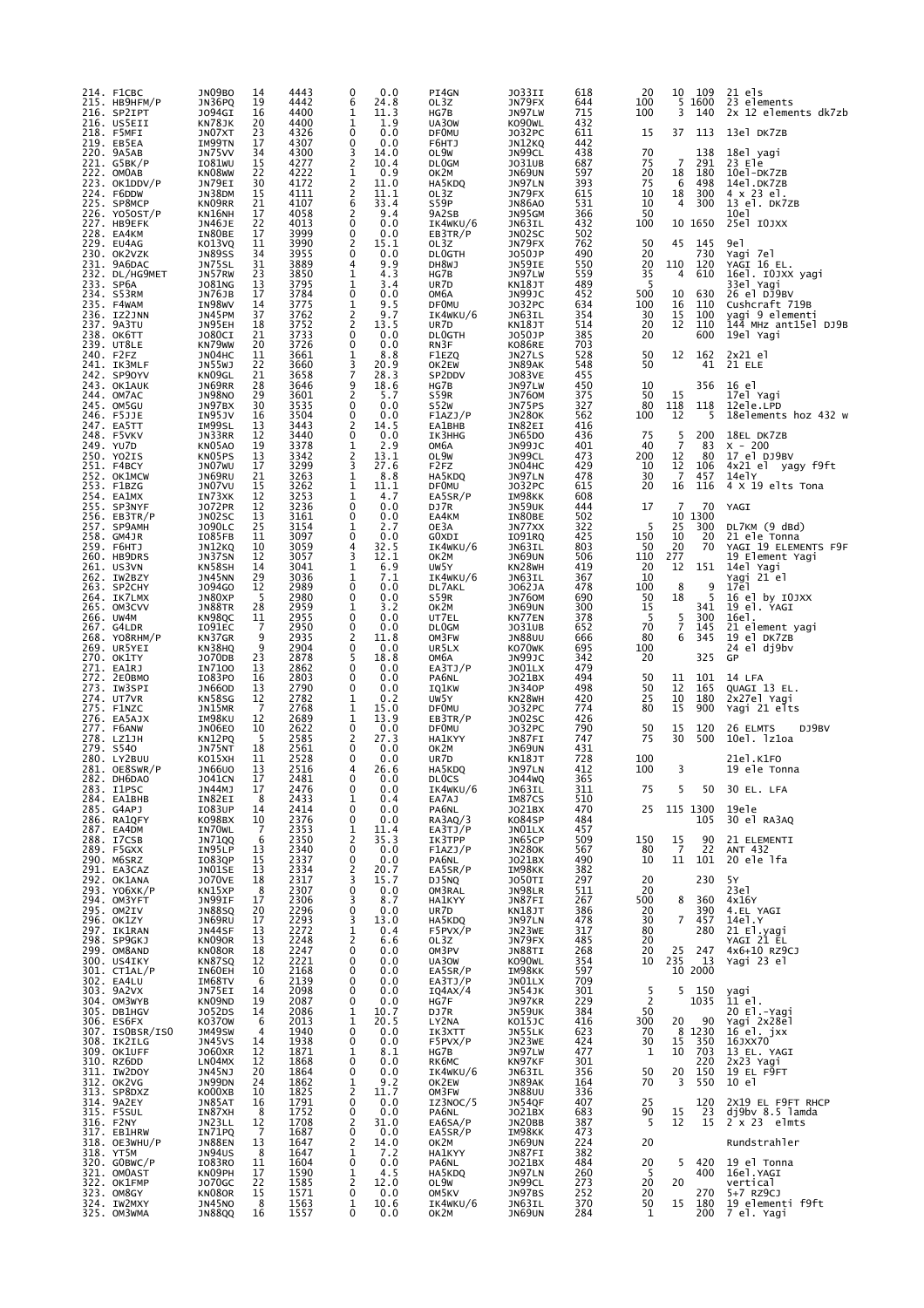| 214. F1CBC<br>215. НВ9НГМ/Р            | JN09BO<br>JN36PQ           | 14<br>19            | 4443<br>4442         | 0<br>0.0<br>6<br>24.8              | PI4GN<br>OL3Z                         | J033II<br>JN79FX           | 618<br>644        | 20<br>100            | 10<br>5              | 109<br>1600   | 21 els<br>23 elements                    |
|----------------------------------------|----------------------------|---------------------|----------------------|------------------------------------|---------------------------------------|----------------------------|-------------------|----------------------|----------------------|---------------|------------------------------------------|
| 216. SP2IPT<br>216. US5EII             | J094GI<br>KN78JK           | 16<br>20<br>23      | 4400<br>4400<br>4326 | 1<br>11.3<br>1<br>1.9<br>0<br>0.0  | HG7B<br>UA30W                         | JN97LW<br>KO90WL           | 715<br>432<br>611 | 100<br>15            | 3<br>37              | 140<br>113    | 2x 12 elements dk7zb<br>13el DK7ZB       |
| 218. F5MFI<br>219. EB5EA<br>220. 9A5AB | JN07XT<br>IM99TN<br>JN75VV | 17<br>34            | 4307<br>4300         | 0<br>0.0<br>3<br>14.0              | <b>DFOMU</b><br>F6HTJ<br>OL9W         | J032PC<br>JN12KQ<br>JN99CL | 442<br>438        | 70                   |                      | 138           | 18el yagi                                |
| 221. G5BK/P<br>222. OMOAB              | IO81WU<br>KN08WW           | 15<br>22            | 4277<br>4222         | $\overline{2}$<br>10.4<br>1<br>0.9 | DL0GM<br>OK2M                         | J031UB                     | 687<br>597        | 75<br>20             | $\overline{7}$<br>18 | 291<br>180    | 23 Ele<br>10el-DK7ZB                     |
| 223. OK1DDV/P                          | JN79EI                     | 30                  | 4172                 | 2<br>11.0                          | HA5KDQ                                | JN69UN<br>JN97LN           | 393               | 75                   | 6                    | 498           | 14el.DK7ZB                               |
| 224. F6DDW<br>225. SP8MCP              | JN38DM<br>KN09RR           | 15<br>21<br>17      | 4111<br>4107         | 2<br>11.1<br>6<br>33.4<br>2<br>9.4 | OL3Z<br>S59P                          | JN79FX<br><b>JN86A0</b>    | 615<br>531        | 10<br>10<br>50       | 18<br>4              | 300<br>300    | 4 x 23 el.<br>13 el. DK7ZB               |
| 226. YO50ST/P<br>227. HB9EFK           | KN16NH<br>JN46JE           | 22                  | 4058<br>4013         | 0<br>0.0                           | 9A2SB<br>IK4WKU/6                     | JN95GM<br>JN63IL           | 366<br>432        | 100                  |                      | 10 1650       | 10e1<br>25el IOJXX                       |
| 228. EA4KM<br>229. EU4AG               | IN80BE<br>KO13VQ           | 17<br>11            | 3999<br>3990         | 0<br>0.0<br>2<br>15.1              | EB3TR/P<br>OL3Z                       | JN02SC<br>JN79FX           | 502<br>762        | 50                   | 45                   | 145           | 9e1                                      |
| 230. OK2VZK<br>231. 9A6DAC             | <b>JN89SS</b><br>JN75SL    | 34<br>31            | 3955<br>3889         | 0.0<br>0<br>4<br>9.9               | <b>DLOGTH</b><br>DH8WJ                | J050JP<br>JN59IE           | 490<br>550        | 20<br>20             | 110                  | 730<br>120    | Yagi 7el<br>YAGI 16 EL.                  |
| 232. DL/HG9MET<br>233. SP6A            | JN57RW<br>J081NG           | 23<br>13            | 3850<br>3795         | 1<br>4.3<br>1<br>3.4               | HG7B<br>UR7D                          | JN97LW<br>KN18JT           | 559<br>489        | 35<br>5              | 4                    | 610           | 16el. IOJXX yagi<br>33el Yagi            |
| 234. S53RM<br>235. F4WAM               | JN76JB<br>IN98WV           | 17<br>14            | 3784<br>3775         | 0<br>0.0<br>1<br>9.5               | ОМ6А<br><b>DFOMU</b>                  | JN99JC<br>J032PC           | 452<br>634        | 500<br>100           | 10<br>16             | 630<br>110    | 26 el DJ9BV<br>Cushcraft 719B            |
| 236. IZ2JNN<br>237. 9A3TU              | JN45PM<br>JN95EH           | 37<br>18            | 3762<br>3752         | 2<br>9.7<br>2<br>13.5              | IK4WKU/6<br>UR7D                      | JN63IL<br>KN18JT           | 354<br>514        | 30<br>20             | 15<br>12             | 100<br>110    | yagi 9 elementi<br>144 MHz ant15el DJ9B  |
| 238. OK6TT<br>239. UT8LE               | <b>JO80CI</b><br>KN79WW    | 21<br>20            | 3733<br>3726         | 0<br>0.0<br>0<br>0.0               | <b>DLOGTH</b><br>RN3F                 | J050JP<br>K086RE           | 385<br>703        | 20                   |                      | 600           | 19el Yagi                                |
| 240. F2FZ<br>241. IK3MLF               | JN04HC<br>JN55WJ           | 11<br>22            | 3661<br>3660         | 1<br>8.8<br>3<br>20.9              | F1EZQ<br>OK2EW                        | JN27LS<br>JN89AK           | 528<br>548        | 50<br>50             | 12                   | 162<br>41     | $2x21$ el<br>21 ELE                      |
| 242. SP90YV<br>243. OK1AUK             | KN09GL<br>JN69RR           | 21<br>28            | 3658<br>3646         | 7<br>28.3<br>9<br>18.6             | SP2DDV<br>HG7B                        | J083VE<br>JN97LW           | 455<br>450        | 10                   |                      | 356           | 16 el                                    |
| 244. OM7AC<br>245. OM5GU               | <b>JN98NO</b><br>JN97BX    | 29<br>30            | 3601<br>3535         | $\overline{c}$<br>5.7<br>0<br>0.0  | S59R<br><b>S52W</b>                   | <b>JN760M</b><br>JN75PS    | 375<br>327        | 50<br>80             | 15<br>118            | 118           | 17el Yaqi<br>12ele.LPD                   |
| 246. F5JJE<br>247. EA5TT               | IN95JV<br>IM99SL           | 16<br>13            | 3504<br>3443         | 0<br>0.0<br>2<br>14.5              | F1AZJ/P<br><b>EA1BHB</b>              | <b>JN280K</b><br>IN82EI    | 562<br>416        | 100                  | 12                   | 5             | 18elements hoz 432 w                     |
| 248. F5VKV<br>249. YU7D                | JN33RR<br>KN05A0           | 12<br>19            | 3440<br>3378         | 0<br>0.0<br>1<br>2.9               | IK3HHG<br>OM6A                        | <b>JN65DO</b><br>JN99JC    | 436<br>401        | 75<br>40             | 5<br>$\overline{7}$  | 200<br>83     | 18EL DK7ZB<br>$x - 200$                  |
| 250. YO2IS<br>251. F4BCY               | KN05PS<br>JN07WU           | 13<br>17            | 3342<br>3299         | 2<br>13.1<br>3<br>27.6             | OL9W<br>F <sub>2</sub> F <sub>Z</sub> | JN99CL<br>JN04HC           | 473<br>429        | 200<br>10            | 12<br>$\frac{12}{7}$ | 80<br>106     | 17 el DJ9BV<br>4x21 el yagy f9ft         |
| 252. OK1MCW<br>253. F1BZG              | JN69RU<br>JN07VU           | 21<br>15            | 3263<br>3262         | 1<br>8.8<br>1<br>11.1              | HA5KDQ<br><b>DFOMU</b>                | JN97LN<br>J032PC           | 478<br>615        | 30<br>20             | 16                   | 457<br>116    | 14elY<br>4 X 19 elts Tona                |
| 254. EA1MX<br>255. SP3NYF              | IN73XK<br><b>JO72PR</b>    | 12<br>12            | 3253<br>3236         | 4.7<br>1<br>0<br>0.0               | EA5SR/P<br>DJ7R                       | IM98KK<br>JN59UK           | 608<br>444        | 17                   | 7                    | 70            | YAGI                                     |
| $256.$ EB3TR/P<br>257. SP9AMH          | JN02SC<br>J090LC           | 13<br>25            | 3161<br>3154         | 0<br>0.0<br>2.7<br>1               | EA4KM<br>OE3A                         | IN80BE<br>JN77XX           | 502<br>322        | 5                    | 10<br>25             | 1300<br>300   | DL7KM (9 dBd)                            |
| 258. GM4JR<br>259. F6HTJ               | IO85FB<br>JN12KQ           | 11<br>10            | 3097<br>3059         | 0<br>0.0<br>4<br>32.5              | GOXDI<br>IK4WKU/6                     | I091RQ<br>JN63IL           | 425<br>803        | 150<br>50            | 10<br>20             | 20<br>70      | 21 ele Tonna<br>YAGI 19 ELEMENTS F9F     |
| 260. HB9DRS<br>261. US3VN              | JN37SN<br>KN58SH           | 12<br>14            | 3057<br>3041         | 3<br>12.1<br>1<br>6.9              | OK2M<br>UW5Y                          | JN69UN<br>KN28WH           | 506<br>419        | 110<br>20            | 277<br>12            | 151           | 19 Element Yagi<br>14el Yagi             |
| 262. IW2BZY<br>263. SP2CHY             | JN45NN<br>J094G0           | 29<br>12            | 3036<br>2989         | 1<br>7.1<br>0<br>0.0               | IK4WKU/6<br>DL7AKL                    | JN63IL<br>J062JA           | 367<br>478        | 10<br>100            | 8                    | 9             | Yagi 21 el<br>17e1                       |
| 264. IK7LMX<br>265. OM3CVV             | JN80XP<br>JN88TR           | 5<br>28             | 2980<br>2959         | 0<br>0.0<br>1<br>3.2               | S59R<br>OK2M                          | JN760M<br>JN69UN           | 690<br>300        | 50<br>15             | 18                   | 5<br>341      | 16 el by 10JXX<br>19 el. YAGI            |
| 266. UW4M<br>267. G4LDR                | KN98QC<br>I091EC           | 11<br>7             | 2955<br>2950         | 0<br>0.0<br>0<br>0.0               | UT7EL<br><b>DLOGM</b>                 | KN77EN<br>J031UB           | 378<br>652        | -5<br>70             | 5<br>$\overline{7}$  | 300<br>145    | 16el.<br>21 element yagi                 |
| 268. YO8RHM/P<br>269. UR5YEI           | KN37GR<br>KN38HQ           | 9<br>9              | 2935<br>2904         | 2<br>11.8<br>0<br>0.0              | OM3FW<br>UR5LX                        | <b>JN88UU</b><br>KO70WK    | 666<br>695        | 80<br>100            | 6                    | 345           | 19 el DK7ZB<br>24<br>el dj9bv            |
| 270. OK1TY<br>271. EA1RJ               | J070DB<br>IN7100           | 23<br>13            | 2878<br>2862         | 5<br>18.8<br>0<br>0.0              | ОМ6А<br>EA3TJ/P                       | JN99JC<br>JNO1LX           | 342<br>479        | 20                   |                      | 325           | GP                                       |
| 272. 2E0BMO<br>273. IW3SPI             | I083P0<br><b>JN66OD</b>    | 16<br>13            | 2803<br>2790         | 0<br>0.0<br>0<br>0.0               | PA6NL<br>IQ1KW                        | J021BX<br><b>JN340P</b>    | 494<br>498        | 50<br>50             | 11<br>12             | 101<br>165    | 14 LFA<br>QUAGI 13 EL.                   |
| 274. UT7VR<br>275. F1NZC               | KN58SG<br>JN15MR           | 12<br>7             | 2782<br>2768         | 1<br>0.2<br>1<br>15.0              | UW5Y<br><b>DFOMU</b>                  | KN28WH<br>J032PC           | 420<br>774        | 25<br>80             | 10<br>15             | 180<br>900    | 2x27el Yagi<br>Yagi 21 elts              |
| 276. EA5AJX<br>277. F6ANW              | IM98KU<br>JN06E0           | 12<br>10            | 2689<br>2622         | $\mathbf{1}$<br>13.9<br>0<br>0.0   | EB3TR/P<br><b>DFOMU</b>               | JN02SC<br>J032PC           | 426<br>790        | 50                   | 15                   | 120           | DJ9BV<br>26 ELMTS                        |
| 278. LZ1JH<br>279. S540                | KN12PQ<br>JN75NT           | -5<br>18            | 2585<br>2561         | 2<br>27.3<br>0<br>0.0              | <b>HA1KYY</b><br>OK2M                 | JN87FI<br>JN69UN           | 747<br>431        | 75                   | 30                   | 500           | 10el. 1z1oa                              |
| 280. LY2BUU<br>281. OE8SWR/P           | KO15XH<br><b>JN66UO</b>    | 11<br>13            | 2528<br>2516         | 0<br>0.0<br>4<br>26.6              | UR7D<br>HA5KDQ                        | KN18JT<br>JN97LN           | 728<br>412        | 100<br>100           | 3                    |               | 21el.K1FO<br>19 ele Tonna                |
| 282. DH6DAO<br>283. IlPSC              | <b>JO41CN</b><br>JN44MJ    | 17<br>17            | 2481<br>2476         | 0<br>0.0<br>O<br>0.0               | <b>DLOCS</b><br>IK4WKU/6              | J044WQ<br>JN63IL           | 365<br>311        | 75                   | 5                    | 50            | 30 EL. LFA                               |
| 284. EA1BHB<br>285. G4APJ              | IN82EI<br>I083UP           | 8<br>14             | 2433<br>2414         | 0.4<br>1<br>0.0<br>0               | EA7AJ<br>PA6NL                        | IM87CS<br>J021BX           | 510<br>470        | 25                   | 115 1300             |               | 19ele                                    |
| 286. RA1QFY<br>287. EA4DM              | KO98BX<br>IN70WL           | 10<br>7             | 2376<br>2353         | 0<br>0.0<br>1<br>11.4              | RA3AQ/3<br>EA3TJ/P                    | K084SP<br>JN01LX           | 484<br>457        |                      |                      | 105           | 30 el RA3AQ                              |
| 288. I7CSB<br>289. F5GXX               | JN71QQ<br>IN95LP           | 6<br>13             | 2350<br>2340         | 2<br>35.3<br>0<br>0.0              | IK3TPP<br>F1AZJ/P                     | JN65CP<br><b>JN280K</b>    | 509<br>567        | 150<br>80            | 15<br>$\overline{7}$ | 90<br>22      | 21 ELEMENTI<br>ANT 432                   |
| 290. M6SRZ<br>291. EA3CAZ              | I083QP<br>JN01SE           | 15<br>13            | 2337<br>2334         | 0<br>0.0<br>20.7<br>2              | PA6NL<br>EA5SR/P                      | J021BX<br>IM98KK           | 490<br>382        | 10                   | 11                   | 101           | 20 ele 1fa                               |
| 292. OK1ANA<br>293. YO6XK/P            | <b>JO70VE</b><br>KN15XP    | 18<br>8             | 2317<br>2307         | 3<br>15.7<br>0<br>0.0              | DJ5NQ<br>OM3RAL                       | J050TI<br>JN98LR           | 297<br>511        | 20<br>20             |                      | 230           | 5Υ<br>23e1                               |
| 294. OM3YFT<br>295. OM2IV              | JN99IF<br>JN88SQ           | 17<br>20            | 2306<br>2296         | 3<br>8.7<br>0<br>0.0               | <b>HA1KYY</b><br>UR7D                 | JN87FI<br>KN18JT           | 267<br>386        | 500<br>20            | 8                    | 360<br>390    | 4x16Y<br>4.EL YAGI                       |
| 296. OK1ZY<br>297. IK1RAN              | JN69RU<br>JN44SF           | 17<br>13            | 2293<br>2272         | 3<br>13.0<br>1<br>0.4              | HA5KDQ<br>F5PVX/P                     | JN97LN<br>JN23WE           | 478<br>317        | 30<br>80             | $\overline{7}$       | 457<br>280    | 14e1.Y                                   |
| 298. SP9GKJ<br>299. OM8AND             | KN090R<br>KN080R           | 13<br>18            | 2248<br>2247         | $\overline{c}$<br>6.6<br>0<br>0.0  | OL3Z<br>OM3PV                         | JN79FX<br>JN88TI           | 485<br>268        | 20<br>20             | 25                   | 247           | 21 El.yagi<br>YAGI 21 EL<br>4x6+10 RZ9CJ |
| 300. US4IKY<br>301. CT1AL/P            | KN87SQ<br>IN60EH           | 12<br>10            | 2221<br>2168         | 0<br>0.0<br>0<br>0.0               | UA30W<br>EA5SR/P                      | KO90WL<br>IM98KK           | 354<br>597        | 10                   | 235                  | 13<br>10 2000 | Yagi 23 el                               |
| 302. EA4LU<br>303. 9A2VX               | IM68TV<br>JN75EI           | 6<br>14             | 2139<br>2098         | 0.0<br>0<br>0<br>0.0               | EA3TJ/P<br>IQ4AX/4                    | JN01LX<br>JN54JK           | 709<br>301        | 5                    | 5                    | 150           | yagi                                     |
| 304. OM3WYB<br>305. DB1HGV             | KNO9ND<br>J052DS           | 19<br>14            | 2087<br>2086         | 0<br>0.0<br>1<br>10.7              | HG7F<br>DJ7R                          | JN97KR<br>JN59UK           | 229<br>384        | $\overline{2}$<br>50 |                      | 1035          | 11 el.<br>20 El.-Yagi                    |
| 306. ES6FX<br>307. ISOBSR/ISO          | K0370W<br>JM49SW           | 6<br>$\overline{4}$ | 2013<br>1940         | $\mathbf{1}$<br>20.5<br>0<br>0.0   | LY2NA<br>IK3XTT                       | K015JC<br>JN55LK           | 416<br>623        | 300<br>70            | 20                   | 90<br>8 1230  | Yagi 2x28el<br>16 el. jxx                |
| 308. IK2ILG<br>309. OK1UFF             | JN45VS<br>J060XR           | 14<br>12            | 1938<br>1871         | 0<br>0.0<br>1<br>8.1               | F5PVX/P<br>HG7B                       | JN23WE<br>JN97LW           | 424<br>477        | 30<br>1              | 15<br>10             | 350<br>703    | 16JXX70<br>13 EL. YAGI                   |
| 310. RZ6DD<br>311. IW2DOY              | LN04MX                     | 12<br>20            | 1868<br>1864         | 0<br>0.0<br>0<br>0.0               | RK6MC<br>IK4WKU/6                     | KN97KF<br>JN63IL           | 301<br>356        | 50                   | 20                   | 220<br>150    | 2x23 Yagi<br>19 EL F9FT                  |
| 312. OK2VG<br>313. SP8DXZ              | JN45NJ<br>JN99DN<br>KO00XB | 24<br>10            | 1862<br>1825         | 1<br>9.2<br>2<br>11.7              | OK2EW<br>OM3FW                        | JN89AK<br><b>JN88UU</b>    | 164<br>336        | 70                   | 3                    | 550           | 10 el                                    |
| 314. 9A2EY<br>315. F5SUL               | JN85AT<br>IN87XH           | 16<br>8             | 1791<br>1752         | 0<br>0.0<br>0<br>0.0               | IZ3NOC/5<br>PA6NL                     | JN54QF<br>J021BX           | 407<br>683        | 25<br>90             | 15                   | 120<br>23     | 2X19 EL F9FT RHCP<br>dj9bv 8.5 lamda     |
| 316. F2NY                              | JN23LL                     | 12                  | 1708                 | 2<br>31.0                          | EA6SA/P                               | JN20BB                     | 387<br>473        | 5                    | 12                   | 15            | $2 \times 23$ elmts                      |
| 317. EB1HRW<br>318. OE3WHU/P           | IN71PQ<br>JN88EN           | 7<br>13             | 1687<br>1647         | 0<br>0.0<br>2<br>14.0              | EA5SR/P<br>OK2M                       | IM98KK<br>JN69UN           | 224               | 20                   |                      |               | Rundstrahler                             |
| 318. YT5M<br>320. GOBWC/P              | JN94US<br>I083RO           | 8<br>11             | 1647<br>1604         | 1<br>7.2<br>0<br>0.0               | <b>HA1KYY</b><br>PA6NL                | JN87FI<br>J021BX           | 382<br>484        | 20                   | 5                    | 420           | 19 el Tonna                              |
| 321. OMOAST<br>322. OK1FMP             | KN09PH<br>J070GC           | 17<br>22            | 1590<br>1585         | 1<br>4.5<br>2<br>12.0<br>0         | HA5KDQ<br>OL9W                        | JN97LN<br>JN99CL           | 260<br>273<br>252 | 5<br>20              | 20                   | 400<br>270    | 16el.YAGI<br>vertical                    |
| 323. OM8GY<br>324. IW2MXY              | KN08OR<br>JN45NO           | 15<br>8<br>16       | 1571<br>1563<br>1557 | 0.0<br>10.6<br>1<br>0<br>0.0       | OM5KV<br>IK4WKU/6                     | JN97BS<br>JN63IL           | 370<br>284        | 20<br>50<br>1        | 15                   | 180<br>200    | 5+7 RZ9CJ<br>19 elementi f9ft            |
| 325. OM3WMA                            | <b>JN88QQ</b>              |                     |                      |                                    | OK2M                                  | JN69UN                     |                   |                      |                      |               | 7 el. Yagi                               |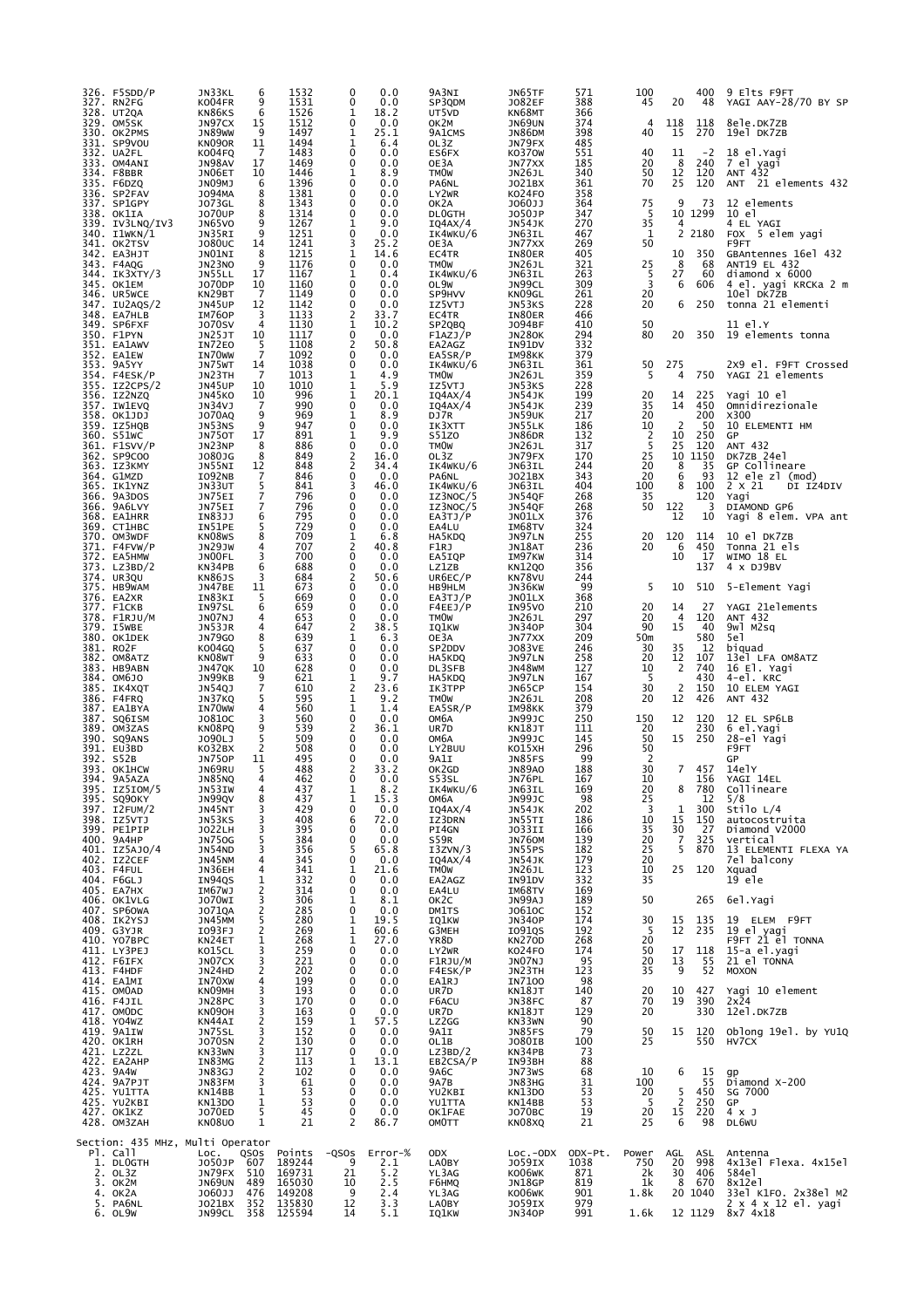| 326. F5SDD/P<br>327. RN2FG<br>328. UT2QA<br>329. OM5SK<br>330. OK2PMS<br>331. SP9VOU       | JN33KL<br>KO04FR<br>KN86KS<br>JN97CX<br>JN89WW<br>KN090R        | 6<br>9<br>6<br>15<br>9<br>11                | 1532<br>1531<br>1526<br>1512<br>1497<br>1494             | 0<br>0<br>1<br>$\mathbf 0$<br>1<br>1                          | 0.0<br>0.0<br>18.2<br>0.0<br>25.1<br>6.4                   | 9A3NI<br>SP3QDM<br>UT5VD<br>ок2м<br>9A1CMS<br>OL3Z            | JN65TF<br><b>JO82EF</b><br>KN68MT<br>JN69UN<br>JN86DM<br>JN79FX | 571<br>388<br>366<br>374<br>398<br>485  | 100<br>45<br>4<br>40                               | 20<br>118<br>15                                             | 400<br>48<br>118<br>270                 | 9 Elts F9FT<br>YAGI AAY-28/70 BY SP<br>8ele.DK7ZB<br>19el DK7ZB                                    |
|--------------------------------------------------------------------------------------------|-----------------------------------------------------------------|---------------------------------------------|----------------------------------------------------------|---------------------------------------------------------------|------------------------------------------------------------|---------------------------------------------------------------|-----------------------------------------------------------------|-----------------------------------------|----------------------------------------------------|-------------------------------------------------------------|-----------------------------------------|----------------------------------------------------------------------------------------------------|
| 332. UA2FL<br>333. OM4ANI<br>334. F8BBR<br>335. F6DZQ<br>336. SP2FAV                       | KO04FQ<br>JN98AV<br>JN06ET<br>JNO9MJ<br>J094MA                  | 7<br>17<br>10<br>6<br>8                     | 1483<br>1469<br>1446<br>1396<br>1381                     | $\mathbf 0$<br>$\mathbf 0$<br>1<br>$\mathbf 0$<br>$\mathbf 0$ | 0.0<br>0.0<br>8.9<br>0.0<br>0.0                            | ES6FX<br>OE3A<br><b>TMOW</b><br>PA6NL<br>LY2WR                | K0370W<br>JN77XX<br><b>JN26JL</b><br>J021BX<br>KO24FO           | 551<br>185<br>340<br>361<br>358         | 40<br>20<br>50<br>70                               | 11<br>8<br>12<br>25                                         | $-2$<br>240<br>120<br>120               | 18 el. Yagi<br>7 el yagi<br>ANT 432<br>ANT 21 elements 432                                         |
| 337. SP1GPY<br>338. OK1IA<br>339. IV3LNQ/IV3<br>340. I1WKN/1<br>341. OK2TSV<br>342. EA3HJT | J073GL<br><b>JO70UP</b><br>JN65VO<br>JN35RI<br>J080UC<br>JNO1NI | 8<br>8<br>9<br>9<br>14<br>8                 | 1343<br>1314<br>1267<br>1251<br>1241<br>1215             | 0<br>0<br>1<br>0<br>3<br>1                                    | 0.0<br>0.0<br>9.0<br>0.0<br>25.2<br>14.6                   | OK2A<br><b>DLOGTH</b><br>IQ4AX/4<br>IK4WKU/6<br>OE3A<br>EC4TR | J060JJ<br>J050JP<br><b>JN54JK</b><br>JN63IL<br>JN77XX<br>IN80ER | 364<br>347<br>270<br>467<br>269<br>405  | 75<br>5<br>35<br>1<br>50                           | 9<br>$\overline{4}$<br>2<br>10                              | 73<br>10 1299<br>2180<br>350            | 12 elements<br>10 el<br>4 EL YAGI<br><b>FOX</b><br>5 elem yagi<br>F9FT<br>GBAntennes 16el 432      |
| 343. F4AQG<br>344. IK3XTY/3<br>345. OK1EM<br>346. UR5WCE<br>347. IU2AQS/2                  | JN23NO<br>JN55LL<br><b>JO70DP</b><br>KN29BT<br>JN45UP           | 9<br>17<br>10<br>7<br>12                    | 1176<br>1167<br>1160<br>1149<br>1142                     | 0<br>1<br>$\mathbf 0$<br>0<br>0                               | 0.0<br>0.4<br>0.0<br>0.0<br>0.0                            | <b>TMOW</b><br>IK4WKU/6<br>OL9W<br>SP9HVV<br>IZ5VTJ           | JN26JL<br>JN63IL<br>JN99CL<br>KN09GL<br>JN53KS                  | 321<br>263<br>309<br>261<br>228         | 25<br>5<br>3<br>20<br>20                           | 8<br>27<br>6<br>6                                           | 68<br>60<br>606<br>250                  | ANT19 EL 432<br>diamond $\times$ 6000<br>4 el. yagi KRCKa 2 m<br>10el DK7ZB<br>tonna 21 elementi   |
| 348. EA7HLB<br>349. SP6FXF<br>350. F1PYN<br>351. EA1AWV                                    | IM760P<br><b>J070SV</b><br>JN25JT<br>IN72EO                     | 3<br>4<br>10<br>5                           | 1133<br>1130<br>1117<br>1108                             | $\overline{2}$<br>1<br>$\Omega$<br>2                          | 33.7<br>10.2<br>0.0<br>50.8                                | EC4TR<br>SP2QBQ<br>F1AZJ/P<br>EA2AGZ                          | IN80ER<br>J094BF<br><b>JN280K</b><br>IN91DV                     | 466<br>410<br>294<br>332                | 50<br>80                                           | 20                                                          | 350                                     | 11 el.Y<br>19 elements tonna                                                                       |
| 352. EA1EW<br>353. 9A5YY<br>354. F4ESK/P<br>355. IZ2CPS/2                                  | IN70WW<br>JN75WT<br>JN23TH<br>JN45UP                            | $\overline{7}$<br>14<br>7<br>10             | 1092<br>1038<br>1013<br>1010                             | 0<br>$\mathbf 0$<br>1<br>1                                    | 0.0<br>0.0<br>4.9<br>5.9                                   | EA5SR/P<br>IK4WKU/6<br><b>TMOW</b><br>IZ5VTJ                  | IM98KK<br>JN63IL<br>JN26JL<br>JN53KS                            | 379<br>361<br>359<br>228                | 50<br>5                                            | 275<br>4                                                    | 750                                     | 2X9 el. F9FT Crossed<br>YAGI 21 elements                                                           |
| 356. IZ2NZQ<br>357. IW1EVQ<br>358. OK1JDJ<br>359. IZ5HQB                                   | JN45KO<br>JN34VJ<br><b>JO70AQ</b><br>JN53NS                     | 10<br>7<br>9<br>9                           | 996<br>990<br>969<br>947                                 | 1<br>$\mathbf 0$<br>1<br>$\mathbf 0$                          | 20.1<br>0.0<br>8.9<br>0.0                                  | IQ4AX/4<br>IQ4AX/4<br>DJ7R<br>IK3XTT                          | JN54JK<br>JN54JK<br>JN59UK<br>JN55LK                            | 199<br>239<br>217<br>186                | 20<br>35<br>20<br>10                               | 14<br>14<br>2                                               | 225<br>450<br>200<br>50                 | Yagi 10 el<br>Omnidirezionale<br>X300<br>10 ELEMENTI HM                                            |
| 360. S51WC<br>361. F1SVV/P<br>362. SP9COO<br>363. IZ3KMY                                   | <b>JN750T</b><br>JN23NP<br>J080JG<br>JN55NI                     | 17<br>8<br>8<br>12                          | 891<br>886<br>849<br>848                                 | 1<br>0<br>2<br>$\overline{2}$                                 | 9.9<br>0.0<br>16.0<br>34.4                                 | S51Z0<br><b>TMOW</b><br>OL3Z<br>IK4WKU/6                      | <b>JN86DR</b><br>JN26JL<br>JN79FX<br>JN63IL                     | 132<br>317<br>170<br>244                | 2<br>5<br>25<br>20                                 | 10<br>25<br>10<br>8                                         | 250<br>120<br>1150<br>35                | GP<br>ANT 432<br>DK7ZB 24el<br>GP Collineare                                                       |
| 364. G1MZD<br>365. IK1YNZ<br>366. 9A3DOS<br>366. 9A6LVY<br>368. EA1HRR                     | IO92NB<br>JN33UT<br>JN75EI<br>JN75EI<br>IN83JJ                  | 7<br>5<br>7<br>7<br>6                       | 846<br>841<br>796<br>796<br>795                          | 0<br>3<br>0<br>0<br>$\Omega$                                  | 0.0<br>46.0<br>0.0<br>0.0<br>0.0                           | PA6NL<br>IK4WKU/6<br>IZ3NOC/5<br>IZ3NOC/5<br>EA3TJ/P          | J021BX<br>JN63IL<br><b>JN54QF</b><br>JN54QF<br>JN01LX           | 343<br>404<br>268<br>268<br>376         | 20<br>100<br>35<br>50                              | 6<br>8<br>122<br>12                                         | 93<br>100<br>120<br>3<br>10             | 12 ele zl (mod)<br>2 X 21<br>DI IZ4DIV<br>Yaqi<br>DIAMOND GP6<br>Yagi 8 elem. VPA ant              |
| 369. СТ1нвс<br>370. OM3WDF<br>371. F4FVW/P<br>372. EA5HMW<br>373. LZ3BD/2                  | IN51PE<br>KN08WS<br>JN29JW<br>JNOOFL<br>KN34PB                  | 5<br>8<br>4<br>3<br>6                       | 729<br>709<br>707<br>700<br>688                          | 0<br>1<br>2<br>0<br>0                                         | 0.0<br>6.8<br>40.8<br>0.0<br>0.0                           | EA4LU<br>HA5KDQ<br>F1RJ<br>EA5IQP<br>LZ1ZB                    | IM68TV<br>JN97LN<br>JN18AT<br>IM97KW<br><b>KN1200</b>           | 324<br>255<br>236<br>314<br>356         | 20<br>20                                           | 120<br>6<br>10                                              | 114<br>450<br>17<br>137                 | 10 el DK7ZB<br>Tonna 21 els<br>WIMO 18 EL<br>4 x DJ9BV                                             |
| 374. UR3QU<br>375. HB9WAM<br>376. EA2XR<br>377. F1CKB                                      | KN86JS<br>JN47BE<br>IN83KI<br>IN97SL                            | 3<br>11<br>5<br>6                           | 684<br>673<br>669<br>659                                 | 2<br>0<br>0<br>0                                              | 50.6<br>0.0<br>0.0<br>0.0                                  | UR6EC/P<br>HB9HLM<br>EA3TJ/P<br>F4EEJ/P                       | KN78VU<br>JN36KW<br>JN01LX<br>IN95VO                            | 244<br>99<br>368<br>210                 | 5<br>20                                            | 10<br>14                                                    | 510<br>27                               | 5-Element Yagi<br>YAGI 21elements                                                                  |
| 378. F1RJU/M<br>379. I5WBE<br>380. OK1DEK<br>381. RO2F                                     | JNO7NJ<br>JN53JR<br><b>JN79GO</b><br>KO04GQ                     | 4<br>4<br>8<br>5                            | 653<br>647<br>639<br>637                                 | 0<br>2<br>1<br>0                                              | 0.0<br>38.5<br>6.3<br>0.0                                  | <b>TMOW</b><br>IQ1KW<br>OE3A<br>SP2DDV                        | JN26JL<br><b>JN340P</b><br>JN77XX<br><b>JO83VE</b>              | 297<br>304<br>209<br>246                | 20<br>90<br>50m<br>30                              | $\overline{4}$<br>15<br>35                                  | 120<br>40<br>580<br>12                  | ANT 432<br>9wl M2sq<br>5e1<br>biquad                                                               |
| 382. OM8ATZ<br>383. HB9ABN<br>384. OM6JO<br>385. IK4XQT<br>386. F4FRQ                      | KN08WT<br>JN47QK<br>JN99KB<br>JN54QJ<br>JN37KQ                  | 9<br>10<br>9<br>7<br>5                      | 633<br>628<br>621<br>610<br>595                          | 0<br>0<br>1<br>$\overline{2}$<br>1                            | 0.0<br>0.0<br>9.7<br>23.6<br>9.2                           | HA5KDQ<br>DL3SFB<br>HA5KDQ<br>IK3TPP<br><b>TMOW</b>           | JN97LN<br>JN48WM<br>JN97LN<br>JN65CP<br>JN26JL                  | 258<br>127<br>167<br>154<br>208         | 20<br>10<br>5<br>30<br>20                          | 12<br>2<br>$\overline{2}$<br>12                             | 107<br>740<br>430<br>150<br>426         | 13el LFA OM8ATZ<br>16 El. Yagi<br>4-el. KRC<br>10 ELEM YAGI<br>ANT 432                             |
| 387. EA1BYA<br>387. SQ6ISM<br>389. OM3ZAS<br>390. SQ9ANS<br>391. EU3BD                     | IN70WW<br>J0810C<br>KN08PQ<br>J090LJ                            | 4<br>3<br>9<br>5<br>2                       | 560<br>560<br>539<br>509<br>508                          | 1<br>0<br>2<br>0                                              | 1.4<br>0.0<br>36.1<br>0.0                                  | EA5SR/P<br>ОМ6А<br>UR7D<br>ОМ6А                               | IM98KK<br>JN99JC<br>KN18JT<br>JN99JC                            | 379<br>250<br>111<br>145<br>296         | 150<br>20<br>50<br>50                              | 12<br>15                                                    | 120<br>230<br>250                       | 12 EL SP6LB<br>6 el.Yagi<br>28-el Yagi                                                             |
| 392. S52B<br>393. OK1HCW<br>394. 9A5AZA<br>395. IZ5IOM/5                                   | KO32BX<br>JN750P<br>JN69RU<br>JN85NQ<br>JN53IW                  | 11<br>5<br>4                                | 495<br>488<br>462<br>437                                 | 0<br>0<br>2<br>$\Omega$<br>1                                  | 0.0<br>0.0<br>33.2<br>0.0<br>8.2                           | LY2BUU<br>9A1I<br>OK2GD<br>S53SL<br>IK4WKU/6                  | KO15XH<br>JN85FS<br><b>JN89A0</b><br>JN76PL<br>JN63IL           | 99<br>188<br>167<br>169                 | 2<br>30<br>10<br>20                                | $\overline{7}$<br>8                                         | 457<br>156<br>780                       | F9FT<br>GP<br>14elY<br>YAGI 14EL<br>Collineare                                                     |
| 395. SQ9OKY<br>397. I2FUM/2<br>398. IZ5VTJ<br>399. PE1PIP                                  | JN99QV<br>JN45NT<br>JN53KS<br>J022LH                            | 8<br>3<br>3<br>3                            | 437<br>429<br>408<br>395                                 | 1<br>$\mathbf 0$<br>6<br>$\mathbf 0$                          | 15.3<br>0.0<br>72.0<br>0.0                                 | ОМ6А<br>IQAAX/4<br>IZ3DRN<br>PI4GN                            | <b>JN99JC</b><br>JN <u>54</u> JK<br>JN55TI<br><b>JO33II</b>     | 98<br>202<br>186<br>166                 | $\begin{array}{c} 25 \\ 3 \end{array}$<br>10<br>35 | $\begin{smallmatrix}1\1\end{smallmatrix}$<br>$\frac{30}{7}$ | 12<br>300<br>150<br>27                  | 5/8<br>Stilo L/4<br>autocostruita<br>Diamond V2000                                                 |
| 400. 9A4HP<br>401. IZ5AJ0/4<br>402. IZ2CEF<br>403. F4FUL<br>404. F6GLJ                     | <b>JN750G</b><br><b>JN54ND</b><br>JN45NM<br>JN36EH<br>IN94QS    | 5<br>3<br>4<br>4<br>1                       | 384<br>356<br>345<br>341<br>332                          | 0<br>5<br>$\mathbf 0$<br>1<br>0                               | 0.0<br>65.8<br>0.0<br>21.6<br>0.0                          | S59R<br>I3ZVN/3<br>IQAAX/4<br><b>TMOW</b><br>EA2AGZ           | <b>JN760M</b><br>JN55PS<br><b>JN54JK</b><br>JN26JL<br>IN91DV    | 139<br>182<br>179<br>123<br>332         | 20<br>25<br>20<br>10<br>35                         | 5<br>25                                                     | 325<br>870<br>120                       | vertical<br>13 ELEMENTI FLEXA YA<br>7el balcony<br>Xquad<br>19 ele                                 |
| 405. EA7HX<br>406. OK1VLG<br>407. SP60WA<br>408. IK2YSJ<br>409. G3YJR                      | IM67WJ<br>JO70WI<br>J071QA<br>JN45MM                            | $\frac{2}{3}$<br>2<br>5                     | 314<br>306<br>285<br>280                                 | 0<br>1<br>0<br>1                                              | 0.0<br>8.1<br>0.0<br>19.5                                  | EA4LU<br>ок2с<br>DM1TS<br>IQ1KW                               | IM68TV<br>JN99AJ<br>J0610C                                      | 169<br>189<br>152<br>174                | 50<br>$\begin{array}{c} 30 \\ 5 \end{array}$       | 15                                                          | 265<br>135                              | 6el.Yagi<br>19 ELEM F9FT                                                                           |
| 410. YO7BPC<br>411. LY3PEJ<br>412. F6IFX<br>413. F4HDF                                     | I093FJ<br>KN24ET<br>KO15CL<br>JN07CX<br>JN24HD                  | $\overline{\mathbf{c}}$<br>1<br>3<br>3<br>2 | 269<br>268<br>259<br>221<br>202                          | $\mathbf 1$<br>1<br>$\mathbf 0$<br>$\mathbf 0$<br>0           | 60.6<br>27.0<br>0.0<br>0.0<br>0.0                          | G3MEH<br>YR8D<br>LY2WR<br>F1RJU/M<br>F4ESK/P                  | JN340P<br>IO91QS<br><b>KN270D</b><br>KO24FO<br>JNO7NJ<br>JN23TH | 192<br>268<br>174<br>95<br>123          | 20<br>50<br>20<br>35                               | 12<br>17<br>13<br>9                                         | 235<br>118<br>$\overline{55}$<br>52     | 19 el yagi<br>F9FT 21 el TONNA<br>15-a el.yagi<br>21 el TONNA<br><b>MOXON</b>                      |
| 414. EA1MI<br>415. OMOAD<br>416. F4JIL<br>417. OMODC                                       | IN70XW<br>KN09MH<br>JN28PC<br>KN090H                            | 4<br>3<br>3<br>3                            | 199<br>193<br>170<br>163                                 | 0<br>0<br>0<br>0                                              | 0.0<br>0.0<br>0.0<br>0.0                                   | EA1RJ<br>UR7D<br>F6ACU<br>UR7D                                | IN7100<br>KN18JT<br>JN38FC<br>KN18JT                            | 98<br>140<br>87<br>129                  | 20<br>70<br>20                                     | 10<br>19                                                    | 427<br>390<br>330                       | Yagi 10 element<br>2x24<br>12el.DK7ZB                                                              |
| 418. YO4WZ<br>419. 9A1IW<br>420. OK1RH<br>421. LZ2ZL                                       | KN44AI<br>JN75SL<br><b>JO70SN</b><br>KN33WN                     | 2<br>3<br>2<br>3                            | 159<br>152<br>130<br>117                                 | 1<br>0<br>0<br>0                                              | 57.5<br>0.0<br>0.0<br>0.0                                  | LZ2GG<br>9A1I<br>OL1B<br>LZ3BD/2                              | KN33WN<br><b>JN85FS</b><br>J080IB<br>KN34PB                     | 90<br>79<br>100<br>73                   | 50<br>25                                           | 15                                                          | 120<br>550                              | oblong 19el. by YU1Q<br>HV7CX                                                                      |
| 422. EA2AHP<br>423. 9A4W<br>424. 9A7PJT<br>425. YU1TTA<br>425. YU2KBI<br>427. OK1KZ        | IN83MG<br>JN83GJ<br>JN83FM<br>KN14BB<br>KN13DO<br>J070ED        | $\frac{2}{2}$<br>3<br>1<br>1<br>5           | 113<br>102<br>61<br>53<br>53<br>45                       | 1<br>$\mathbf 0$<br>0<br>0<br>0<br>0                          | 13.1<br>0.0<br>0.0<br>0.0<br>0.0<br>0.0                    | EB2CSA/P<br>9A6C<br>9A7B<br>YU2KBI<br>YU1TTA<br>OK1FAE        | IN93BH<br>JN73WS<br>JN83HG<br>KN13DO<br>KN14BB<br>JO70BC        | 88<br>68<br>31<br>53<br>53<br>19        | 10<br>100<br>20<br>-5<br>20                        | 6<br>$\frac{5}{2}$<br>$1\overline{5}$                       | 15<br>55<br>450<br>250<br>220           | gp<br>Diamond X-200<br>SG 7000<br>GP<br>4 x J                                                      |
| 428. OM3ZAH<br>Section: 435 MHz, Multi Operator<br>Pl. Call                                | KN08U0<br>LOC.                                                  | 1<br>QSOS                                   | 21<br>Points                                             | 2<br>$-QSOS$                                                  | 86.7<br>Error-%                                            | OMOTT<br>ODX                                                  | KN08XQ<br>$Loc.-ODX$                                            | 21<br>ODX-Pt.                           | 25<br>Power                                        | 6<br>AGL                                                    | 98<br>ASL                               | DL6WU<br>Antenna                                                                                   |
| 1. DLOGTH<br>$\overline{2}$ . OL3Z<br>3. OK2M<br>4. OK2A<br>5. PA6NL<br>6. OL9W            | J050JP<br>JN79FX<br>JN69UN<br>J060JJ<br>JO21BX<br>JN99CL        | 607<br>510<br>489<br>476<br>352<br>358      | 189244<br>169731<br>165030<br>149208<br>135830<br>125594 | 9<br>21<br>10<br>9<br>12<br>14                                | $\frac{2.1}{5.2}$<br>2.5<br>$\overline{2.4}$<br>3.3<br>5.1 | LA0BY<br>YL3AG<br>F6HMQ<br>YL3AG<br>LA0BY<br><b>IQ1KW</b>     | JO59IX<br>KO06WK<br>JN18GP<br>KO06WK<br>J059IX<br><b>JN340P</b> | 1038<br>871<br>819<br>901<br>979<br>991 | 750<br>2k<br>1k<br>1.8k<br>1.6k                    | 20<br>30<br>8                                               | 998<br>406<br>670<br>20 1040<br>12 1129 | 4x13el Flexa. 4x15el<br>584e1<br>8x12e1<br>33el K1FO. 2x38el M2<br>2 x 4 x 12 el. yagi<br>8x7 4x18 |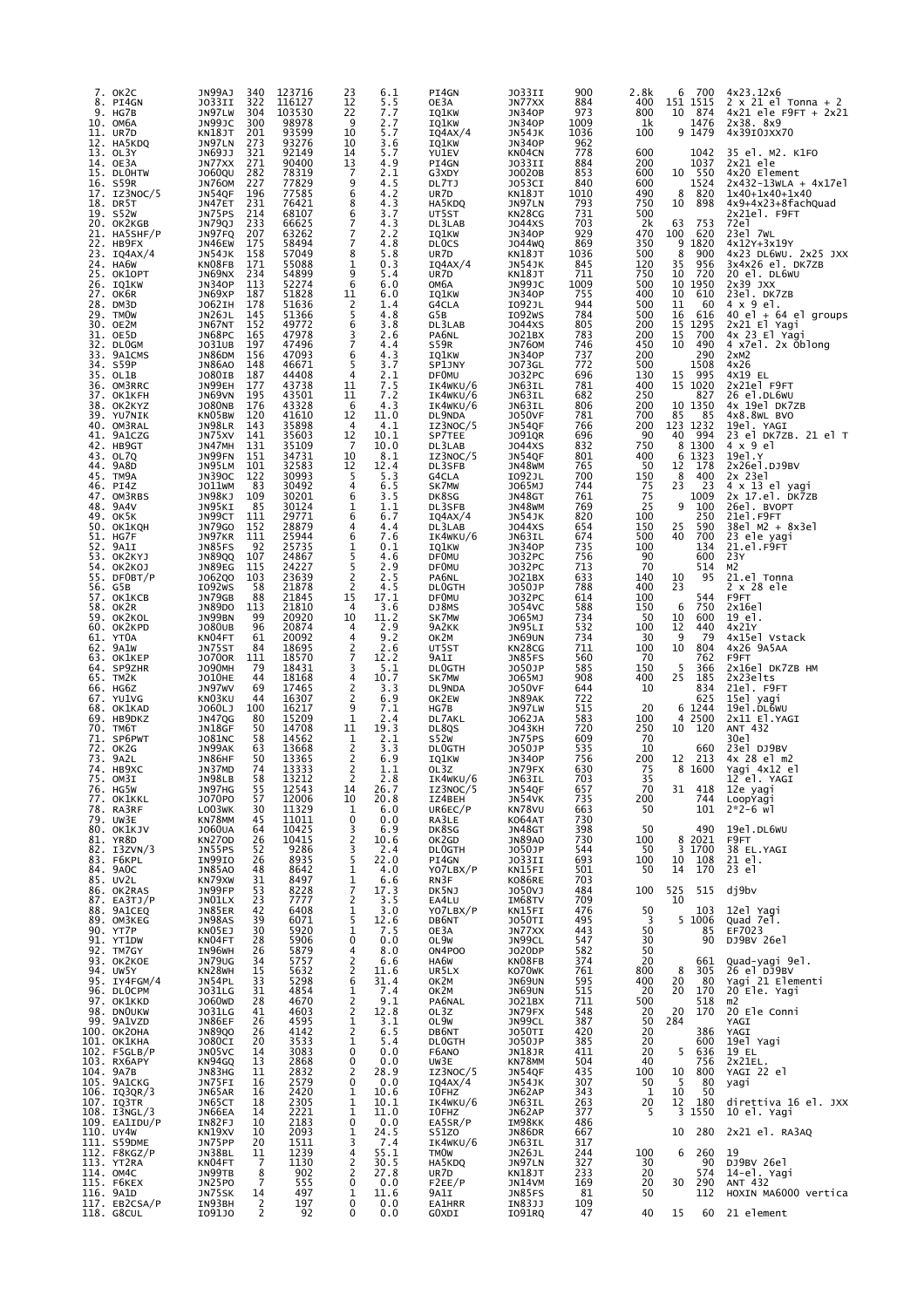| 7.<br>8.          | OK2C<br>PI4GN<br>9. HG7B<br>10. OM6A<br>11. UR7D                                | 340<br>JN99AJ<br>JO33II<br>322<br>JN97LW<br>304<br>JN99JC<br>300<br>201<br>KN18JT                                                                 | 123716<br>116127<br>103530<br>98978<br>93599       | 6.1<br>23<br>12<br>5.5<br>22<br>7.7<br>9<br>2.7<br>10<br>5.7                                                                  | PI4GN<br>OE3A<br>IQ1KW<br>IQ1KW<br>IQ4AX/4                               | JO33II<br>JN77XX<br><b>JN340P</b><br><b>JN340P</b><br>JN54JK           | 900<br>884<br>973<br>1009<br>1036        | 2.8k<br>400<br>800<br>1k<br>100        | 700<br>6<br>151 1515<br>10<br>874<br>1476<br>9 1479                                                                   | 4x23.12x6<br>$2 \times 21$ el Tonna + 2<br>$4x21$ ele F9FT + $2x21$<br>2x38. 8x9<br>4x39I0JXX70        |
|-------------------|---------------------------------------------------------------------------------|---------------------------------------------------------------------------------------------------------------------------------------------------|----------------------------------------------------|-------------------------------------------------------------------------------------------------------------------------------|--------------------------------------------------------------------------|------------------------------------------------------------------------|------------------------------------------|----------------------------------------|-----------------------------------------------------------------------------------------------------------------------|--------------------------------------------------------------------------------------------------------|
|                   | 12. HA5KDQ<br>13. OL3Y<br>14. OE3A<br>15. DLOHTW<br>16. S59R                    | JN97LN<br>273<br>321<br>JN69JJ<br>271<br>JN77XX<br>282<br><b>JO60QU</b><br><b>JN760M</b><br>227                                                   | 93276<br>92149<br>90400<br>78319<br>77829          | 10<br>3.6<br>14<br>5.7<br>13<br>4.9<br>7<br>2.1<br>9<br>4.5                                                                   | IQ1KW<br>YU1EV<br>PI4GN<br>G3XDY<br>DL7TJ                                | <b>JN340P</b><br>KN04CN<br>J033II<br>J0020B<br>J053CI                  | 962<br>778<br>884<br>853<br>840          | 600<br>200<br>600<br>600               | 1042<br>1037<br>10<br>550<br>1524                                                                                     | 35 el. M2. K1FO<br>$2x21$ ele<br>4x20 Element<br>$2x432 - 13wLA + 4x17e1$                              |
|                   | 17. IZ3NOC/5<br>18. DR5T<br>19. S52W<br>20. OK2KGB<br>21. HA5SHF/P              | 196<br>JN54QF<br>231<br>JN47ET<br>214<br>JN75PS<br>233<br><b>JN79QJ</b><br>JN97FQ<br>207                                                          | 77585<br>76421<br>68107<br>66625<br>63262          | 4.2<br>6<br>8<br>4.3<br>6<br>3.7<br>7<br>4.3<br>7<br>2.2                                                                      | UR7D<br>HA5KDQ<br>UT5ST<br>DL3LAB<br>IQ1KW                               | KN18JT<br>JN97LN<br>KN28CG<br>J044XS<br><b>JN340P</b>                  | 1010<br>793<br>731<br>703<br>929         | 490<br>750<br>500<br>2k<br>470         | 8<br>820<br>10<br>898<br>63<br>753<br>100<br>620                                                                      | $1x40+1x40+1x40$<br>4x9+4x23+8fachQuad<br>2x21el. F9FT<br>72e1<br>23el 7wL                             |
| 23.<br>27.        | 22. HB9FX<br>IQ4AX/4<br>24. HA6W<br>25. OK1OPT<br>26. IO1KW<br>OK6R             | JN46EW<br>175<br>158<br><b>JN54JK</b><br>171<br>KN08FB<br>234<br>JN69NX<br>113<br><b>JN340P</b><br>JN69XP<br>187                                  | 58494<br>57049<br>55088<br>54899<br>52274<br>51828 | 7<br>4.8<br>8<br>5.8<br>1<br>0.3<br>9<br>5.4<br>6<br>6.0<br>11<br>6.0                                                         | <b>DLOCS</b><br>UR7D<br>IQ4AX/4<br>UR7D<br>ОМ6А<br>IQ1KW                 | J044WQ<br>KN18JT<br>JN54JK<br>KN18JT<br>JN99JC<br><b>JN340P</b>        | 869<br>1036<br>845<br>711<br>1009<br>755 | 350<br>500<br>120<br>750<br>500<br>400 | 9<br>1820<br>8<br>900<br>35<br>956<br>720<br>10<br>10 1950<br>10<br>610                                               | 4x12Y+3x19Y<br>4x23 DL6WU. 2x25 JXX<br>3x4x26 el. DK7ZB<br>20 el. DL6WU<br>$2x39$ $JXX$<br>23el. DK7ZB |
| 32.               | 28. DM3D<br>29. TMOW<br>30. OE2M<br>31. OE5D<br><b>DLOGM</b>                    | J062IH<br>178<br>145<br>JN26JL<br>152<br>JN67NT<br>165<br>JN68PC<br>197<br>J031UB                                                                 | 51636<br>51366<br>49772<br>47978<br>47496          | 2<br>1.4<br>5<br>4.8<br>6<br>3.8<br>3<br>2.6<br>7<br>4.4                                                                      | G4CLA<br>G5B<br>DL3LAB<br>PA6NL<br>S59R                                  | I092JL<br>I092WS<br>J044XS<br>J021BX<br>JN760M                         | 944<br>784<br>805<br>783<br>746          | 500<br>500<br>200<br>200<br>450        | 11<br>60<br>16<br>616<br>15<br>1295<br>700<br>15<br>10<br>490                                                         | 4 x 9 el.<br>40 el $+$ 64 el groups<br>2x21 El Yagi<br>4x 23 El Yagi<br>4 x7el. 2x Oblong              |
| 33.<br>34.<br>35. | 9A1CMS<br>S59P<br>OL1B<br>36. OM3RRC<br>37. ОК1КFН                              | 156<br>JN86DM<br>148<br><b>JN86AO</b><br>187<br><b>JO80IB</b><br>177<br>JN99EH<br>195<br>JN69VN                                                   | 47093<br>46671<br>44408<br>43738<br>43501          | 6<br>4.3<br>5<br>3.7<br>4<br>$\frac{2}{7} \cdot \frac{1}{5}$<br>11<br>11<br>7.2                                               | <b>IQ1KW</b><br>SP1JNY<br><b>DF0MU</b><br>IK4WKU/6<br>IK4WKU/6           | <b>JN340P</b><br><b>JO73GL</b><br>J032PC<br>JN63IL<br>JN63IL           | 737<br>772<br>696<br>781<br>682          | 200<br>500<br>130<br>400<br>250        | 290<br>1508<br>15<br>995<br>15<br>1020<br>827                                                                         | 2xM2<br>4x26<br>4X19 EL<br>2x21el F9FT<br>26 el.DL6WU                                                  |
| 41.               | 38. OK2KYZ<br>39. YU7NIK<br>40. OM3RAL<br>9A1CZG<br>42. HB9GT                   | 176<br><b>JO80NB</b><br>KN05BW<br>120<br>JN98LR<br>143<br>141<br>JN75XV<br>131<br>JN47MH<br>JN99FN<br>151                                         | 43328<br>41610<br>35898<br>35603<br>35109<br>34731 | 6<br>4.3<br>12<br>11.0<br>4<br>4.1<br>12<br>10.1<br>10.0<br>7<br>10<br>8.1                                                    | IK4WKU/6<br>DL9NDA<br>IZ3NOC/5<br>SP7TEE<br>DL3LAB<br>IZ3NOC/5           | JN63IL<br><b>JO50VF</b><br>JN54QF<br><b>JO910R</b><br>J044XS           | 806<br>781<br>766<br>696<br>832<br>801   | 200<br>700<br>200<br>90<br>750<br>400  | 10 1350<br>85<br>85<br>123 1232<br>994<br>40<br>8<br>1300<br>6<br>1323                                                | 4x 19el DK7ZB<br>4x8.8WL BVO<br>19el. YAGI<br>23 el DK7ZB. 21 el T<br>4 x 9 el<br>19e1.Y               |
| 47.<br>48.        | 43. OL7Q<br>44. 9A8D<br>45. TM9A<br>46. PI4Z<br>OM3RBS<br>9A4V                  | JN95LM<br>101<br>122<br><b>JN390C</b><br>JO11WM<br>83<br>109<br>JN98KJ<br>85<br>JN95KI                                                            | 32583<br>30993<br>30492<br>30201<br>30124          | 12<br>12.4<br>5<br>5.3<br>4<br>6.5<br>3.5<br>6<br>1<br>1.1                                                                    | DL3SFB<br>G4CLA<br>SK7MW<br>DK8SG<br>DL3SFB                              | JN54QF<br>JN48WM<br>I092JL<br>J065MJ<br>JN48GT<br>JN48WM               | 765<br>700<br>744<br>761<br>769          | 50<br>150<br>75<br>75<br>25            | 12<br>178<br>8<br>400<br>23<br>23<br>1009<br>9<br>100                                                                 | 2x26e1.DJ9BV<br>2x 23el<br>4 x 13 el yagi<br>2x 17.el. DK7ZB<br>26el. BVOPT                            |
| 51.<br>52.<br>53. | 49. OK5K<br>50. OK1KQH<br>HG7F<br>9A1I<br>OK2KYJ                                | 111<br>JN99CT<br>152<br>JN79GO<br>JN97KR<br>111<br>JN85FS<br>92<br>107<br><b>JN89QQ</b>                                                           | 29771<br>28879<br>25944<br>25735<br>24867          | 6<br>6.7<br>4<br>4.4<br>6<br>7.6<br>1<br>0.1<br>5<br>4.6                                                                      | IQAAX/4<br>DL3LAB<br>IK4WKU/6<br>IQ1KW<br><b>DF0MU</b>                   | JN54JK<br>J044XS<br>JN63IL<br><b>JN340P</b><br>J032PC                  | 820<br>654<br>674<br>735<br>756          | 100<br>150<br>500<br>100<br>90         | 250<br>25<br>590<br>40<br>700<br>134<br>600                                                                           | 21el.F9FT<br>38el M2 + 8x3el<br>23 ele yagi<br>21.e1.F9FT<br>23Y                                       |
| 54.<br>57.        | OK2KOJ<br>55. DFOBT/P<br>56. G5B<br>OK1KCB<br>58. OK2R<br>59. OK2KOL            | 115<br>JN89EG<br>103<br>J062Q0<br>I092WS<br>58<br>88<br>JN79GB<br><b>JN89DO</b><br>113<br>JN99BN<br>99                                            | 24227<br>23639<br>21878<br>21845<br>21810<br>20920 | 5<br>2.9<br>$\overline{2}$<br>2.5<br>$\overline{2}$<br>4.5<br>15<br>17.1<br>3.6<br>4<br>10<br>11.2                            | <b>DF0MU</b><br>PA6NL<br><b>DLOGTH</b><br><b>DFOMU</b><br>DJ8MS<br>SK7MW | J032PC<br>J021BX<br>J050JP<br>J032PC<br>J054VC<br>J065MJ               | 713<br>633<br>788<br>614<br>588<br>734   | 70<br>140<br>400<br>100<br>150<br>50   | 514<br>95<br>10<br>23<br>544<br>6<br>750<br>10<br>600                                                                 | M2<br>21.el Tonna<br>2 x 28 ele<br>F9FT<br>2x16e<br>19 el.                                             |
|                   | 60. OK2KPD<br>61. YTOA<br>62. 9A1W<br>63. OK1KEP<br>64. SP9ZHR                  | 96<br><b>JO80UB</b><br>61<br>KN04FT<br>84<br>JN75ST<br><b>JO700R</b><br>111<br><b>JO90MH</b><br>79                                                | 20874<br>20092<br>18695<br>18570<br>18431          | 2.9<br>4<br>4<br>9.2<br>$\frac{2}{7}$<br>2.6<br>12.2<br>3<br>5.1                                                              | 9A2KK<br>ок2м<br>UT5ST<br>9A1I<br><b>DLOGTH</b>                          | JN95LI<br>JN69UN<br>KN28CG<br>JN85FS<br>J050JP                         | 532<br>734<br>711<br>560<br>585          | 100<br>30<br>100<br>70<br>150          | 12<br>440<br>9<br>79<br>10<br>804<br>762<br>5<br>366                                                                  | 4x21Y<br>4x15el Vstack<br>4x26 9A5AA<br>F9FT<br>2x16el DK7ZB HM                                        |
|                   | 65. TM2K<br>66. HG6Z<br>67. YU1VG<br>68. OK1KAD<br>69. HB9DKZ                   | 44<br><b>JO10HE</b><br>69<br>JN97WV<br>44<br>KNO3KU<br>100<br>J060LJ<br>80<br>JN47QG                                                              | 18168<br>17465<br>16307<br>16217<br>15209          | 4<br>10.7<br>2<br>3.3<br>2<br>6.9<br>9<br>7.1<br>1<br>2.4                                                                     | SK7MW<br>DL9NDA<br>OK2EW<br>HG7B<br>DL7AKL                               | J065MJ<br><b>JO50VF</b><br>JN89AK<br>JN97LW<br>J062JA                  | 908<br>644<br>722<br>515<br>583          | 400<br>10<br>20<br>100                 | 25<br>185<br>834<br>625<br>6<br>1244<br>4 2500                                                                        | 2x23elts<br>21el. F9FT<br>15el yagi<br>19e1.DL6WU<br>2x11 El.YAGI                                      |
| 71.               | 70. ТМ6Т<br>SP6PWT<br>72. OK2G<br>73. 9A2L<br>74. НВ9ХС<br>75. OM3I             | JN18GF<br>50<br>58<br>J081NC<br>63<br>JN99AK<br>50<br>JN86HF<br>JN37MD<br>74<br>JN98LB<br>58                                                      | 14708<br>14562<br>13668<br>13365<br>13333<br>13212 | 19.3<br>11<br>2.1<br>$\frac{1}{2}$<br>3.3<br>6.9<br>2<br>1.1<br>2<br>2.8                                                      | DL8QS<br>S52W<br><b>DLOGTH</b><br>IQ1KW<br>OL3Z<br>IK4WKU/6              | <b>JO43KH</b><br>JN75PS<br>J050JP<br><b>JN340P</b><br>JN79FX<br>JN63IL | 720<br>609<br>535<br>756<br>630<br>703   | 250<br>70<br>10<br>200<br>75<br>35     | 10<br>120<br>660<br>12<br>213<br>8 1600                                                                               | ANT 432<br>30e1<br>23el DJ9BV<br>4x 28 el m2<br>Yagi 4x12 el<br>12 el. YAGI                            |
|                   | 76. HG5W<br>77. OK1KKL<br>78. RA3RF<br>79. UW3E<br>80. OK1KJV                   | JN97HG<br>55<br>57<br>J070P0<br>$\frac{30}{45}$<br>LO03WK<br>KN78MM<br><b>JO60UA</b><br>64                                                        | 12543<br>12006<br>11329<br>11011<br>10425<br>10415 | 14<br>26.7<br>10<br>20.8<br>6.0<br>1<br>0<br>0.0<br>$\frac{3}{2}$<br>6.9                                                      | IZ3NOC/5<br>IZ4BEH<br>UR6EC/P<br>RA3LE<br>DK8SG                          | <b>JN54QF<br/>JN54VK<br/>KN78VU<br/>KO64AT</b><br>JN48GT               | 657<br>735<br>663<br>730<br>398          | 70<br>200<br>50<br>50                  | 31<br>418<br>744<br>101<br>490                                                                                        | 12e yagi<br>LoopYagi<br>2*2-6 wl<br>19e1.DL6WU                                                         |
|                   | 81. YR8D<br>82. I3ZVN/3<br>83. F6KPL<br>84. 9AOC<br>85. UV2L                    | $\overline{26}$<br>KN270D<br>JN55PS<br>52<br>26<br>48<br><b>IN99IO</b><br>JN85AO<br>KN79XW<br>31                                                  | 9286<br>8935<br>8642<br>8497                       | 10.6<br>3<br>2.4<br>$\frac{5}{1}$<br>22.0<br>4.0<br>1<br>6.6<br>$\overline{7}$<br>17.3                                        | OK2GD<br><b>DLOGTH</b><br>PI4GN<br>YO7LBX/P<br>RN3F<br>DK5NJ             | <b>JN89A0</b><br>J050JP<br><b>JO33II</b><br>KN15FI<br>K086RE           | 730<br>544<br>693<br>501<br>703<br>484   | 100<br>50<br>100<br>50<br>100          | 8 2021<br>3 1700<br>10<br>108<br>170<br>14<br>515                                                                     | F9FT<br>38 EL.YAGI<br>$\frac{21}{23}$ el.<br>dj9bv                                                     |
|                   | 86. OK2RAS<br>87. EA3TJ/P<br>88. 9A1CEQ<br>89. OM3KEG<br>90. YT7P<br>91. YT1DW  | JN99FP<br>JN01LX<br>$\frac{53}{23}$<br>$\frac{42}{39}$<br>JN85ER<br>JN98AS<br>KN05EJ<br>30<br>28                                                  | 8228<br>7777<br>6408<br>6071<br>5920<br>5906       | 3.5<br>3.0<br>1<br>5<br>$\frac{12.6}{7.5}$<br>$\mathbf 1$<br>0<br>0.0                                                         | EA4LU<br>YO7LBX/P<br>DB6NT<br>OE3A<br>OL9W                               | J050VJ<br>IM68TV<br>KN15FI<br><b>JO50TI</b><br>JN77XX<br>JN99CL        | 709<br>476<br>495<br>443<br>547          | 50<br>3<br>50<br>30                    | $\substack{525 \\ 10}$<br>103<br>5 1006<br>85<br>90                                                                   | 12el Yagi<br>Quad 7el.<br>EF7023<br>DJ9BV 26el                                                         |
|                   | 92. TM7GY<br>93. OK2KOE<br>94. UW5Y<br>95. IY4FGM/4<br>96. DLOCPM<br>97. OK1KKD | KN04FT<br>IN96WH<br>JN79UG<br>26<br>34<br>KN28WH<br>$\begin{array}{c} 15 \\ 33 \\ 31 \end{array}$<br>JN54PL<br>J031LG<br>J060 <sub>WD</sub><br>28 | 5879<br>5757<br>5632<br>5298<br>4854<br>4670       | $\overline{4}$<br>8.0<br>$\overline{c}$<br>6.6<br>2<br>11.6<br>$\frac{31.4}{7.4}$<br>6<br>$\overline{\mathbf{1}}$<br>2<br>9.1 | ON4POO<br>HA6W<br>UR5LX<br>OK2M<br>OK2M<br>PA6NAL                        | <b>JO20DP</b><br>KNO8FB<br>KO70WK<br>JN69UN<br>JN69UN                  | 582<br>374<br>761<br>595<br>515<br>711   | 50<br>20<br>800<br>400<br>20<br>500    | 661<br>8<br>305<br>20<br>80<br>20<br>170<br>518                                                                       | Quad-yagi 9el.<br>26 el DJ9BV<br>Yagi_21 Elementi<br>20 Ele. Yagi<br>m2                                |
|                   | 98. DNOUKW<br>99. 9A1VZD<br>100. ОК2ОНА<br>101. OK1KHA<br>102. F5GLB/P          | J031LG<br>41<br>26<br>JN86EF<br>JN89Q0<br>JO80CI<br>26<br>20<br>JN05VC<br>14                                                                      | 4603<br>4595<br>4142<br>3533<br>3083               | $\frac{2}{1}$<br>12.8<br>3.1<br>2<br>6.5<br>1<br>5.4<br>0.0<br>0                                                              | OL3Z<br>OL9W<br>DB6NT<br><b>DLOGTH</b><br>F6ANO                          | <b>JO21BX</b><br>JN79FX<br>JN99CL<br>1050TI<br>10501P<br>1N181R        | 548<br>387<br>420<br>385<br>411          | $\frac{20}{50}$<br>20<br>20<br>20      | 170<br>20<br>284<br>386<br>600<br>5<br>636                                                                            | 20 Ele Conni<br>YAGI<br>YAGI<br>19el Yagi<br>19 EL                                                     |
|                   | 103. RX6APY<br>104. 9A7B<br>105. 9A1CKG<br>106. IQ3QR/3<br>107. 103TR           | KN94GQ<br>JN83HG<br>JN75FI<br>13<br>11<br>16<br>JN65AR<br>$\frac{16}{18}$<br>JN65CT<br>JN66EA<br>14                                               | 2868<br>2832<br>2579<br>2420<br>2305<br>2221       | 0<br>0.0<br>$28.9$<br>0.0<br>2<br>0<br>1<br>10.6<br>$\frac{1}{1}$<br>10.1<br>11.0                                             | UW3E<br>IZ3NOC/5<br>IQ4AX/4<br>I0FHZ<br>IK4WKU/6<br>I0FHZ                | KN78MM<br><b>JN54QF</b><br><b>JN54JK</b><br>JN62AP<br>JN63IL<br>JN62AP | 504<br>435<br>307<br>343<br>263<br>377   | 40<br>100<br>50<br>1<br>20<br>5        | 756<br>$\frac{10}{5}$<br>800<br>80<br>10<br>50<br>$\begin{array}{r} \tilde{1}\tilde{2} & 180 \\ 3 & 1550 \end{array}$ | 2x21EL.<br>YAGI 22 el<br>yagi<br>direttiva 16 el. JXX<br>10 el. Yagi                                   |
|                   | 109. EA1IDU/P<br>110. UY4W<br>111. S59DME<br>112. F8KGZ/P<br>113. YT2RA         | IN82FJ<br>10<br>KN19XV<br>JN75PP<br>10<br>$\overline{20}$<br>JN38BL<br>11<br>$\overline{7}$<br>KN04FT                                             | 2183<br>2093<br>1511<br>1239<br>1130               | $\pmb{0}$<br>0.0<br>$\frac{1}{3}$<br>24.5<br>7.4<br>55.1<br>4<br>$\frac{2}{2}$<br>30.5                                        | EA5SR/P<br>S51Z0<br>IK4WKU/6<br><b>TMOW</b><br>HA5KDQ                    | IM98KK<br>JN86DR<br>JN63IL<br>JN26JL<br>JN97LN<br>KN18JT               | 486<br>667<br>317<br>244<br>327          | 100<br>30                              | 10<br>280<br>6<br>260<br>90                                                                                           | 2x21 el. RA3AQ<br>19<br>DJ9BV 26el                                                                     |
|                   | 115. F6KEX<br>116. 9A1D<br>117. EB2CSA/P<br>118. G8CUL                          | JN99TB<br>8<br>JN25PO<br>7<br>JN75SK<br>$\frac{14}{2}$<br>IN93BH<br>I091J0<br>2                                                                   | 902<br>555<br>497<br>197<br>92                     | 27.8<br>0<br>0.0<br>1<br>11.6<br>0<br>0.0<br>0.0<br>0                                                                         | UR7D<br>F2EE/P<br>9A1I<br><b>EA1HRR</b><br>G0XDI                         | JN14VM<br>JN85FS<br>IN83JJ<br>I091RQ                                   | 233<br>169<br>81<br>109<br>47            | 20<br>20<br>50<br>40                   | 574<br>290<br>30<br>112<br>15<br>60                                                                                   | 14-el. Yagi<br>ANT 432<br>HOXIN MA6000 vertica<br>21 element                                           |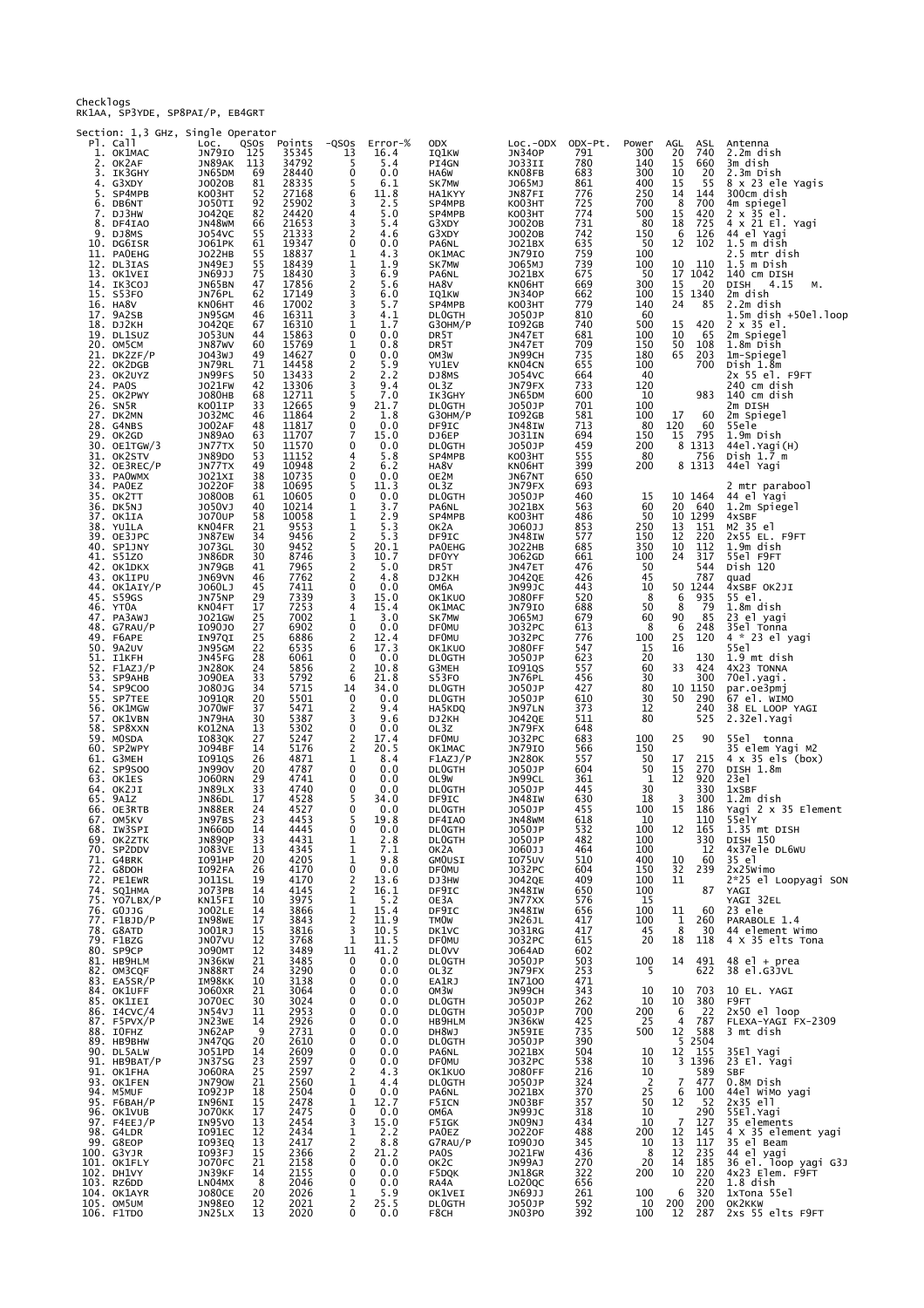Checklogs RK1AA, SP3YDE, SP8PAI/P, EB4GRT

Section: 1,3 GHz, Single Operator

| 1. | Pl. Call<br>OK1MAC         | LOC.<br>JN79IO                 | QSOS<br>125 | Points<br>35345 | $-QSOS$<br>13                              | Error-%<br>16.4           | ODX<br>IQ1KW                 | $Loc.-ODX$<br><b>JN340P</b> | ODX-Pt.<br>791 | Power<br>300   | AGL<br>ASL<br>20<br>740                              | Antenna<br>2.2m dish                       |
|----|----------------------------|--------------------------------|-------------|-----------------|--------------------------------------------|---------------------------|------------------------------|-----------------------------|----------------|----------------|------------------------------------------------------|--------------------------------------------|
| 2. | OK2AF                      | JN89AK                         | 113         | 34792           | 5                                          | 5.4                       | PI4GN                        | JO33II                      | 780            | 140            | 15<br>660                                            | 3m dish                                    |
|    | 3. IK3GHY<br>4. G3XDY      | JN65DM<br>J0020B               | 69<br>81    | 28440<br>28335  | 0<br>5                                     | 0.0<br>6.1                | HA6W<br>SK7MW                | KN08FB<br>J065MJ            | 683<br>861     | 300<br>400     | 10<br>20<br>15<br>55                                 | 2.3m Dish<br>8 x 23 ele Yagis              |
|    | 5. SP4MPB<br>6. DB6NT      | KO03HT<br>J050TI               | 52<br>92    | 27168<br>25902  | 6<br>3                                     | 11.8                      | <b>HA1KYY</b><br>SP4MPB      | JN87FI<br>KO03HT            | 776<br>725     | 250<br>700     | 14<br>144<br>8<br>700                                | 300cm dish<br>4m spiegel                   |
| 7. | DJ3HW<br>8. DF4IAO         | <b>JO42QE</b>                  | 82<br>66    | 24420<br>21653  | 4<br>3                                     | $\frac{2.5}{5.0}$<br>5.4  | SP4MPB                       | KO03HT                      | 774<br>731     | 500<br>80      | 15<br>420<br>725<br>18                               | $2 \times 35$ $e1$ .<br>4 x 21 El. Yagi    |
|    | 9. DJ8MS                   | JN48WM<br>J054VC               | 55          | 21333           | $\overline{2}$                             | 4.6                       | G3XDY<br>G3XDY               | J0020B<br>J0020B            | 742            | 150            | - 6<br>126                                           | 44 el Yagi                                 |
|    | 10. DG6ISR<br>11. PAOEHG   | J061PK<br><b>JO22HB</b>        | 61<br>55    | 19347<br>18837  | 0<br>1                                     | 0.0<br>4.3                | PA6NL<br>OK1MAC              | J021BX<br>JN79IO            | 635<br>759     | 50<br>100      | 12<br>102                                            | $1.5m$ dish<br>2.5 mtr dish                |
|    | 12. DL3IAS<br>13. OK1VEI   | JN49EJ<br>JN69JJ               | 55<br>75    | 18439<br>18430  | 1<br>3                                     | 1.9<br>6.9                | SK7MW<br>PA6NL               | J065MJ<br>J021BX            | 739<br>675     | 100<br>50      | 10<br>110<br>17 1042                                 | $1.5m$ Dish<br>140 CM DISH                 |
|    | 14. IK3COJ                 | JN65BN                         | 47          | 17856           | $\frac{2}{3}$                              | 5.6                       | HA8V                         | KN06HT                      | 669            | 300            | $\begin{array}{cc} 15 & 20 \\ 15 & 1340 \end{array}$ | DISH<br>4.15<br>Μ.                         |
|    | 15. S53FO<br>16. HA8V      | JN76PL<br>KN06HT               | 62<br>46    | 17149<br>17002  | 3                                          | 6.0<br>5.7                | IQ1KW<br>SP4MPB              | <b>JN340P</b><br>KO03HT     | 662<br>779     | 100<br>140     | 24<br>85                                             | 2m dish<br>2.2m dish                       |
|    | 17. 9A2SB<br>18. DJ2KH     | JN95GM<br>J042QE               | 46<br>67    | 16311<br>16310  | 3<br>1                                     | 4.1<br>1.7                | <b>DLOGTH</b><br>G30HM/P     | J050JP<br>I092GB            | 810<br>740     | 60<br>500      | 15<br>420                                            | $1.5m$ dish $+50e$ ]. loop<br>2 x 35 el.   |
|    | 19. DL1SUZ                 | <b>JO53UN</b>                  | 44          | 15863           | 0                                          | 0.0                       | DR <sub>5</sub> T            | JN47ET                      | 681            | 100            | 10<br>65<br>50                                       | 2m Spiegel                                 |
|    | 20. OM5CM<br>21. DK2ZF/P   | JN87WV<br>J043WJ               | 60<br>49    | 15769<br>14627  | 1<br>0                                     | 0.8<br>0.0                | DR5T<br>OM3W                 | JN47ET<br>JN99CH            | 709<br>735     | 150<br>180     | 108<br>65<br>203                                     | 1.8m Dish<br>1m-Spiegel                    |
|    | 22. OK2DGB<br>23. OK2UYZ   | JN79RL<br>JN99FS               | 71<br>50    | 14458<br>13433  | 2<br>$\overline{\mathbf{c}}$               | 5.9<br>2.2                | YU1EV<br>DJ8MS               | KN04CN<br>J054VC            | 655<br>664     | 100<br>40      | 700                                                  | Dish 1.8m<br>2x 55 el. F9FT                |
|    | 24. PAOS<br>25. OK2PWY     | <b>JO21FW</b><br><b>JO80HB</b> | 42<br>68    | 13306<br>12711  | 3<br>5                                     | 9.4<br>7.0                | OL3Z<br>IK3GHY               | JN79FX<br>JN65DM            | 733<br>600     | 120<br>10      | 983                                                  | 240 cm dish<br>140 cm dish                 |
|    | 26. SN5R                   | KO01IP                         | 33          | 12665           | $\frac{9}{2}$                              | 21.7                      | <b>DLOGTH</b>                | J050JP                      | 701            | 100            |                                                      | 2m DISH                                    |
|    | 27. DK2MN<br>28. G4NBS     | J032MC<br><b>JO02AF</b>        | 46<br>48    | 11864<br>11817  | 0                                          | 1.8<br>0.0                | G30HM/P<br>DF9IC             | I092GB<br>JN48IW            | 581<br>713     | 100<br>80      | 17<br>60<br>120<br>60                                | 2m Spiegel<br>55ele                        |
|    | 29. OK2GD<br>30. OE1TGW/3  | <b>JN89AO</b><br>JN77TX        | 63<br>50    | 11707<br>11570  | $\overline{7}$<br>0                        | 15.0<br>0.0               | DJ6EP<br><b>DLOGTH</b>       | JO31IN<br>J050JP            | 694<br>459     | 150<br>200     | 15<br>795<br>8 1313                                  | 1.9m Dish<br>44el. Yagi(H)                 |
|    | 31. OK2STV                 | JN89DO                         | 53          | 11152           | 4                                          | 5.8                       | SP4MPB                       | KO03HT                      | 555            | 80             | 756                                                  | Dish $1.\overline{7}$ m                    |
|    | 32. OE3REC/P<br>33. PAOWMX | JN77TX<br>J021XI               | 49<br>38    | 10948<br>10735  | $\overline{2}$<br>0                        | 6.2<br>0.0                | HA8V<br>OE2M                 | KN06HT<br>JN67NT            | 399<br>650     | 200            | 8 1313                                               | 44el Yagi                                  |
|    | 34. PAOEZ<br>35. OK2TT     | J0220F<br>J0800B               | 38<br>61    | 10695<br>10605  | 5<br>$\mathbf 0$                           | 11.3<br>0.0               | OL3Z<br><b>DLOGTH</b>        | JN79FX<br>J050JP            | 693<br>460     | 15             | 10 1464                                              | 2 mtr parabool<br>44 el Yagi               |
|    | 36. DK5NJ<br>37. OK1IA     | J050VJ<br><b>JO70UP</b>        | 40<br>58    | 10214<br>10058  | 1<br>1                                     | 3.7<br>2.9                | PA6NL<br>SP4MPB              | J021BX<br>KO03HT            | 563<br>486     | 60<br>50       | 20<br>640<br>10 1299                                 | 1.2m Spiegel<br>4xSBF                      |
|    | 38. YU1LA                  | KN04FR                         | 21          | 9553            |                                            | 5.3                       | OK2A                         | J060JJ                      | 853<br>577     | 250            | 13<br>151                                            | M2 35 el                                   |
|    | 39. OE3JPC<br>40. SP1JNY   | JN87EW<br>J073GL               | 34<br>30    | 9456<br>9452    | $\frac{1}{2}$                              | 5.3<br>20.1               | DF9IC<br><b>PAOEHG</b>       | JN48IW<br>J022HB            | 685            | 150<br>350     | 12<br>220<br>10<br>112                               | 2x55 EL. F9FT<br>1.9m dish                 |
|    | 41. S51ZO<br>42. OK1DKX    | <b>JN86DR</b><br>JN79GB        | 30<br>41    | 8746<br>7965    | $\frac{3}{2}$                              | 10.7<br>5.0               | DF0YY<br>DR <sub>5</sub> T   | J062GD<br>JN47ET            | 661<br>476     | 100<br>50      | 24<br>317<br>544                                     | 55el F9FT<br>Dish 120                      |
|    | 43. OK1IPU                 | JN69VN                         | 46          | 7762            |                                            | 4.8                       | DJ2KH                        | <b>JO42QE</b>               | 426            | 45             | 787                                                  | quad                                       |
|    | 44. OK1AIY/P<br>45. S59GS  | J060LJ<br>JN75NP               | 45<br>29    | 7411<br>7339    | $\mathbf 0$<br>3                           | 0.0<br>15.0               | ОМ6А<br>OK1KUO               | JN99JC<br><b>JO80FF</b>     | 443<br>520     | 10<br>- 8      | 50 1244<br>6<br>935                                  | 4xSBF OK2JI<br>55 el.                      |
|    | 46. YT0A<br>47. PA3AWJ     | KN04FT<br>J021GW               | 17<br>25    | 7253<br>7002    | 4<br>$\mathbf{1}$                          | 15.4<br>3.0               | OK1MAC<br>SK7MW              | <b>JN79IO</b><br>J065MJ     | 688<br>679     | 50<br>60       | 8<br>79<br>90<br>85                                  | 1.8m dish<br>23 el yagi                    |
|    | 48. G7RAU/P                | I090J0<br>IN97QI               | 27<br>25    | 6902<br>6886    | 0                                          | 0.0<br>12.4               | <b>DF0MU</b><br><b>DF0MU</b> | J032PC<br>J032PC            | 613<br>776     | 8<br>100       | 6<br>248<br>25<br>120                                | 35el Tonna<br>4 * 23 el yagi               |
|    | 49. F6APE<br>50. 9A2UV     | JN95GM                         | 22          | 6535            | 2<br>6                                     | 17.3                      | OK1KUO                       | <b>JO80FF</b>               | 547            | 15             | 16                                                   | 55e1                                       |
|    | 51. I1KFH<br>52. F1AZJ/P   | JN45FG<br>JN280K               | 28<br>24    | 6061<br>5856    | 0<br>$\overline{c}$                        | 0.0<br>10.8               | <b>DLOGTH</b><br>G3MEH       | J050JP<br>I091QS            | 623<br>557     | 20<br>60       | 130<br>33<br>424                                     | 1.9 mt dish<br>4X23 TONNA                  |
|    | 53. SP9AHB<br>54. SP9COO   | <b>JO90EA</b><br>J080JG        | 33<br>34    | 5792<br>5715    | 6<br>14                                    | 21.8<br>34.0              | S53FO<br>DL0GTH              | JN76PL<br>J050JP            | 456<br>427     | 30<br>80       | 300<br>10 1150                                       | 70el.yagi.<br>par.oe3pmj                   |
|    | 55. SP7TEE                 | J091QR                         | 20          | 5501            | 0                                          | 0.0                       | <b>DLOGTH</b>                | J050JP                      | 610            | 30             | 50<br>290                                            | 67 el. WIMO                                |
|    | 56. OK1MGW<br>57. OK1VBN   | <b>JO70WF</b><br>JN79HA        | 37<br>30    | 5471<br>5387    | $\overline{c}$<br>3                        | 9.4<br>9.6                | HA5KDQ<br>DJ2KH              | JN97LN<br>J042QE            | 373<br>511     | 12<br>80       | 240<br>525                                           | 38 EL LOOP YAGI<br>2.32el.Yagi             |
|    | 58. SP8XXN<br>59. MOSDA    | KO12NA<br>IO83QK               | 13<br>27    | 5302<br>5247    | 0<br>2                                     | 0.0<br>17.4               | OL3Z<br><b>DF0MU</b>         | JN79FX<br>J032PC            | 648<br>683     | 100            | 90<br>25                                             | 55el tonna                                 |
|    | 60. SP2WPY<br>61. G3MEH    | J094BF<br>I091QS               | 14<br>26    | 5176<br>4871    | 2<br>1                                     | 20.5<br>8.4               | OK1MAC<br>F1AZJ/P            | <b>JN79IO</b><br>JN280K     | 566<br>557     | 150<br>50      | 17<br>215                                            | 35 elem Yagi M2<br>$4 \times 35$ els (box) |
|    | 62. SP9S00                 | <b>JN990V</b>                  | 20          | 4787            | 0                                          | 0.0                       | <b>DLOGTH</b>                | J050JP                      | 604            | 50             | 15<br>270                                            | DISH 1.8m                                  |
|    | 63. OK1ES<br>64. OK2JI     | <b>JO60RN</b><br>JN89LX        | 29<br>33    | 4741<br>4740    | 0<br>0                                     | 0.0<br>0.0                | OL9W<br><b>DLOGTH</b>        | JN99CL<br>J050JP            | 361<br>445     | 1<br>30        | 12<br>920<br>330                                     | 23e1<br>1xSBF                              |
|    | 65. 9A1Z<br>66. OE3RTB     | JN86DL<br><b>JN88ER</b>        | 17<br>24    | 4528<br>4527    | $\begin{smallmatrix}5\\0\end{smallmatrix}$ | 34.0<br>0.0               | DF9IC<br><b>DLOGTH</b>       | JN48IW<br>J050JP            | 630<br>455     | 18<br>100      | 3<br>300<br>15<br>186                                | 1.2m dish<br>Yagi 2 x 35 Element           |
|    | 67. OM5KV                  | JN97BS                         | 23          | 4453            | 5<br>0                                     | 19.8                      | DF4IA0                       | JN48WM                      | 618            | 10             | 110                                                  | 55e1Y                                      |
|    | 68. IW3SPI<br>69. OK2ZTK   | JN66OD<br>JN89QP               | 14<br>33    | 4445<br>4431    | 1                                          | 0.0<br>2.8                | <b>DLOGTH</b><br>DL0GTH      | J050JP<br>J050JP            | 532<br>482     | 100<br>100     | 330                                                  | 12 165 1.35 mt DISH<br>DISH 150            |
|    | 70. SP2DDV<br>71. G4BRK    | <b>JO83VE</b><br>I091HP        | 13<br>20    | 4345<br>4205    | 1<br>1                                     | 7.1<br>9.8                | OK2A<br>GMOUSI               | J060JJ<br><b>IO75UV</b>     | 464<br>510     | 100<br>400     | 12<br>60<br>10                                       | 4x37ele DL6WU<br>35 el                     |
|    | 72. G8DOH<br>72. PE1EWR    | I092FA<br><b>JO11SL</b>        | 26<br>19    | 4170<br>4170    | 0                                          | 0.0<br>13.6               | <b>DF0MU</b><br>DJ3HW        | J032PC<br><b>JO42QE</b>     | 604<br>409     | 150<br>100     | 32<br>239<br>11                                      | $2x25$ Wimo<br>2*25 el Loopyagi SON        |
|    | 74. SQ1HMA<br>75. YO7LBX/P | J073PB                         | 14<br>10    | 4145<br>3975    | $\begin{array}{c} 2 \\ 2 \\ 1 \end{array}$ | 16.1<br>5.2               | DF9IC                        | JN48IW<br>JN77XX            | 650<br>576     | 100<br>15      | 87                                                   | YAGI<br>YAGI 32EL                          |
|    | 76. GOJJG                  | KN15FI<br><b>JO02LE</b>        | 14          | 3866            | 1                                          | 15.4                      | OE3A<br>DF9IC                | JN48IW                      | 656            | 100            | 11<br>60                                             | 23 ele                                     |
|    | 77. F1BJD/P<br>78. G8ATD   | IN98WE<br>J001RJ               | 17<br>15    | 3843<br>3816    | $\overline{\mathbf{c}}$<br>3               | 11.9<br>10.5              | <b>TMOW</b><br>DK1VC         | JN26JL<br>J031RG            | 417<br>417     | 100<br>45      | $\frac{1}{8}$<br>260<br>30                           | PARABOLE 1.4<br>44 element Wimo            |
|    | 79. F1BZG<br>80. SP9CP     | JN07VU<br><b>JO90MT</b>        | 12<br>12    | 3768<br>3489    | $\mathbf{1}$<br>11                         | 11.5<br>41.2              | <b>DF0MU</b><br><b>DLOVV</b> | J032PC<br>J064AD            | 615<br>602     | 20             | 18<br>118                                            | 4 X 35 elts Tona                           |
|    | 81. НВ9НLМ                 | JN36KW                         | 21          | 3485            | 0                                          | 0.0                       | DL0GTH                       | J050JP                      | 503            | 100            | 14<br>491                                            | $48$ el + prea                             |
|    | 82. OM3CQF<br>83. EA5SR/P  | JN88RT<br>IM98KK               | 24<br>10    | 3290<br>3138    | 0<br>0                                     | 0.0<br>0.0                | OL3Z<br>EA1RJ                | JN79FX<br>IN7100            | 253<br>471     | 5              | 622                                                  | 38 el.G3JVL                                |
|    | 84. OK1UFF<br>85. OK1IEI   | J060XR<br><b>JO70EC</b>        | 21<br>30    | 3064<br>3024    | 0<br>0                                     | 0.0<br>0.0                | OM3W<br><b>DLOGTH</b>        | JN99CH<br>J050JP            | 343<br>262     | 10<br>10       | 703<br>10<br>10<br>380                               | 10 EL. YAGI<br>F9FT                        |
|    | 86. I4CVC/4<br>87. F5PVX/P | JN54VJ<br>JN23WE               | 11<br>14    | 2953<br>2926    | 0<br>0                                     | 0.0<br>0.0                | DL0GTH<br>НВ9Н ГМ            | J050JP<br>JN36KW            | 700<br>425     | 200<br>25      | $\overline{22}$<br>6<br>4<br>787                     | $2x50$ el $loop$<br>FLEXA-YAGI FX-2309     |
|    | 88. IOFHZ                  | JN62AP                         | 9           | 2731            | 0                                          | 0.0                       | DH8WJ                        | JN59IE                      | 735            | 500            | 12<br>588                                            | 3 mt dish                                  |
|    | 89. HB9BHW<br>90. DL5ALW   | JN47QG<br>J051PD               | 20<br>14    | 2610<br>2609    | 0<br>0                                     | 0.0<br>0.0                | <b>DLOGTH</b><br>PA6NL       | J050JP<br>J021BX            | 390<br>504     | 10             | 5 2 5 0 4<br>$1\overline{2}$<br>155                  | 35El Yagi                                  |
|    | 91. НВ9ВАТ/Р<br>91. OK1FHA | JN37SG<br>J060RA               | 23<br>25    | 2597            | 0<br>$\overline{\mathbf{c}}$               | 0.0<br>4.3                | DF0MU<br>OK1KUO              | J032PC<br><b>JO80FF</b>     | 538<br>216     | 10<br>10       | 3 1396<br>589                                        | 23 El. Yagi<br><b>SBF</b>                  |
|    | 93. OK1FEN                 | <b>JN790W</b>                  | 21          | 2560            | 1                                          | 4.4                       | DL0GTH                       | J050JP                      | 324            | $\overline{2}$ | $\overline{7}$<br>477                                | 0.8M Dish                                  |
|    | 94. M5MUF<br>95. Ғ6ВАН/Р   | I092JP<br>IN96NI               | 18<br>15    | 2504<br>2478    | 0<br>1                                     | 0.0<br>12.7               | PA6NL<br>F5ICN               | J021BX<br>JN03BF            | 370<br>357     | 25<br>50       | 6<br>$\frac{100}{52}$<br>12                          | 44el WiMo yagi<br>2x35 ell                 |
|    | 96. OK1VUB<br>97. F4EEJ/P  | <b>JO70KK</b><br>IN95VO        | 17<br>13    | 2475<br>2454    | 0<br>3                                     | 0.0<br>15.0               | ОМ6А<br>F5IGK                | JN99JC<br>JNO9NJ            | 318<br>434     | 10<br>10       | 290<br>7<br>127                                      | 55El. Yagi<br>35 elements                  |
|    | 98. G4LDR<br>99. G8EOP     | I091EC<br>I093EQ               | 12<br>13    | 2434<br>2417    | $\frac{1}{2}$                              | 2.2<br>8.8                | <b>PAOEZ</b><br>G7RAU/P      | J0220F<br>I090J0            | 488<br>345     | 200<br>10      | 12<br>145<br>13<br>117                               | 4 X 35 element yagi<br>35 el Beam          |
|    | 100. G3YJR                 | I093FJ                         | 15          | 2366            | $\overline{2}$                             | 21.2                      | PA0S                         | J021FW                      | 436            | 8              | 12<br>235                                            | 44 el yagi<br>36 el  loop yagi G3J         |
|    | 101. OK1FLY<br>102. DH1VY  | <b>JO70FC</b><br>JN39KF        | 21<br>14    | 2158<br>2155    | $\mathbf 0$<br>0                           | 0.0<br>0.0                | ок2с<br>F5DQK                | JN99AJ<br>JN18GR            | 270<br>322     | 20<br>200      | 185<br>14<br>10<br>220                               | 4x23 Elem. F9FT                            |
|    | 103. RZ6DD<br>104. OK1AYR  | LN04MX<br><b>JO80CE</b>        | 8<br>20     | 2046<br>2026    | 0                                          | 0.0                       | RA4A<br>OK1VEI               | LO20QC<br>JN69JJ            | 656<br>261     | 100            | 220<br>320<br>6                                      | $1.8$ dish<br>1xTona 55el                  |
|    | 105. OM5UM<br>106. F1TDO   | <b>JN98EO</b><br>JN25LX        | 12<br>13    | 2021<br>2020    | $\frac{1}{2}$<br>$\mathbf 0$               | $\frac{5.9}{25.5}$<br>0.0 | <b>DLOGTH</b><br>F8CH        | J050JP<br>JN03PO            | 592<br>392     | 10<br>100      | 200<br>200<br>12<br>287                              | OK2KKW<br>2xs 55 elts F9FT                 |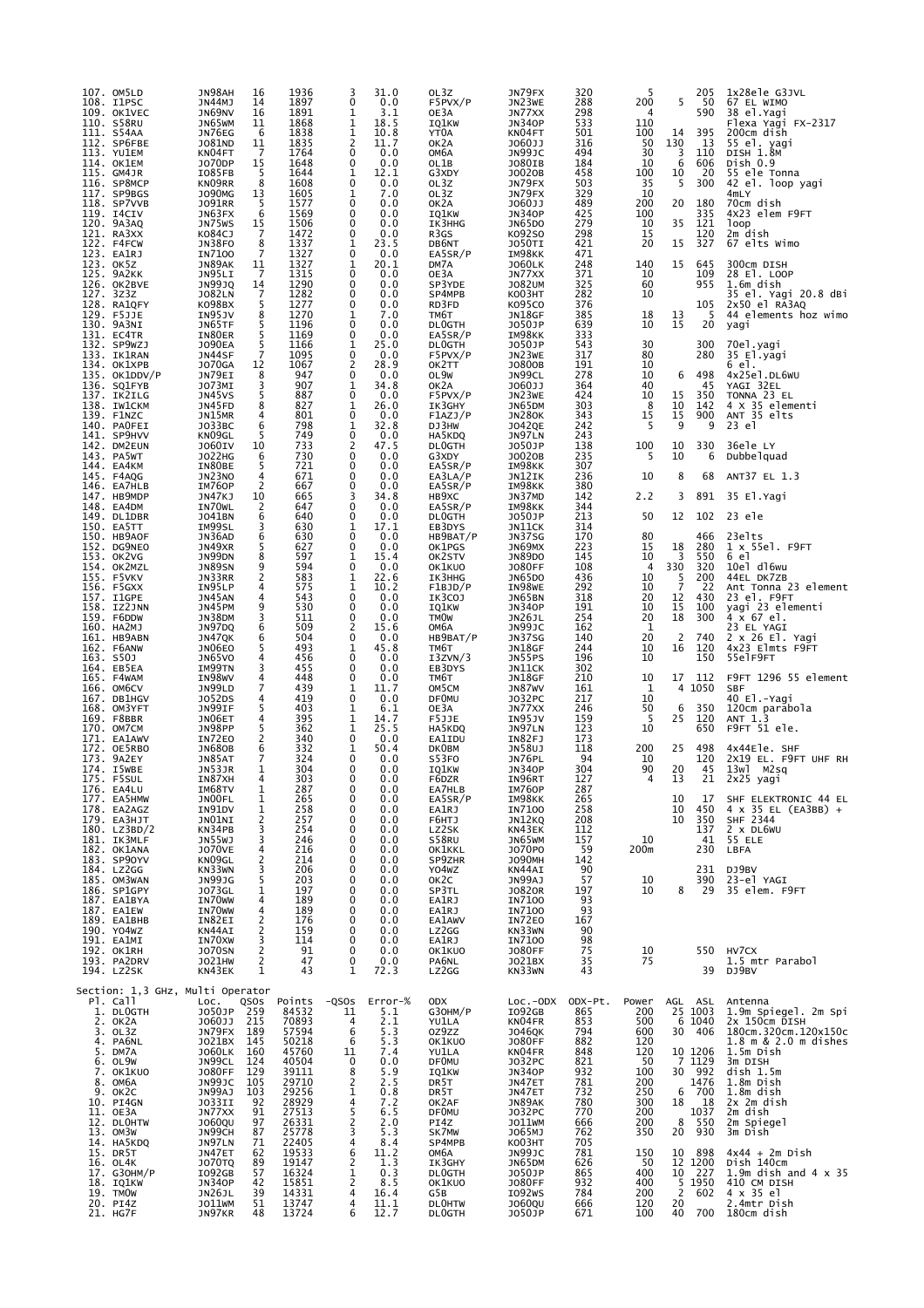| 107. OM5LD<br>108. I1PSC<br>109. OK1VEC<br>110. S58RU<br>111. S54AA<br>112. SP6FBE<br>113. YU1EM<br>114. OK1EM<br>115. GM4JR<br>116. SP8MCP<br>117. SP9BGS<br>118. SP7VVB<br>119. I4CIV<br>120. 9A3AQ<br>121. RA3XX<br>122. F4FCW<br>123. EA1RJ<br>123. OK5Z<br>125. 9A2KK<br>126. OK2BVE<br>127. 3z3z<br>128. RA1QFY<br>129. F5JJE<br>130. 9A3NI<br>131. EC4TR<br>132. SP9WZJ<br>133. IK1RAN<br>134. OK1XPB<br>135. OK1DDV/P<br>136. SQ1FYB<br>137. IK2ILG<br>138. IW1CKM<br>139. F1NZC<br>140. PAOFEI<br>141. SP9HVV<br>142. DM2EUN<br>143. PA5WT<br>144. EA4KM<br>145. F4AQG<br>146. EA7HLB<br>147. НВ9МDР<br>148. EA4DM<br>149. DL1DBR<br>150. EA5TT<br>150. HB9AOF<br>152. DG9NEO<br>153. OK2VG<br>154. OK2MZL<br>155. F5VKV<br>156. F5GXX<br>157. I1GPE<br>158. IZ2JNN<br>159. F6DDW<br>160. HA2MJ<br>161. HB9ABN<br>162. F6ANW<br>163. S50J<br>164. EB5EA<br>165. F4WAM<br>166. OM6CV<br>167. DB1HGV<br>168. OM3YFT<br>169. F8BBR<br>170. OM7CM<br>171. EA1AWV<br>172. OE5RBO<br>173. 9A2EY<br>174. I5WBE<br>175. F5SUL<br>176. EA4LU<br>177. EA5HMW<br>178. EA2AGZ<br>179. ЕАЗНЈТ<br>180. LZ3BD/2<br>181. IK3MLF<br>182. OK1ANA<br>183. SP90YV<br>184. LZ2GG<br>185. OM3WAN<br>186. SP1GPY<br>187. EA1BYA | JN98AH<br>16<br>JN44MJ<br>14<br>JN69NV<br>16<br>JN65WM<br>11<br>JN76EG<br>6<br>J081ND<br>11<br>7<br>KN04FT<br>15<br>J070DP<br>I085FB<br>5<br>8<br>KN09RR<br><b>JO90MG</b><br>13<br><b>JO91RR</b><br>-5<br>6<br>JN63FX<br>JN75WS<br>15<br>K084CJ<br>7<br><b>JN38FO</b><br>8<br>7<br><b>IN7100</b><br>JN89AK<br>11<br>$\overline{7}$<br>JN95LI<br><b>JN99JQ</b><br>14<br>$\overline{7}$<br><b>JO82LN</b><br>5<br>KO98BX<br>IN95JV<br>8<br>5<br>JN65TF<br>5<br>IN80ER<br>5<br><b>JO90EA</b><br>$\overline{7}$<br>JN44SF<br><b>JO70GA</b><br>12<br>JN79EI<br>8<br>3<br>JO73MI<br>5<br>JN45VS<br>JN45FD<br>8<br>JN15MR<br>4<br>6<br>JO33BC<br>KN09GL<br>5<br><b>JO60IV</b><br>10<br>6<br>J022HG<br>IN80BE<br>5<br>JN23NO<br>4<br>2<br>IM760P<br>JN47KJ<br>10<br>IN70WL<br>2<br>6<br>J041BN<br>IM99SL<br>3<br>JN36AD<br>6<br>JN49XR<br>5<br>JN99DN<br>8<br>9<br><b>JN89SN</b><br>2<br>JN33RR<br>IN95LP<br>4<br>JN45AN<br>4<br>9<br>JN45PM<br>3<br>JN38DM<br>JN97DQ<br>6<br>6<br>JN47QK<br>JN06E0<br>5<br>4<br>JN65VO<br>IM99TN<br>3<br>IN98WV<br>4<br>7<br>JN99LD<br>4<br>J052DS<br>5<br>JN99IF<br>JN06ET<br>4<br>5<br>JN98PP<br>2<br>IN72E0<br>6<br><b>JN680B</b><br>7<br>JN85AT<br>JN53JR<br>1<br>4<br>IN87XH<br>IM68TV<br>1<br>JN00FL<br>1<br>IN91DV<br>1<br>JNO1NI<br>2<br>KN34PB<br>3<br><b>JN55WJ</b><br>3<br><b>JO70VE</b><br>4<br>KN09GL<br>$\frac{2}{3}$<br>KN33WN<br>5<br>JN99JG<br><b>JO73GL</b><br>1<br>IN70WW<br>4<br>IN70WW<br>4 | 1936<br>3<br>1897<br>0<br>1891<br>1<br>1868<br>$\mathbf{1}$<br>$\mathbf 1$<br>1838<br>2<br>1835<br>0<br>1764<br>0<br>1648<br>1644<br>1<br>0<br>1608<br>1605<br>1<br>0<br>1577<br>0<br>1569<br>1506<br>0<br>1472<br>0<br>1337<br>1<br>1327<br>0<br>1327<br>1<br>0<br>1315<br>1290<br>0<br>1282<br>0<br>1277<br>0<br>1270<br>1<br>0<br>1196<br>0<br>1169<br>1166<br>1<br>0<br>1095<br>$\overline{2}$<br>1067<br>947<br>0<br>907<br>1<br>$\mathbf 0$<br>887<br>827<br>1<br>0<br>801<br>798<br>1<br>0<br>749<br>2<br>733<br>$\mathbf 0$<br>730<br>721<br>0<br>671<br>0<br>0<br>667<br>665<br>3<br>0<br>647<br>0<br>640<br>630<br>1<br>630<br>0<br>627<br>0<br>597<br>1<br>$\mathbf 0$<br>594<br>583<br>1<br>575<br>1<br>543<br>0<br>530<br>0<br>511<br>$\mathbf 0$<br>2<br>509<br>0<br>504<br>493<br>1<br>456<br>0<br>455<br>0<br>448<br>0<br>439<br>1<br>419<br>0<br>403<br>1<br>1<br>395<br>$\mathbf{1}$<br>362<br>340<br>0<br>332<br>1<br>0<br>324<br>304<br>0<br>303<br>$\mathbf 0$<br>287<br>0<br>265<br>0<br>258<br>0<br>257<br>0<br>254<br>0<br>246<br>0<br>216<br>0<br>214<br>$\mathbf 0$<br>206<br>0<br>0<br>203<br>197<br>0<br>189<br>0<br>189<br>0 | 31.0<br>0.0<br>3.1<br>18.5<br>10.8<br>11.7<br>0.0<br>0.0<br>12.1<br>0.0<br>7.0<br>0.0<br>0.0<br>0.0<br>0.0<br>23.5<br>0.0<br>20.1<br>0.0<br>0.0<br>0.0<br>0.0<br>7.0<br>0.0<br>0.0<br>25.0<br>0.0<br>28.9<br>0.0<br>34.8<br>0.0<br>26.0<br>0.0<br>32.8<br>0.0<br>47.5<br>0.0<br>0.0<br>0.0<br>0.0<br>34.8<br>0.0<br>0.0<br>17.1<br>0.0<br>0.0<br>15.4<br>0.0<br>22.6<br>10.2<br>0.0<br>0.0<br>0.0<br>15.6<br>0.0<br>45.8<br>0.0<br>0.0<br>0.0<br>11.7<br>0.0<br>6.1<br>14.7<br>25.5<br>0.0<br>50.4<br>0.0<br>0.0<br>0.0<br>0.0<br>0.0<br>0.0<br>0.0<br>0.0<br>0.0<br>0.0<br>0.0<br>0.0<br>0.0<br>0.0<br>0.0<br>0.0 | OL3Z<br>F5PVX/P<br>OE3A<br>IQ1KW<br>YT0A<br>OK <sub>2</sub> A<br>ОМ6А<br>OL1B<br>G3XDY<br>OL3Z<br>OL3Z<br>OK <sub>2</sub> A<br>IQ1KW<br>IK3HHG<br>R3GS<br>DB6NT<br>EA5SR/P<br>DM7A<br>OE3A<br>SP3YDE<br>SP4MPB<br>RD3FD<br>TM6T<br><b>DLOGTH</b><br>EA5SR/P<br><b>DLOGTH</b><br>F5PVX/P<br>OK2TT<br>OL9W<br>OK2A<br>F5PVX/P<br>IK3GHY<br>F1AZJ/P<br>DJ3HW<br>HA5KDQ<br><b>DLOGTH</b><br>G3XDY<br>EA5SR/P<br>EA3LA/P<br>EA5SR/P<br>HB9XC<br>EA5SR/P<br><b>DLOGTH</b><br>EB3DYS<br>HB9BAT/P<br>OK1PGS<br>OK2STV<br>OK1KU0<br>IK3HHG<br>F1BJD/P<br>IK3COJ<br><b>IQ1KW</b><br><b>TMOW</b><br>ОМ6А<br>HB9BAT/P<br>TM6T<br>I3ZVN/3<br>EB3DYS<br>TM6T<br>OM5CM<br><b>DF0MU</b><br>OE3A<br>F5JJE<br>HA5KDQ<br>EA1IDU<br><b>DKOBM</b><br>S53FO<br>IQ1KW<br>F6DZR<br>EA7HLB<br>EA5SR/P<br>EA1RJ<br>F6HTJ<br>LZ2SK<br>S58RU<br><b>OK1KKL</b><br>SP9ZHR<br>Y04WZ<br>OK <sub>2</sub> C<br>SP3TL<br>EA1RJ<br>EA1RJ | JN79FX<br>JN23WE<br>JN77XX<br><b>JN340P</b><br>KN04FT<br>J060JJ<br>JN99JC<br>J080IB<br>J0020B<br>JN79FX<br>JN79FX<br>J060JJ<br><b>JN340P</b><br><b>JN65DO</b><br>K092S0<br><b>JO50TI</b><br>IM98KK<br><b>JO60LK</b><br>JN77XX<br><b>JO82UM</b><br><b>KO03HT</b><br>K095C0<br>JN18GF<br>J050JP<br>IM98KK<br>J050JP<br>JN23WE<br>J0800B<br>JN99CL<br>J060JJ<br>JN23WE<br>JN65DM<br><b>JN280K</b><br><b>JO42QE</b><br>JN97LN<br>J050JP<br>J0020B<br>IM98KK<br>JN12IK<br>IM98KK<br>JN37MD<br>IM98KK<br>J050JP<br>JN11CK<br>JN37SG<br>JN69MX<br><b>JN89DO</b><br><b>JO80FF</b><br>JN65DO<br>IN98WE<br>JN65BN<br><b>JN340P</b><br>JN26JL<br>JN99JC<br>JN37SG<br>JN18GF<br>JN55PS<br>JN11CK<br>JN18GF<br><b>JN87WV</b><br>J032PC<br>JN77XX<br>IN95JV<br>JN97LN<br>IN82FJ<br><b>JN58UJ</b><br>JN76PL<br><b>JN340P</b><br>IN96RT<br>IM760P<br>IM98KK<br>IN7100<br>JN12KQ<br>KN43EK<br>JN65WM<br><b>JO70PO</b><br>JO90MH<br>KN44AI<br>JN99AJ<br>J0820R<br>IN7100 | 320<br>288<br>298<br>533<br>501<br>316<br>494<br>184<br>458<br>503<br>329<br>489<br>425<br>279<br>298<br>421<br>471<br>248<br>371<br>325<br>282<br>376<br>385<br>639<br>333<br>543<br>317<br>191<br>278<br>364<br>424<br>303<br>343<br>242<br>243<br>138<br>235<br>307<br>236<br>380<br>142<br>344<br>213<br>314<br>170<br>223<br>145<br>108<br>436<br>292<br>318<br>191<br>254<br>162<br>140<br>244<br>196<br>302<br>210<br>161<br>217<br>246<br>159<br>123<br>173<br>118<br>94<br>304<br>127<br>287<br>265<br>258<br>208<br>112<br>157<br>59<br>142<br>90<br>57<br>197<br>93<br>93 | 5<br>200<br>4<br>110<br>100<br>50<br>30<br>10<br>100<br>35<br>10<br>200<br>100<br>10<br>15<br>20<br>140<br>10<br>60<br>10<br>18<br>10<br>30<br>80<br>10<br>10<br>40<br>10<br>8<br>15<br>5<br>100<br>5<br>10<br>2.2<br>50<br>80<br>15<br>10<br>$\overline{4}$<br>10<br>10<br>20<br>10<br>20<br>1<br>20<br>10<br>10<br>10<br>1<br>10<br>50<br>5<br>10<br>200<br>10<br>90<br>4<br>10<br>200m<br>10<br>10 | 205<br>5<br>50<br>590<br>395<br>14<br>130<br>13<br>3<br>110<br>6<br>606<br>10<br>20<br>5<br>300<br>20<br>180<br>335<br>35<br>121<br>120<br>15<br>327<br>15<br>645<br>109<br>955<br>105<br>5<br>13<br>15<br>20<br>300<br>280<br>6<br>498<br>45<br>350<br>15<br>10<br>142<br>15<br>900<br>9<br>9<br>10<br>330<br>10<br>6<br>8<br>68<br>3<br>891<br>12<br>102<br>466<br>18<br>280<br>3<br>550<br>330<br>320<br>200<br>5<br>$\overline{7}$<br>22<br>12<br>430<br>15<br>100<br>18<br>300<br>2<br>740<br>16<br>120<br>150<br>17<br>112<br>1050<br>4<br>6<br>350<br>120<br>25<br>650<br>25<br>498<br>120<br>20<br>45<br>13<br>21<br>10<br>17<br>450<br>10<br>10<br>350<br>137<br>41<br>230<br>231<br>390<br>8<br>29 | 1x28ele G3JVL<br>67 EL WIMO<br>38 el.Yagi<br>Flexa Yagi FX-2317<br>200cm dish<br>55 el. yagi<br>DISH 1.8M<br>Dish 0.9<br>55 ele Tonna<br>42 el. loop yagi<br>4mLY<br>70cm dish<br>4X23 elem F9FT<br>1oop<br>2m dish<br>67 elts Wimo<br>300cm DISH<br>28 E1. LOOP<br>1.6m dish<br>35 el. Yagi 20.8 dBi<br>2x50 el RA3AQ<br>44 elements hoz wimo<br>yagi<br>70el <sub>:</sub> yagi<br>35 El.yagi<br>6 el.<br>4x25el.DL6WU<br>YAGI 32EL<br>TONNA 23 EL<br>4 X 35 elementi<br>ANT 35 elts<br>23 el<br>36ele LY<br>Dubbe I quad<br>ANT37 EL 1.3<br>35 El.Yagi<br>23 ele<br>23elts<br>1 x 55el. F9FT<br>6 el<br>10el dl6wu<br>44EL DK7ZB<br>Ant Tonna 23 element<br>23 el. F9FT<br>yagi 23 elementi<br>4 x 67 el.<br>23 EL YAGI<br>2 x 26 El. Yagi<br>4x23 Elmts F9FT<br>55elF9FT<br>F9FT 1296 55 element<br><b>SBF</b><br>40 El.-Yagi<br>120cm parabola<br>ANT 1.3<br>F9FT 51 ele.<br>4x44Ele. SHF<br>2X19 EL. F9FT UHF RH<br>13w1<br>M2sq<br>2x25 yagi<br>SHF ELEKTRONIC 44 EL<br>4 x 35 EL (EA3BB) +<br>SHF 2344<br>2 x DL6WU<br>55 ELE<br>LBFA<br>DJ9BV<br>23-el YAGI<br>35 elem. F9FT |
|-------------------------------------------------------------------------------------------------------------------------------------------------------------------------------------------------------------------------------------------------------------------------------------------------------------------------------------------------------------------------------------------------------------------------------------------------------------------------------------------------------------------------------------------------------------------------------------------------------------------------------------------------------------------------------------------------------------------------------------------------------------------------------------------------------------------------------------------------------------------------------------------------------------------------------------------------------------------------------------------------------------------------------------------------------------------------------------------------------------------------------------------------------------------------------------------------------------------|------------------------------------------------------------------------------------------------------------------------------------------------------------------------------------------------------------------------------------------------------------------------------------------------------------------------------------------------------------------------------------------------------------------------------------------------------------------------------------------------------------------------------------------------------------------------------------------------------------------------------------------------------------------------------------------------------------------------------------------------------------------------------------------------------------------------------------------------------------------------------------------------------------------------------------------------------------------------------------------------------------------------------------------------------------------------------------------------------------------------------------------------------------------------------------------------------------------------------------------------------------------------------------------------------------------------------------------------------------------------------------------------------------------------------------------|-----------------------------------------------------------------------------------------------------------------------------------------------------------------------------------------------------------------------------------------------------------------------------------------------------------------------------------------------------------------------------------------------------------------------------------------------------------------------------------------------------------------------------------------------------------------------------------------------------------------------------------------------------------------------------------------------------------------------------------------------------------------------------------------------------------------------------------------------------------------------------------------------------------------------------------------------------------------------------------------------------------------------------------------------------------------------------------------------------------------------------------------------------------|--------------------------------------------------------------------------------------------------------------------------------------------------------------------------------------------------------------------------------------------------------------------------------------------------------------------------------------------------------------------------------------------------------------------------------------------------------------------------------------------------------------------------------------------------------------------------------------------------------------------|------------------------------------------------------------------------------------------------------------------------------------------------------------------------------------------------------------------------------------------------------------------------------------------------------------------------------------------------------------------------------------------------------------------------------------------------------------------------------------------------------------------------------------------------------------------------------------------------------------------------------------------------------------------------------------------------------------------------------------------------------------------------------------------------------------------------------------------------------------------------------------------------------|--------------------------------------------------------------------------------------------------------------------------------------------------------------------------------------------------------------------------------------------------------------------------------------------------------------------------------------------------------------------------------------------------------------------------------------------------------------------------------------------------------------------------------------------------------------------------------------------------------------------------------------------------------------------------------------------------------------------------------------------------------------------------------------------------------------------------------------------------------------------------------------------------------------------------------------------------------|--------------------------------------------------------------------------------------------------------------------------------------------------------------------------------------------------------------------------------------------------------------------------------------------------------------------------------------------------------------------------------------------------------------------------------------------------------------------------------------------------------------------------------------------------------------------------------------|-------------------------------------------------------------------------------------------------------------------------------------------------------------------------------------------------------------------------------------------------------------------------------------------------------------------------------------------------------------------------------------------------------|--------------------------------------------------------------------------------------------------------------------------------------------------------------------------------------------------------------------------------------------------------------------------------------------------------------------------------------------------------------------------------------------------------------------------------------------------------------------------------------------------------------------------------------------------------------------------------------------------------------------------------------------------------------------------------------------------------------|--------------------------------------------------------------------------------------------------------------------------------------------------------------------------------------------------------------------------------------------------------------------------------------------------------------------------------------------------------------------------------------------------------------------------------------------------------------------------------------------------------------------------------------------------------------------------------------------------------------------------------------------------------------------------------------------------------------------------------------------------------------------------------------------------------------------------------------------------------------------------------------------------------------------------------------------------------------------------------------------------------------------------------------------------------------------------------------|
| 187. EA1EW<br>189. EA1BHB<br>190. YO4WZ<br>191. EA1MI<br>192. OK1RH<br>193. PA2DRV<br>194. LZ2SK                                                                                                                                                                                                                                                                                                                                                                                                                                                                                                                                                                                                                                                                                                                                                                                                                                                                                                                                                                                                                                                                                                                  | IN82EI<br>$\frac{2}{2}$<br>KN44AI<br>IN70XW<br>3<br>2<br><b>JO70SN</b><br>2<br>J021HW<br>1<br>KN43EK                                                                                                                                                                                                                                                                                                                                                                                                                                                                                                                                                                                                                                                                                                                                                                                                                                                                                                                                                                                                                                                                                                                                                                                                                                                                                                                                     | 176<br>$\mathbf 0$<br>159<br>0<br>114<br>0<br>91<br>$\mathbf 0$<br>47<br>0<br>$\mathbf{1}$<br>43                                                                                                                                                                                                                                                                                                                                                                                                                                                                                                                                                                                                                                                                                                                                                                                                                                                                                                                                                                                                                                                          | 0.0<br>0.0<br>0.0<br>0.0<br>0.0<br>72.3                                                                                                                                                                                                                                                                                                                                                                                                                                                                                                                                                                            | <b>EA1AWV</b><br>LZ2GG<br>EA1RJ<br>OK1KUO<br>PA6NL<br>LZ2GG                                                                                                                                                                                                                                                                                                                                                                                                                                                                                                                                                                                                                                                                                                                                                                                                                                          | IN7100<br>IN72E0<br>KN33WN<br>IN7100<br><b>JO80FF</b><br>J021BX<br>KN33WN                                                                                                                                                                                                                                                                                                                                                                                                                                                                                                                                                                                                                                                                                                                                                                                                                                                                              | 167<br>90<br>98<br>75<br>35<br>43                                                                                                                                                                                                                                                                                                                                                                                                                                                                                                                                                    | 10<br>75                                                                                                                                                                                                                                                                                                                                                                                              | 550<br>39                                                                                                                                                                                                                                                                                                                                                                                                                                                                                                                                                                                                                                                                                                    | HV7CX<br>1.5 mtr Parabol<br>DJ9BV                                                                                                                                                                                                                                                                                                                                                                                                                                                                                                                                                                                                                                                                                                                                                                                                                                                                                                                                                                                                                                                    |
| Section: 1,3 GHz, Multi Operator<br>Pl. Call<br>1. DLOGTH<br>2. OK2A<br>3. OL3Z<br>4. PA6NL<br>5. DM7A<br>6. OL9W<br>7. OK1KUO<br>8. ОМбА<br>9. OK2C<br>10. PI4GN<br>11. OE3A<br>12. DLOHTW<br>13. OM3W<br>14. HA5KDQ<br>15. DR5T<br>16. OL4K<br>17. G30HM/P<br>18. IQ1KW<br>19. TMOW<br>20. PI4Z<br>21. HG7F                                                                                                                                                                                                                                                                                                                                                                                                                                                                                                                                                                                                                                                                                                                                                                                                                                                                                                     | QSOS<br>LOC.<br>259<br>J050JP<br>215<br>J060JJ<br>JN79FX 189<br>JO21BX 145<br>JO60LK 160<br>JN99CL<br>124<br><b>JO80FF</b><br>129<br>JN99JC<br>105<br>JN99AJ<br>JO <u>33</u> II<br>$\frac{103}{92}$<br>JN77XX<br>91<br>J060QU<br>97<br>JN99CH<br>87<br>JN97LN<br>71<br>JN47ET<br>62<br><b>JO70TQ</b><br>89<br>I092GB<br>57<br><b>JN340P</b><br>42<br>JN26JL<br>39<br>JO11WM<br>51<br>JN97KR<br>48                                                                                                                                                                                                                                                                                                                                                                                                                                                                                                                                                                                                                                                                                                                                                                                                                                                                                                                                                                                                                                        | Points<br>$-QSOS$<br>84532<br>11<br>70893<br>4<br>57594<br>50218<br>6<br>6<br>45760<br>11<br>40504<br>0<br>39111<br>$\frac{8}{2}$<br>29710<br>29256<br>$\mathbf 1$<br>28929<br>4<br>5<br>27513<br>$\frac{2}{3}$<br>26331<br>25778<br>22405<br>4<br>6<br>19533<br>19147<br>2<br>16324<br>1<br>15851<br>2<br>14331<br>4<br>13747<br>4<br>13724<br>6                                                                                                                                                                                                                                                                                                                                                                                                                                                                                                                                                                                                                                                                                                                                                                                                         | $Error-%$<br>5.1<br>2.1<br>5.3<br>5.3<br>7.4<br>0.0<br>5.9<br>2.5<br>0.8<br>7.2<br>6.5<br>2.0<br>5.3<br>8.4<br>11.2<br>1.3<br>0.3<br>8.5<br>16.4<br>11.1<br>12.7                                                                                                                                                                                                                                                                                                                                                                                                                                                   | <b>ODX</b><br>G30HM/P<br>YU1LA<br>0Z9ZZ<br>OK1KUO<br>YU1LA<br><b>DF0MU</b><br><b>IQ1KW</b><br>DR <sub>5</sub> T<br>DR5T<br>OK2AF<br><b>DF0MU</b><br>PI4Z<br>SK7MW<br>SP4MPB<br>ОМ6А<br>IK3GHY<br><b>DLOGTH</b><br>OK1KU0<br>G5B<br><b>DLOHTW</b><br><b>DLOGTH</b>                                                                                                                                                                                                                                                                                                                                                                                                                                                                                                                                                                                                                                    | $Loc.-ODX$<br>IO92GB<br>KNO4FR<br><b>JO46QK</b><br>JO80FF<br>KN04FR<br>J032PC<br><b>JN340P</b><br>JN47ET<br>JN47ET<br>JN89AK<br>J032PC<br>J011WM<br>J065MJ<br>KO03HT<br>JN99JC<br>JN65DM<br>JO50JP<br><b>JO80FF</b><br>I092WS<br>J060QU<br>J050JP                                                                                                                                                                                                                                                                                                                                                                                                                                                                                                                                                                                                                                                                                                      | ODX-Pt.<br>865<br>853<br>794<br>882<br>848<br>821<br>932<br>781<br>732<br>780<br>770<br>666<br>762<br>705<br>781<br>626<br>865<br>932<br>784<br>666<br>671                                                                                                                                                                                                                                                                                                                                                                                                                           | Power<br>200<br>500<br>600<br>120<br>120<br>50<br>100<br>200<br>250<br>300<br>200<br>200<br>350<br>$\substack{150\\50}$<br>400<br>400<br>200<br>120<br>100                                                                                                                                                                                                                                            | AGL ASL<br>25 1003<br>6 1040<br>30<br>406<br>10 1206<br>7 1129<br>30 992<br>1476<br>6<br>700<br>18<br>18<br>1037<br>8<br>550<br>930<br>20<br>10<br>898<br>12 1200<br>10<br>227<br>$\begin{array}{cc} 5 & 1950 \\ 2 & 602 \end{array}$<br>20<br>700<br>40                                                                                                                                                                                                                                                                                                                                                                                                                                                     | Antenna<br>1.9m Spiegel. 2m Spi<br>2x 150cm DISH<br>180cm.320cm.120x150c<br>1.8 m & 2.0 m dishes<br>1.5m Dish<br>3m DISH<br>dish 1.5m<br>1.8m Dish<br>1.8m dish<br>2x 2m dish<br>2m dish<br>2m Spiegel<br>3m Dish<br>$4x44 + 2m$ Dish<br>Dish 140cm<br>1.9m dish and $4 \times 35$<br>410 CM DISH<br>4 x 35 el<br>2.4mtr Dish<br>180cm dish                                                                                                                                                                                                                                                                                                                                                                                                                                                                                                                                                                                                                                                                                                                                          |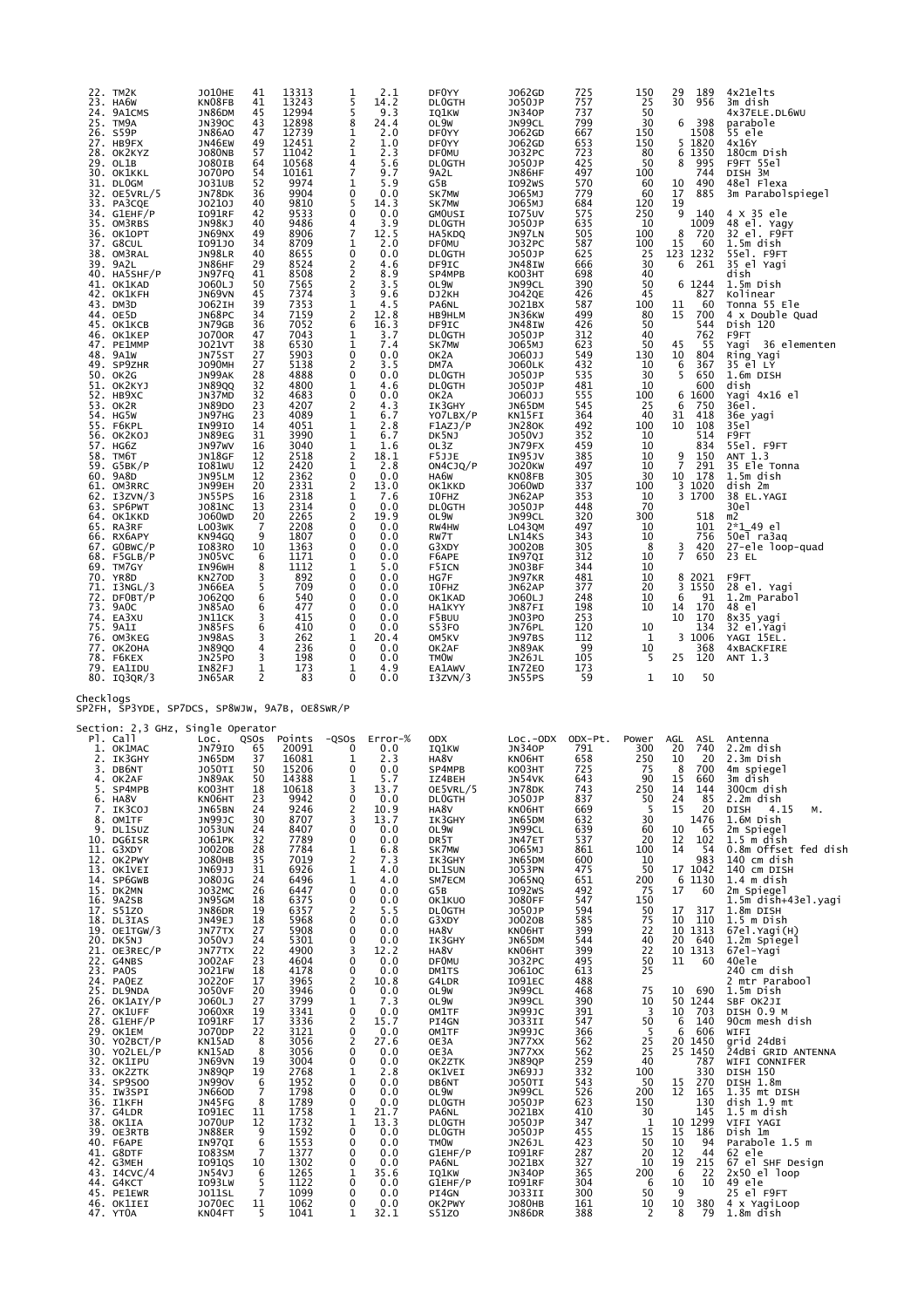| 22. TM2K<br>23.<br>HA6W<br>24. 9A1CMS<br>25. TM9A<br>26. S59P<br>27. HB9FX<br>28. OK2KYZ<br>29. OL1B<br>30. OK1KKL<br>31. DLOGM<br>32. OE5VRL/5<br>33. PA3CQE<br>34. G1EHF/P<br>35. OM3RBS<br>36. ОК1ОРТ<br>37. G8CUL<br>38. OM3RAL<br>39. 9A2L<br>40. HA5SHF/P<br>41. OK1KAD<br>42. OK1KFH<br>43. DM3D<br>44. OE5D<br>45. OK1KCB<br>46. OK1KEP<br>47. PE1MMP<br>48. 9A1W<br>49. SP9ZHR<br>50. OK2G<br>51. OK2KYJ<br>52. НВ9ХС<br>53. OK2R<br>54. HG5W<br>55. F6KPL<br>56. OK2KOJ<br>57. HG6Z<br>58. TM6T<br>59.<br>G5BK/P<br>60. 9A8D<br>61. OM3RRC<br>62. I3ZVN/3<br>63. SP6PWT<br>64. OK1KKD<br>65. RA3RF<br>66. RX6APY<br>67. GOBWC/P<br>$68.$ F5GLB/P<br>69. TM7GY<br>70. YR8D<br>71. I3NGL/3<br>72. DFOBT/P<br>73. 9AOC<br>74. EA3XU<br>75. 9A1I<br>76. OM3KEG<br>77. ОК2ОНА<br>78. F6KEX<br>79. EA1IDU<br>80. IQ3QR/3 | <b>JO10HE</b><br>KN08FB<br>JN86DM<br>JN390C<br><b>JN86AO</b><br>JN46EW<br><b>JO80NB</b><br>J080IB<br>J070P0<br>J031UB<br>JN78DK<br>J0210J<br>I091RF<br>JN98KJ<br>JN69NX<br>1091J0<br>JN98LR<br>JN86HF<br>JN97FQ<br>J060LJ<br>JN69VN<br>J062IH<br>JN68PC<br>JN79GB<br><b>JO700R</b><br><b>JO21VT</b><br>JN75ST<br><b>JO90MH</b><br>JN99AK<br><b>JN89QQ</b><br>JN37MD<br><b>JN89DO</b><br>JN97HG<br>IN99IO<br>JN89EG<br>JN97WV<br>JN18GF<br>I081WU<br>JN95LM<br>JN99EH<br>JN55PS<br><b>JO81NC</b><br>J060WD<br>LO03WK<br>KN94GQ<br>IO83RO<br>JN05VC<br>IN96WH<br><b>KN270D</b><br>JN66EA<br>J062Q0<br>JN85AO<br>JN11CK<br><b>JN85FS</b><br>JN98AS<br><b>JN89QO</b><br>JN25PO<br>IN82FJ<br>JN65AR | 13313<br>41<br>41<br>13243<br>12994<br>45<br>43<br>12898<br>47<br>12739<br>12451<br>49<br>57<br>11042<br>10568<br>64<br>54<br>10161<br>52<br>9974<br>36<br>9904<br>40<br>9810<br>42<br>9533<br>40<br>9486<br>8906<br>49<br>34<br>8709<br>40<br>8655<br>29<br>8524<br>41<br>8508<br>50<br>7565<br>45<br>7374<br>39<br>7353<br>34<br>7159<br>7052<br>36<br>47<br>7043<br>38<br>6530<br>27<br>5903<br>27<br>5138<br>28<br>4888<br>32<br>4800<br>$\overline{32}$<br>4683<br>23<br>4207<br>23<br>4089<br>4051<br>14<br>31<br>3990<br>16<br>3040<br>12<br>2518<br>12<br>2420<br>12<br>2362<br>20<br>2331<br>16<br>2318<br>2314<br>13<br>20<br>2265<br>-7<br>2208<br>9<br>1807<br>10<br>1363<br>6<br>1171<br>8<br>1112<br>3<br>892<br>5<br>709<br>6<br>540<br>6<br>477<br>3<br>415<br>410<br>6<br>3<br>262<br>4<br>236<br>3<br>198<br>1<br>173<br>2<br>83 | 2.1<br>1<br>5<br>14.2<br>5<br>9.3<br>8<br>24.4<br>1<br>2.0<br>$\frac{2}{1}$<br>1.0<br>2.3<br>4<br>5.6<br>7<br>9.7<br>5.9<br>1<br>0<br>0.0<br>5<br>14.3<br>$\mathbf 0$<br>0.0<br>4<br>3.9<br>7<br>12.5<br>1<br>2.0<br>0<br>0.0<br>$\frac{2}{2}$<br>4.6<br>8.9<br>2<br>3.5<br>3<br>9.6<br>$\mathbf 1$<br>4.5<br>2<br>12.8<br>6<br>16.3<br>$\mathbf{1}$<br>3.7<br>1<br>7.4<br>0<br>0.0<br>2<br>3.5<br>0<br>0.0<br>1<br>4.6<br>0<br>0.0<br>2<br>4.3<br>$\mathbf 1$<br>6.7<br>1<br>2.8<br>1<br>6.7<br>$\mathbf 1$<br>1.6<br>$\overline{2}$<br>18.1<br>$\mathbf{1}$<br>2.8<br>0<br>0.0<br>2<br>13.0<br>1<br>7.6<br>0<br>0.0<br>$\overline{\mathbf{c}}$<br>19.9<br>0<br>0.0<br>$\mathbf 0$<br>0.0<br>0<br>0.0<br>0<br>0.0<br>1<br>5.0<br>0<br>0.0<br>0<br>0.0<br>0<br>0.0<br>$\mathbf 0$<br>0.0<br>0<br>0.0<br>0<br>0.0<br>1<br>20.4<br>0<br>0.0<br>$\mathbf 0$<br>0.0<br>1<br>4.9<br>$\mathbf 0$<br>0.0 | DF0YY<br><b>DLOGTH</b><br>IQ1KW<br>OL9W<br>DF0YY<br>DF0YY<br><b>DFOMU</b><br><b>DLOGTH</b><br>9A2L<br>G5B<br>SK7MW<br>SK7MW<br><b>GMOUSI</b><br><b>DLOGTH</b><br>HA5KDQ<br><b>DFOMU</b><br><b>DLOGTH</b><br>DF9IC<br>SP4MPB<br>OL9W<br>DJ2KH<br>PA6NL<br>HB9HLM<br>DF9IC<br><b>DLOGTH</b><br>SK7MW<br>OK2A<br>DM7A<br><b>DLOGTH</b><br><b>DLOGTH</b><br>OK2A<br>IK3GHY<br>YO7LBX/P<br>F1AZJ/P<br>DK5NJ<br>OL3Z<br>F5JJE<br>ON4CJQ/P<br>HA6W<br>OK1KKD<br>I0FHZ<br><b>DLOGTH</b><br>OL9W<br>RW4HW<br>RW7T<br>G3XDY<br>F6APE<br>F5ICN<br>HG7F<br>I0FHZ<br>OK1KAD<br><b>HA1KYY</b><br>F5BUU<br>S53FO<br>OM5KV<br>OK2AF<br><b>TMOW</b><br><b>EA1AWV</b><br>I3ZVN/3 | J062GD<br>725<br>757<br>J050JP<br>737<br><b>JN340P</b><br>799<br>JN99CL<br>667<br>J062GD<br>653<br>J062GD<br>723<br>J032PC<br>J050JP<br>425<br>497<br>JN86HF<br>570<br>I092WS<br>J065MJ<br>779<br>684<br>J065MJ<br>575<br>I075UV<br>J050JP<br>635<br>505<br>JN97LN<br>587<br>J032PC<br>J050JP<br>625<br>666<br>JN48IW<br>698<br>KO03HT<br>390<br>JN99CL<br>426<br><b>JO42QE</b><br>J021BX<br>587<br>499<br>JN36KW<br>426<br>JN48IW<br>312<br>J050JP<br>J065MJ<br>623<br>549<br>J060JJ<br>432<br><b>JO60LK</b><br>J050JP<br>535<br>481<br>J050JP<br>555<br>J060JJ<br>JN65DM<br>545<br>364<br>KN15FI<br>492<br><b>JN280K</b><br>J050VJ<br>352<br>459<br>JN79FX<br>385<br>IN95JV<br><b>JO20KW</b><br>497<br>305<br>KN08FB<br>337<br>J060WD<br>JN62AP<br>353<br>448<br>J050JP<br>320<br>JN99CL<br>497<br>LO43QM<br>343<br>LN14KS<br>305<br>J0020B<br>312<br>IN97QI<br>JN03BF<br>344<br>481<br>JN97KR<br>JN62AP<br>377<br>248<br>J060LJ<br>198<br>JN87FI<br>253<br>JN03PO<br>120<br>JN76PL<br>112<br>JN97BS<br>JN89AK<br>99<br>105<br>JN26JL<br>173<br>IN72EO<br>59<br>JN55PS | 150<br>25<br>50<br>30<br>150<br>150<br>80<br>50<br>100<br>60<br>60<br>120<br>250<br>10<br>100<br>100<br>25<br>30<br>40<br>50<br>45<br>100<br>80<br>50<br>40<br>50<br>130<br>10<br>30<br>10<br>100<br>25<br>40<br>100<br>10<br>10<br>10<br>10<br>30<br>100<br>10<br>70<br>300<br>10<br>10<br>8<br>10<br>10<br>10<br>20<br>10<br>10<br>10<br>1<br>10<br>5<br>1 | 29<br>189<br>30<br>956<br>6<br>398<br>1508<br>1820<br>5<br>6 1350<br>8<br>995<br>744<br>490<br>10<br>17<br>885<br>19<br>$\overline{9}$<br>140<br>1009<br>8<br>720<br>15<br>60<br>123 1232<br>6<br>261<br>6 1244<br>827<br>11<br>60<br>700<br>15<br>544<br>762<br>45<br>- 55<br>10<br>804<br>$6\phantom{1}$<br>367<br>5<br>650<br>600<br>6<br>1600<br>6<br>750<br>31<br>418<br>108<br>10<br>514<br>834<br>9<br>150<br>$\overline{7}$<br>291<br>10<br>178<br>3 1020<br>3 1700<br>518<br>101<br>756<br>3<br>420<br>7<br>650<br>8 2021<br>3<br>1550<br>6<br>91<br>14<br>170<br>10<br>170<br>134<br>3<br>1006<br>368<br>120<br>25<br>10<br>50 | 4x21elts<br>3m dish<br>4x37ELE.DL6WU<br>parabole<br>55 ele<br>4x16Y<br>180cm Dish<br>F9FT 55el<br>DISH 3M<br>48el Flexa<br>3m Parabolspiegel<br>4 X 35 ele<br>48 el. Yagy<br>32 el. F9FT<br>1.5m dish<br>55el. F9FT<br>35 el Yagi<br>dish<br>1.5m Dish<br>Kolinear<br>Tonna 55 Ele<br>4 x Double Quad<br>Dish 120<br>F9FT<br>Yagi<br>36 elementen<br>Ring Yagi<br>35 el LY<br>1.6m DISH<br>dish<br>Yagi 4x16 el<br>36el.<br>36e yagi<br>35e1<br>F9FT<br>55el. F9FT<br>ANT 1.3<br>35 Ele Tonna<br>1.5m dish<br>dish 2m<br>38 EL.YAGI<br>30e1<br>m2<br>2*1_49 el<br>50el ra3aq<br>27-ele loop-quad<br>23 EL<br>F9FT<br>28 el. Yagi<br>1.2m Parabol<br>48 el<br>8x35 yagi<br>32 el.Yagi<br>YAGI 15EL.<br><b>4xBACKFIRE</b><br>ANT 1.3 |
|------------------------------------------------------------------------------------------------------------------------------------------------------------------------------------------------------------------------------------------------------------------------------------------------------------------------------------------------------------------------------------------------------------------------------------------------------------------------------------------------------------------------------------------------------------------------------------------------------------------------------------------------------------------------------------------------------------------------------------------------------------------------------------------------------------------------------|------------------------------------------------------------------------------------------------------------------------------------------------------------------------------------------------------------------------------------------------------------------------------------------------------------------------------------------------------------------------------------------------------------------------------------------------------------------------------------------------------------------------------------------------------------------------------------------------------------------------------------------------------------------------------------------------|----------------------------------------------------------------------------------------------------------------------------------------------------------------------------------------------------------------------------------------------------------------------------------------------------------------------------------------------------------------------------------------------------------------------------------------------------------------------------------------------------------------------------------------------------------------------------------------------------------------------------------------------------------------------------------------------------------------------------------------------------------------------------------------------------------------------------------------------------|---------------------------------------------------------------------------------------------------------------------------------------------------------------------------------------------------------------------------------------------------------------------------------------------------------------------------------------------------------------------------------------------------------------------------------------------------------------------------------------------------------------------------------------------------------------------------------------------------------------------------------------------------------------------------------------------------------------------------------------------------------------------------------------------------------------------------------------------------------------------------------------------------|----------------------------------------------------------------------------------------------------------------------------------------------------------------------------------------------------------------------------------------------------------------------------------------------------------------------------------------------------------------------------------------------------------------------------------------------------------------------------------------------------------------------------------------------------------------------------------------------------------------------------------------------------------------|--------------------------------------------------------------------------------------------------------------------------------------------------------------------------------------------------------------------------------------------------------------------------------------------------------------------------------------------------------------------------------------------------------------------------------------------------------------------------------------------------------------------------------------------------------------------------------------------------------------------------------------------------------------------------------------------------------------------------------------------------------------------------------------------------------------------------------------------------------------------------------------------------------------------------------------------------------------------------------------------------------------------------------------------------------------------------|--------------------------------------------------------------------------------------------------------------------------------------------------------------------------------------------------------------------------------------------------------------------------------------------------------------------------------------------------------------|------------------------------------------------------------------------------------------------------------------------------------------------------------------------------------------------------------------------------------------------------------------------------------------------------------------------------------------------------------------------------------------------------------------------------------------------------------------------------------------------------------------------------------------------------------------------------------------------------------------------------------------|------------------------------------------------------------------------------------------------------------------------------------------------------------------------------------------------------------------------------------------------------------------------------------------------------------------------------------------------------------------------------------------------------------------------------------------------------------------------------------------------------------------------------------------------------------------------------------------------------------------------------------------------------------------------------------------------------------------------------------|
| Checklogs<br>SP2FH, SP3YDE, SP7DCS, SP8WJW, 9A7B, OE8SWR/P<br>Section: 2,3 GHz, Single Operator<br>Pl. Call<br>1. OK1MAC<br>2. IK3GHY<br>3. DB6NT<br>4. OKZAF<br>5. SP4MPB<br>6. HA8V<br>IK3COJ<br>7.<br>8. OM1TF<br>9. DL1SUZ<br>10. DG6ISR<br>11. G3XDY<br>12. OK2PWY<br>13. OK1VEI<br>14. SP6GWB<br>15. DK2MN<br>16. 9A2SB<br>17. S51ZO<br>18. DL3IAS<br>19. OE1TGW/3<br>20. DK5NJ<br>21. OE3REC/P<br>22. G4NBS<br>23. PAOS<br>24. PAOEZ<br>25. DL9NDA<br>26. OK1AIY/P<br>27. OK1UFF<br>28. G1EHF/P<br>29. OK1EM<br>30. YO2BCT/P<br>30. YO2LEL/P<br>32. OK1IPU<br>33. OK2ZTK<br>34. SP9SOO<br>35. IW3SPI<br>36. I1KFH<br>37. G4LDR<br>38. OK1IA<br>39. OE3RTB<br>40. F6APE<br>41. G8DTF<br>42. G3MEH<br>43. I4CVC/4<br>44. G4KCT<br>45. PE1EWR<br>46. OK1IEI<br>47. YT0A                                                  | LOC.<br>QSOS<br>JN79IO<br>37<br>JN65DM<br>JO50TI<br>JN89AK<br>коознт<br>KN06HT<br>JN65BN<br>JN99JC<br><b>JO53UN</b><br>J061PK<br>J0020B<br><b>JO80HB</b><br>JN69JJ<br>J080JG<br><b>JO32MC</b><br>JN95GM<br>JN86DR<br>JN49EJ<br>JN77TX<br>J050VJ<br>JN77TX<br><b>JO02AF</b><br>J021FW<br>J0220F<br><b>JO50VF</b><br>J060LJ<br><b>JO60XR</b><br>I091RF<br>J070DP<br>KN15AD<br>KN15AD<br>JN69VN<br>JN89QP<br>JN990V<br>JN660D<br>JN45FG<br>I091EC<br><b>JO70UP</b><br><b>JN88ER</b><br>IN97QI<br>IO83SM<br><b>I091QS</b><br><b>JN54VJ</b><br>I093LW<br><b>JO11SL</b><br><b>JO70EC</b><br>KN04FT                                                                                                   | Points<br>65<br>20091<br>16081<br>50<br>15206<br>50<br>14388<br>18<br>10618<br>23<br>9942<br>9246<br>24<br>8707<br>30<br>8407<br>24<br>32<br>7789<br>28<br>7784<br>35<br>7019<br>31<br>6926<br>24<br>6496<br>26<br>6447<br>6375<br>18<br>19<br>6357<br>18<br>5968<br>27<br>5908<br>5301<br>24<br>22<br>4900<br>23<br>4604<br>4178<br>18<br>17<br>3965<br>20<br>3946<br>27<br>3799<br>19<br>3341<br>17<br>3336<br>22<br>3121<br>8<br>3056<br>8<br>3056<br>19<br>3004<br>19<br>2768<br>6<br>1952<br>$\overline{7}$<br>1798<br>8<br>1789<br>1758<br>11<br>12<br>1732<br>9<br>1592<br>6<br>1553<br>7<br>1377<br>1302<br>10<br>6<br>1265<br>5<br>1122<br>7<br>1099<br>1062<br>11<br>1041<br>5                                                                                                                                                           | $-QSOS$<br>Error-%<br>0<br>0.0<br>1<br>2.3<br>0<br>0.0<br>1<br>5.7<br>3<br>13.7<br>0<br>0.0<br>$\frac{2}{3}$<br>10.9<br>13.7<br>0<br>0.0<br>0<br>0.0<br>1<br>6.8<br>2<br>7.3<br>$\mathbf 1$<br>4.0<br>$\mathbf{1}$<br>4.0<br>0<br>0.0<br>0<br>0.0<br>2<br>5.5<br>0<br>0.0<br>0<br>0.0<br>$\mathbf 0$<br>0.0<br>3<br>12.2<br>$\mathbf 0$<br>0.0<br>0<br>0.0<br>2<br>10.8<br>0<br>0.0<br>1<br>7.3<br>0<br>0.0<br>2<br>15.7<br>0<br>0.0<br>2<br>27.6<br>0<br>0.0<br>0<br>0.0<br>1<br>2.8<br>$\mathbf 0$<br>0.0<br>$\mathbf 0$<br>0.0<br>0<br>0.0<br>1<br>21.7<br>1<br>13.3<br>0<br>0.0<br>$\mathbf 0$<br>0.0<br>0<br>0.0<br>0<br>0.0<br>1<br>35.6<br>0<br>0.0<br>0<br>0.0<br>0<br>0.0<br>1<br>32.1                                                                                                                                                                                                   | <b>ODX</b><br>IQ1KW<br>HA8V<br>SP4MPB<br>IZ4BEH<br>OE5VRL/5<br><b>DLOGTH</b><br>HA8V<br>IK3GHY<br>OL9W<br>DR5T<br>SK7MW<br>IK3GHY<br>DL1SUN<br>SM7ECM<br>G5B<br>OK1KUO<br><b>DLOGTH</b><br>G3XDY<br>HA8V<br>IK3GHY<br>HA8V<br><b>DF0MU</b><br>DM1TS<br>G4LDR<br>OL9W<br>OL9W<br>OM1TF<br>PI4GN<br>OM1TF<br>OE3A<br>OE3A<br>OK2ZTK<br>OK1VEI<br>DB6NT<br>OL9W<br><b>DLOGTH</b><br>PA6NL<br>DL0GTH<br><b>DLOGTH</b><br><b>TMOW</b><br>G1EHF/P<br>PA6NL<br>IQ1KW<br>G1EHF/P<br>PI4GN<br>OK2PWY<br>S51Z0                                                                                                                                                           | ODX-Pt.<br>$Loc.-ODX$<br>791<br><b>JN340P</b><br>KN06HT<br>658<br>KO03HT<br>725<br>643<br>JN54VK<br>JN78DK<br>743<br>J050JP<br>837<br>KNO6HT<br>JN65DM<br>669<br>632<br>JN99CL<br>639<br>537<br>JN47ET<br>J065MJ<br>861<br>JN65DM<br>600<br><b>JO53PN</b><br>475<br>651<br>J065NQ<br>I092WS<br>492<br><b>JO80FF</b><br>547<br>J050JP<br>594<br>J0020B<br>585<br>KN06HT<br>399<br>JN65DM<br>544<br>KN06HT<br>399<br>J032PC<br>495<br>J0610C<br>613<br>I091EC<br>488<br>JN99CL<br>468<br>390<br>JN99CL<br>JN99JC<br>391<br>J033II<br>547<br>JN99JC<br>366<br>JN77XX<br>562<br>JN77XX<br>562<br>259<br>JN89QP<br>JN69JJ<br>332<br><b>JO50TI</b><br>543<br>526<br>JN99CL<br>J050JP<br>623<br>J021BX<br>410<br>J050JP<br>347<br>J050JP<br>455<br>JN26JL<br>423<br>I091RF<br>287<br>J021BX<br>327<br><b>JN340P</b><br>365<br>I091RF<br>304<br>J033II<br>300<br>J080HB<br>161<br>JN86DR<br>388                                                                                                                                                                                  | Power<br>300<br>250<br>75<br>90<br>250<br>50<br>5<br>30<br>60<br>20<br>100<br>10<br>50<br>200<br>75<br>150<br>50<br>75<br>22<br>40<br>22<br>50<br>25<br>75<br>10<br>3<br>50<br>5<br>25<br>25<br>40<br>100<br>50<br>200<br>150<br>30<br>1<br>15<br>50<br>20<br>10<br>200<br>6<br>50<br>10<br>2                                                                | AGL<br>ASL<br>740<br>20<br>10<br>20<br>8<br>700<br>15<br>660<br>14<br>144<br>24<br>85<br>15<br>20<br>1476<br>10<br>65<br>12<br>102<br>14<br>54<br>983<br>17 1042<br>6 1130<br>17<br>60<br>17<br>317<br>110<br>10<br>10 1313<br>20<br>640<br>10 1313<br>11<br>60<br>690<br>10<br>50 1244<br>10<br>703<br>6<br>140<br>6<br>606<br>20 1450<br>25 1450<br>787<br>330<br>270<br>15<br>12<br>165<br>130<br>145<br>10 1299<br>15<br>186<br>10<br>94<br>12<br>44<br>19<br>215<br>6<br>22<br>10<br>10<br>9<br>10<br>380<br>8<br>79                                                                                                                | Antenna<br>2.2m dish<br>2.3m Dish<br>4m spiegel<br>3m dish<br>300cm dish<br>2.2m dish<br>4.15<br>DISH<br>Μ.<br>1.6M Dish<br>2m Spiegel<br>$1.5m$ dish<br>0.8m Offset fed dish<br>140 cm dish<br>140 cm DISH<br>$1.4m$ dish<br>2m Spiegel<br>1.5m dish+43el.yagi<br>1.8m DISH<br>$1.5m$ Dish<br>67el. Yagi(H)<br>1.2m Spiegel<br>67el-Yagi<br>40ele<br>240 cm dish<br>2 mtr Parabool<br>1.5m Dish<br>SBF OK2JI<br>DISH 0.9 M<br>90cm mesh dish<br>WIFI<br>grid 24dBi<br>Ž4dBi GRID ANTENNA<br>WIFI CONNIFER<br>DISH 150<br>DISH 1.8m<br>1.35 mt DISH<br>dish 1.9 mt<br>$1.5$ m dish<br>VIFI YAGI<br>Dish 1m<br>Parabole 1.5 m<br>62 ele<br>67 el SHF Design<br>$2x50$ el loop<br>49 ele<br>25 el F9FT<br>4 x YagiLoop<br>1.8m dish  |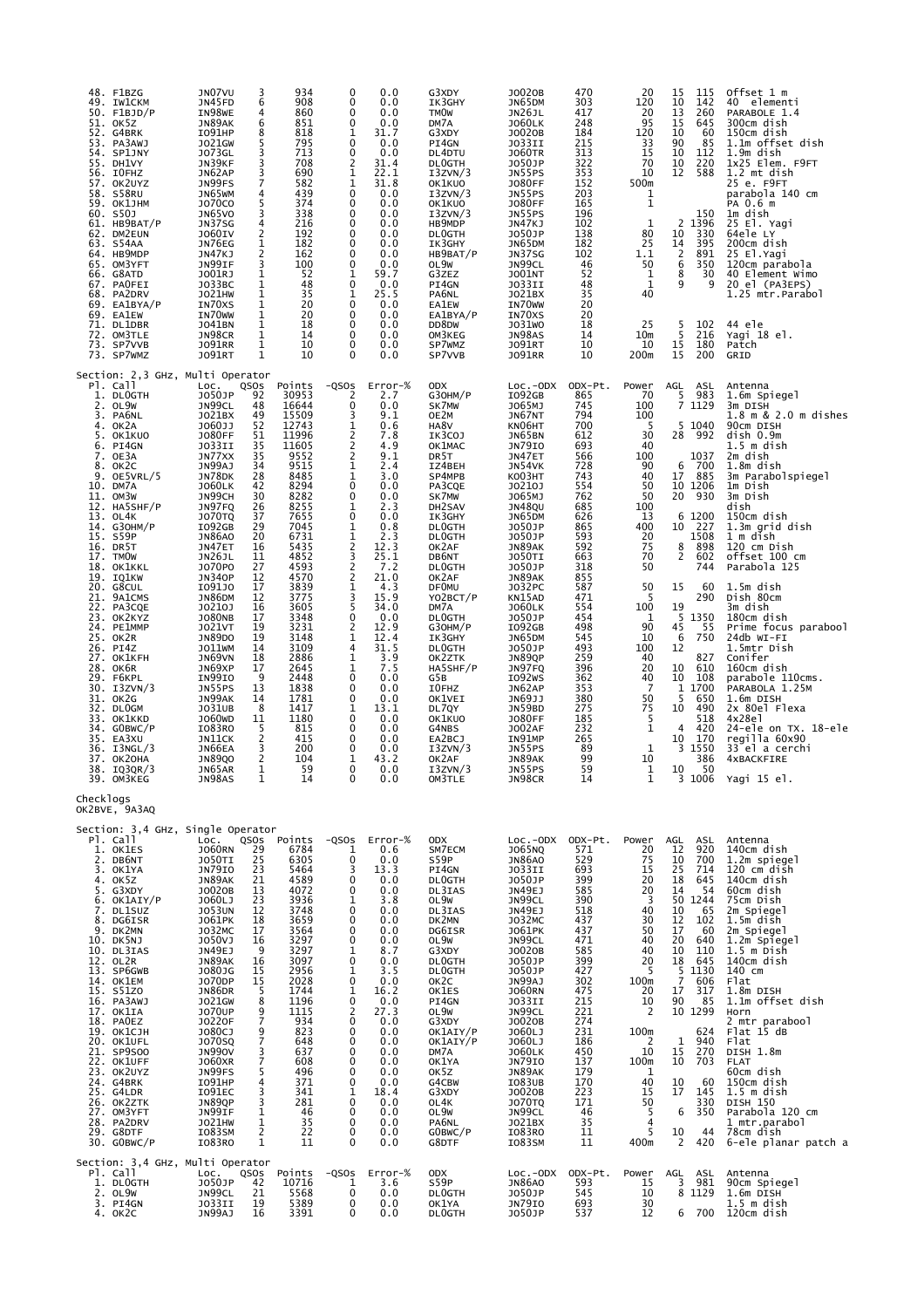| 48. F1BZG<br>49. IW1CKM<br>$50.$ F1BJD/P<br>51. OK5Z<br>52. G4BRK<br>53. PA3AWJ<br>54. SP1JNY<br>55. DH1VY<br>56. IOFHZ<br>57. OK2UYZ<br>58. S58RU<br>59. ОК1ЈНМ<br>60. S50J<br>61. HB9BAT/P<br>62. DM2EUN<br>63. S54AA<br>64. HB9MDP<br>65. OM3YFT<br>66. G8ATD<br>67. PAOFEI<br>68. PA2DRV<br>69. EA1BYA/P<br>69. EA1EW<br>71. DL1DBR<br>72. OM3TLE<br>73. SP7VVB<br>73. SP7WMZ                                                                                                                                                                                                                                      | JN07VU<br>6<br>JN45FD<br>IN98WE<br>JN89AK<br>6<br>I091HP<br>8<br>J021GW<br><b>JO73GL</b><br>JN39KF<br>JN62AP<br>JN99FS<br>JN65WM<br>4<br>J070C0<br>JN65VO<br>4<br>JN37SG<br>2<br><b>JO60IV</b><br>JN76EG<br>1<br>$\frac{2}{3}$<br>JN47KJ<br>JN99IF<br>1<br>J001RJ<br>1<br>JO33BC<br>1<br>JO21HW<br>IN70XS<br>1<br>1<br>IN70WW<br>$\mathbf{1}$<br>J041BN<br>$\mathbf{1}$<br>JN98CR<br>1<br>J091RR<br><b>JO91RT</b>                                                                                                                                                                                                                                                                                                                                           | 934<br>3<br>908<br>4<br>860<br>851<br>818<br>5<br>795<br>3<br>713<br>3<br>708<br>3<br>7<br>690<br>582<br>439<br>5<br>374<br>3<br>338<br>216<br>192<br>182<br>162<br>100<br>52<br>48<br>35<br>20<br>20<br>18<br>14<br>10<br>1<br>10                                                                                                | 0<br>$\mathbf 0$<br>$\mathbf 0$<br>$\mathbf 0$<br>1<br>$\mathbf 0$<br>0<br>$\overline{2}$<br>$\mathbf 1$<br>1<br>$\mathbf 0$<br>$\mathbf 0$<br>$\mathbf 0$<br>$\mathbf 0$<br>$\mathbf 0$<br>$\mathbf 0$<br>$\mathbf 0$<br>$\mathbf 0$<br>1<br>0<br>1<br>$\mathbf 0$<br>$\mathbf 0$<br>0<br>$\mathbf 0$<br>$\mathbf 0$<br>$\mathbf 0$                             | 0.0<br>0.0<br>0.0<br>0.0<br>31.7<br>0.0<br>0.0<br>31.4<br>22.1<br>31.8<br>0.0<br>0.0<br>0.0<br>0.0<br>0.0<br>0.0<br>0.0<br>0.0<br>59.7<br>0.0<br>25.5<br>0.0<br>0.0<br>0.0<br>0.0<br>0.0<br>0.0                                                                                                    | G3XDY<br>IK3GHY<br><b>TMOW</b><br>DM7A<br>G3XDY<br>PI4GN<br>DL4DTU<br><b>DLOGTH</b><br>I3ZVN/3<br>OK1KUO<br>I3ZVN/3<br>OK1KUO<br>I3ZVN/3<br>HB9MDP<br><b>DLOGTH</b><br>IK3GHY<br>HB9BAT/P<br>OL9W<br>G3ZEZ<br>PI4GN<br>PA6NL<br><b>EA1EW</b><br>EA1BYA/P<br>DD8DW<br>OM3KEG<br>SP7WMZ<br>SP7VVB                                                                                                                                               | J0020B<br>JN65DM<br>JN26JL<br><b>JO60LK</b><br>J0020B<br>J033II<br><b>JO60TR</b><br>J050JP<br>JN55PS<br><b>JO80FF</b><br>JN55PS<br><b>JO80FF</b><br>JN55PS<br>JN47KJ<br>J050JP<br>JN65DM<br><b>JN37SG</b><br>JN99CL<br><b>JO01NT</b><br>JO33II<br>J021BX<br>IN70WW<br>IN70XS<br>J031WO<br>JN98AS<br><b>JO91RT</b><br><b>JO91RR</b>                                                                                                                         | 470<br>303<br>417<br>248<br>184<br>215<br>313<br>322<br>353<br>152<br>203<br>165<br>196<br>102<br>138<br>182<br>102<br>46<br>52<br>48<br>35<br>20<br>20<br>18<br>14<br>10<br>10                                                                                                      | 20<br>120<br>20<br>95<br>120<br>33<br>$\overline{15}$<br>70<br>10<br>500m<br>1<br>$\mathbf 1$<br>1<br>80<br>25<br>1.1<br>50<br>1<br>$\mathbf{1}$<br>40<br>25<br>10 <sub>m</sub><br>10<br>200m                                                                                 | 115<br>15<br>10<br>142<br>260<br>13<br>15<br>645<br>10<br>60<br>90<br>85<br>10<br>112<br>10<br>220<br>12<br>588<br>150<br>1396<br>2<br>330<br>10<br>14<br>395<br>$\overline{2}$<br>891<br>350<br>6<br>8<br>30<br>9<br>9<br>$\frac{5}{5}$<br>102<br>216<br>15<br>180<br>15<br>200                                                                                                                         | Offset 1 m<br>40 elementi<br>PARABOLE 1.4<br>300cm dish<br>150cm dish<br>1.1m offset dish<br>1.9m dish<br>1x25 Elem. F9FT<br>1.2 mt dish<br>25 e. F9FT<br>parabola 140 cm<br>PA 0.6 m<br>1m dish<br>25 El. Yagi<br>64ele LY<br>200cm dish<br>25 El. Yagi<br>120cm parabola<br>40 Element Wimo<br>20 el (PA3EPS)<br>1.25 mtr.Parabol<br>44 ele<br>Yagi 18 el.<br>Patch<br>GRID                                                                                                                                                                                                            |
|------------------------------------------------------------------------------------------------------------------------------------------------------------------------------------------------------------------------------------------------------------------------------------------------------------------------------------------------------------------------------------------------------------------------------------------------------------------------------------------------------------------------------------------------------------------------------------------------------------------------|-------------------------------------------------------------------------------------------------------------------------------------------------------------------------------------------------------------------------------------------------------------------------------------------------------------------------------------------------------------------------------------------------------------------------------------------------------------------------------------------------------------------------------------------------------------------------------------------------------------------------------------------------------------------------------------------------------------------------------------------------------------|-----------------------------------------------------------------------------------------------------------------------------------------------------------------------------------------------------------------------------------------------------------------------------------------------------------------------------------|------------------------------------------------------------------------------------------------------------------------------------------------------------------------------------------------------------------------------------------------------------------------------------------------------------------------------------------------------------------|----------------------------------------------------------------------------------------------------------------------------------------------------------------------------------------------------------------------------------------------------------------------------------------------------|-----------------------------------------------------------------------------------------------------------------------------------------------------------------------------------------------------------------------------------------------------------------------------------------------------------------------------------------------------------------------------------------------------------------------------------------------|------------------------------------------------------------------------------------------------------------------------------------------------------------------------------------------------------------------------------------------------------------------------------------------------------------------------------------------------------------------------------------------------------------------------------------------------------------|--------------------------------------------------------------------------------------------------------------------------------------------------------------------------------------------------------------------------------------------------------------------------------------|-------------------------------------------------------------------------------------------------------------------------------------------------------------------------------------------------------------------------------------------------------------------------------|----------------------------------------------------------------------------------------------------------------------------------------------------------------------------------------------------------------------------------------------------------------------------------------------------------------------------------------------------------------------------------------------------------|------------------------------------------------------------------------------------------------------------------------------------------------------------------------------------------------------------------------------------------------------------------------------------------------------------------------------------------------------------------------------------------------------------------------------------------------------------------------------------------------------------------------------------------------------------------------------------------|
| Section: 2,3 GHz, Multi Operator<br>Pl. Call<br>1. DLOGTH<br>2.<br>OL9W<br>3.<br>PA6NL<br>4.<br>ОК2А<br>5.<br>OK1KUO<br>6. PI4GN<br>7. OE3A<br>8.<br>OK2C<br>OE5VRL/5<br>9.<br>10. DM7A<br>11. OM3W<br>12. HA5SHF/P<br>13. OL4K<br>14. G30HM/P<br>15. S59P<br>16. DR5T<br>17.<br><b>TMOW</b><br>18.<br>OK1KKL<br>19. IQ1KW<br>20. G8CUL<br>21.<br>9A1CMS<br>22. PA3CQE<br>23. OK2KYZ<br>24. PE1MMP<br>25. OK2R<br>26. PI4Z<br>27. OK1KFH<br>28. OK6R<br>29. F6KPL<br>I3ZVN/3<br>30.<br>31. OK2G<br>32. DLOGM<br>ОК1ККD<br>33.<br>34. GOBWC/P<br>35.<br>EA3XU<br>36. I3NGL/3<br>37. ОК2ОНА<br>38. IQ3QR/3<br>39. OM3KEG | QSOS<br>LOC.<br>92<br>J050JP<br>JN99CL<br>48<br>J021BX<br>49<br>J060JJ<br>52<br>51<br><b>JO80FF</b><br>$\frac{35}{2}$<br>JO33II<br>35<br>JN77XX<br>34<br>JN99AJ<br>28<br>JN78DK<br><b>JO60LK</b><br>42<br>JN99CH<br>30<br>26<br>JN97FQ<br>37<br>JO70TQ<br>29<br>I092GB<br>20<br><b>JN86A0</b><br>JN47ET<br>16<br>11<br><b>JN26JL</b><br>27<br>J070P0<br><b>JN340P</b><br>12<br>17<br>I091J0<br>12<br>JN86DM<br>J0210J<br>16<br><b>JO80NB</b><br>17<br>19<br><b>JO21VT</b><br><b>JN89DO</b><br>19<br>14<br>JO11WM<br>18<br>JN69VN<br>JN69XP<br>17<br>9<br>IN99IO<br>13<br>JN55PS<br>JN99AK<br>14<br>8<br>J031UB<br>J060WD<br>11<br>IO83RO<br>5<br>$\begin{array}{c}\n2 \\ 3 \\ 2\n\end{array}$<br>JN11CK<br>JN66EA<br><b>JN89QO</b><br>1<br>JN65AR<br>JN98AS | Points<br>30953<br>16644<br>15509<br>12743<br>11996<br>11605<br>9552<br>9515<br>8485<br>8294<br>8282<br>8255<br>7655<br>7045<br>6731<br>5435<br>4852<br>4593<br>4570<br>3839<br>3775<br>3605<br>3348<br>3231<br>3148<br>3109<br>2886<br>2645<br>2448<br>1838<br>1781<br>1417<br>1180<br>815<br>415<br>200<br>104<br>59<br>1<br>14 | -QSOs<br>2<br>0<br>3<br>1<br>$\begin{array}{c}\n2 \\ 2 \\ 2\n\end{array}$<br>1<br>1<br>0<br>$\mathbf 0$<br>1<br>0<br>1<br>1<br>2<br>3<br>$\overline{2}$<br>$\overline{c}$<br>1<br>3<br>5<br>0<br>$\overline{2}$<br>$\mathbf 1$<br>4<br>1<br>1<br>$\mathbf 0$<br>$\mathbf 0$<br>$\mathbf 0$<br>1<br>0<br>$\mathbf 0$<br>$\mathbf 0$<br>0<br>1<br>$\mathbf 0$<br>0 | Error-%<br>2.7<br>0.0<br>9.1<br>0.6<br>7.8<br>4.9<br>9.1<br>2.4<br>3.0<br>0.0<br>0.0<br>2.3<br>0.0<br>0.8<br>2.3<br>12.3<br>25.1<br>7.2<br>21.0<br>4.3<br>15.9<br>34.0<br>0.0<br>12.9<br>12.4<br>31.5<br>3.9<br>7.5<br>0.0<br>0.0<br>0.0<br>13.1<br>0.0<br>0.0<br>0.0<br>0.0<br>43.2<br>0.0<br>0.0 | <b>ODX</b><br>G30HM/P<br>SK7MW<br>OE2M<br>HA8V<br>IK3COJ<br>OK1MAC<br>DR5T<br>IZ4BEH<br>SP4MPB<br>PA3CQE<br>SK7MW<br>DH2SAV<br>IK3GHY<br><b>DLOGTH</b><br><b>DLOGTH</b><br>OK2AF<br>DB6NT<br><b>DLOGTH</b><br>OK2AF<br><b>DFOMU</b><br>YO2BCT/P<br>DM7A<br><b>DLOGTH</b><br>G30HM/P<br>IK3GHY<br><b>DLOGTH</b><br>OK2ZTK<br>HA5SHF/P<br>G5B<br>I0FHZ<br>OK1VEI<br>DL7QY<br>OK1KU0<br>G4NBS<br>EA2BCJ<br>I3ZVN/3<br>OK2AF<br>I3ZVN/3<br>OM3TLE | $Loc.-ODX$<br>I092GB<br>J065MJ<br>JN67NT<br>KN06HT<br>JN65BN<br><b>JN79IO</b><br>JN47ET<br>JN54VK<br><b>KO03HT</b><br>J0210J<br>J065MJ<br>JN48QU<br>JN65DM<br>J050JP<br>J050JP<br>JN89AK<br><b>JO50TI</b><br>J050JP<br>JN89AK<br>J032PC<br>KN15AD<br><b>JO60LK</b><br>J050JP<br>I092GB<br>JN65DM<br>J050JP<br>JN89QP<br>JN97FQ<br>I092WS<br>JN62AP<br>JN69JJ<br>JN59BD<br><b>JO80FF</b><br><b>JO02AF</b><br>IN91MP<br>JN55PS<br>JN89AK<br>JN55PS<br>JN98CR | ODX-Pt.<br>865<br>745<br>794<br>700<br>612<br>693<br>566<br>728<br>743<br>554<br>762<br>685<br>626<br>865<br>593<br>592<br>663<br>318<br>855<br>587<br>471<br>554<br>454<br>498<br>545<br>493<br>259<br>396<br>362<br>353<br>380<br>275<br>185<br>232<br>265<br>89<br>99<br>59<br>14 | Power<br>70<br>100<br>100<br>5<br>30<br>40<br>100<br>90<br>40<br>50<br>50<br>100<br>13<br>400<br>$\begin{array}{c} 20 \\ 75 \end{array}$<br>70<br>50<br>50<br>5<br>100<br>1<br>90<br>10<br>100<br>40<br>20<br>40<br>$\overline{7}$<br>50<br>75<br>5<br>1<br>1<br>10<br>1<br>1 | AGL<br>ASL<br>5<br>983<br>7 1129<br>5<br>1040<br>28<br>992<br>1037<br>6<br>700<br>17<br>885<br>10 1206<br>930<br>20<br>6<br>1200<br>10<br>227<br>1508<br>8<br>898<br>2<br>602<br>744<br>15<br>60<br>290<br>19<br>-5<br>1350<br>45<br>55<br>6<br>750<br>12<br>827<br>10<br>610<br>10<br>108<br>1700<br>1<br>-5<br>650<br>10<br>490<br>518<br>420<br>4<br>10<br>170<br>3 1550<br>386<br>10<br>50<br>3 1006 | Antenna<br>1.6m Spiegel<br>3m DISH<br>1.8 m & 2.0 m dishes<br>90cm DISH<br>dish 0.9m<br>$1.5m$ dish<br>2m dish<br>1.8m dish<br>3m Parabolspiegel<br>1m Dish<br>3m Dish<br>dish<br>150cm dish<br>1.3m grid dish<br>1 m dish<br>120 cm Dish<br>offset 100 cm<br>Parabola 125<br>1.5m dish<br>Dish 80cm<br>3m dish<br>180cm dish<br>Prime focus parabool<br>24db WI-FI<br>1.5mtr Dish<br>Conifer<br>160cm dish<br>parabole 110cms.<br>PARABOLA 1.25M<br>1.6m DISH<br>2x 80el Flexa<br>4x28e1<br>24-ele on TX. 18-ele<br>regilla 60x90<br>33 el a cerchi<br><b>4xBACKFIRE</b><br>Yagi 15 el. |
| Checklogs<br>OK2BVE, 9A3AQ<br>Section: 3,4 GHz, Single Operator<br>Pl. Call<br>1. OK1ES<br>2.<br>DB6NT<br>3.<br>OK1YA<br>4. OK5Z<br>5. G3XDY<br>6. OK1AIY/P<br>7. DL1SUZ<br>8. DG6ISR<br>9. DK2MN<br>10. DK5NJ<br>10. DL3IAS<br>12. OL2R<br>13. SP6GWB<br>14. OK1EM<br>15. S51ZO<br>16. PA3AWJ<br>17. OK1IA<br>18. PAOEZ<br>19. ОК1СЈН<br>20. OK1UFL<br>21. SP9S00<br>22. OK1UFF<br>23. OK2UYZ<br>24. G4BRK<br>25. G4LDR<br>26. OK2ZTK<br>27. OM3YFT<br>28. PA2DRV<br>29. G8DTF<br>30. GOBWC/P                                                                                                                         | Loc.<br>QSOS<br><b>JO60RN</b><br>$\frac{29}{25}$<br><b>JO50TI</b><br>$\overline{2}3$<br><b>JN79IO</b><br>JN89AK<br>21<br>J0020B<br>13<br>23<br>J060LJ<br>12<br><b>JO53UN</b><br>J061PK<br>18<br>17<br>J032MC<br>J050VJ<br>16<br>9<br>JN49EJ<br>JN89AK<br>16<br>J080JG<br>15<br>15<br>J070DP<br>5<br>JN86DR<br>8<br>J021GW<br>9<br><b>JO70UP</b><br>$\overline{7}$<br>J0220F<br>J080CJ<br>9<br>$\overline{7}$<br><b>JO70SQ</b><br>3<br><b>JN990V</b><br>7<br><b>JO60XR</b><br>JN99FS<br>I091HP<br><b>IO91EC</b><br><b>JN89QP</b><br>JN99IF<br>J021HW<br>1<br>2<br>I083SM<br>1<br>IO83RO                                                                                                                                                                      | Points<br>6784<br>6305<br>5464<br>4589<br>4072<br>3936<br>3748<br>3659<br>3564<br>3297<br>3297<br>3097<br>2956<br>2028<br>1744<br>1196<br>1115<br>934<br>823<br>648<br>637<br>608<br>5<br>496<br>4<br>371<br>3<br>341<br>3<br>281<br>1<br>46<br>35<br>22<br>11                                                                    | -QSOS<br>1<br>0<br>3<br>0<br>0<br>1<br>0<br>$\mathbf 0$<br>0<br>0<br>1<br>0<br>1<br>$\mathbf 0$<br>$\mathbf{1}$<br>0<br>$\overline{2}$<br>0<br>0<br>0<br>0<br>0<br>0<br>0<br>1<br>0<br>0<br>0<br>0<br>$\mathbf 0$                                                                                                                                                | $Error-%$<br>0.6<br>0.0<br>13.3<br>0.0<br>0.0<br>3.8<br>0.0<br>0.0<br>0.0<br>0.0<br>8.7<br>0.0<br>3.5<br>0.0<br>16.2<br>0.0<br>27.3<br>0.0<br>0.0<br>0.0<br>0.0<br>0.0<br>0.0<br>0.0<br>18.4<br>0.0<br>0.0<br>0.0<br>0.0<br>0.0                                                                    | <b>ODX</b><br>SM7ECM<br>S59P<br>PI4GN<br><b>DLOGTH</b><br>DL3IAS<br>OL9W<br>DL3IAS<br>DK2MN<br>DG6ISR<br>OL9W<br>G3XDY<br><b>DLOGTH</b><br><b>DLOGTH</b><br>OK2C<br>OK1ES<br>PI4GN<br>OL9W<br>G3XDY<br>OK1AIY/P<br>OK1AIY/P<br>DM7A<br>OK1YA<br>ok5z<br>G4CBW<br>G3XDY<br>OL4K<br>OL9W<br>PA6NL<br>GOBWC/P<br>G8DTF                                                                                                                           | $Loc.-ODX$<br>J065NQ<br><b>JN86AO</b><br>J033II<br>J050JP<br>JN49EJ<br>JN99CL<br><b>JN49EJ</b><br>J032MC<br><b>JO61PK</b><br>JN99CL<br>J0020B<br>J050JP<br>J050JP<br>JN99AJ<br><b>JO60RN</b><br><b>JO33II</b><br>JN99CL<br>J0020B<br>J060LJ<br>J060LJ<br><b>JO60LK</b><br><b>JN79IO</b><br>JN89AK<br>IO83UB<br>J0020B<br><b>JO70TQ</b><br>JN99CL<br>J021BX<br>IO83RO<br>I083SM                                                                             | ODX-Pt.<br>571<br>529<br>693<br>399<br>585<br>390<br>518<br>437<br>437<br>471<br>585<br>399<br>427<br>302<br>475<br>215<br>221<br>274<br>231<br>186<br>450<br>137<br>179<br>170<br>223<br>171<br>46<br>35<br>11<br>11                                                                | Power<br>20<br>75<br>15<br>20<br>20<br>3<br>40<br>30<br>50<br>40<br>40<br>20<br>5<br>100m<br>20<br>10<br>2<br>100m<br>2<br>10<br>100m<br>1<br>40<br>15<br>50<br>5<br>4<br>5<br>400m                                                                                           | AGL<br>ASL<br>920<br>12<br>10<br>700<br>25<br>714<br>645<br>18<br>14<br>54<br>1244<br>50<br>10<br>65<br>12<br>102<br>17<br>60<br>20<br>640<br>10<br>110<br>18<br>645<br>5<br>1130<br>$\overline{7}$<br>606<br>317<br>17<br>90<br>85<br>10 1299<br>624<br>940<br>1<br>15<br>270<br>10<br>703<br>10<br>60<br>17<br>145<br>330<br>6<br>350<br>10<br>44<br>2<br>420                                          | Antenna<br>140cm dish<br>1.2m spiegel<br>120 cm dish<br>140cm dish<br>60cm dish<br>75cm Dish<br>2m Spiegel<br>1.5m dish<br>2m Spiegel<br>1.2m Spiegel<br>$1.5m$ bish<br>140cm dish<br>140 cm<br>Flat<br>1.8m DISH<br>1.1m offset dish<br>Horn<br>2 mtr parabool<br>Flat 15 dB<br>Flat<br>DISH 1.8m<br><b>FLAT</b><br>60cm dish<br>150cm dish<br>$1.5m$ dish<br>DISH 150<br>Parabola 120 cm<br>1 mtr.parabol<br>78cm dish<br>6-ele planar patch a                                                                                                                                         |
| Section: 3,4 GHz, Multi Operator<br>Pl. Call<br>1. DLOGTH<br>2. OL9W<br>3. PI4GN<br>4. OK2C                                                                                                                                                                                                                                                                                                                                                                                                                                                                                                                            | QSOS<br>LOC.<br>42<br>J050JP<br>21<br>JN99CL<br>19<br>JO33II<br>JN99AJ<br>16                                                                                                                                                                                                                                                                                                                                                                                                                                                                                                                                                                                                                                                                                | Points<br>10716<br>5568<br>5389<br>3391                                                                                                                                                                                                                                                                                           | -QSOs<br>1<br>0<br>$\mathbf 0$<br>0                                                                                                                                                                                                                                                                                                                              | $Error-%$<br>3.6<br>0.0<br>0.0<br>0.0                                                                                                                                                                                                                                                              | <b>ODX</b><br>S59P<br><b>DLOGTH</b><br>OK1YA<br>DL0GTH                                                                                                                                                                                                                                                                                                                                                                                        | $Loc.-ODX$<br><b>JN86A0</b><br>J050JP<br>JN79IO<br>J050JP                                                                                                                                                                                                                                                                                                                                                                                                  | ODX-Pt.<br>593<br>545<br>693<br>537                                                                                                                                                                                                                                                  | Power<br>15<br>10<br>30<br>12                                                                                                                                                                                                                                                 | AGL<br>ASL<br>3<br>981<br>8 1129<br>6<br>700                                                                                                                                                                                                                                                                                                                                                             | Antenna<br>90cm Spiegel<br>1.6m DISH<br>$1.5m$ dish<br>120cm dish                                                                                                                                                                                                                                                                                                                                                                                                                                                                                                                        |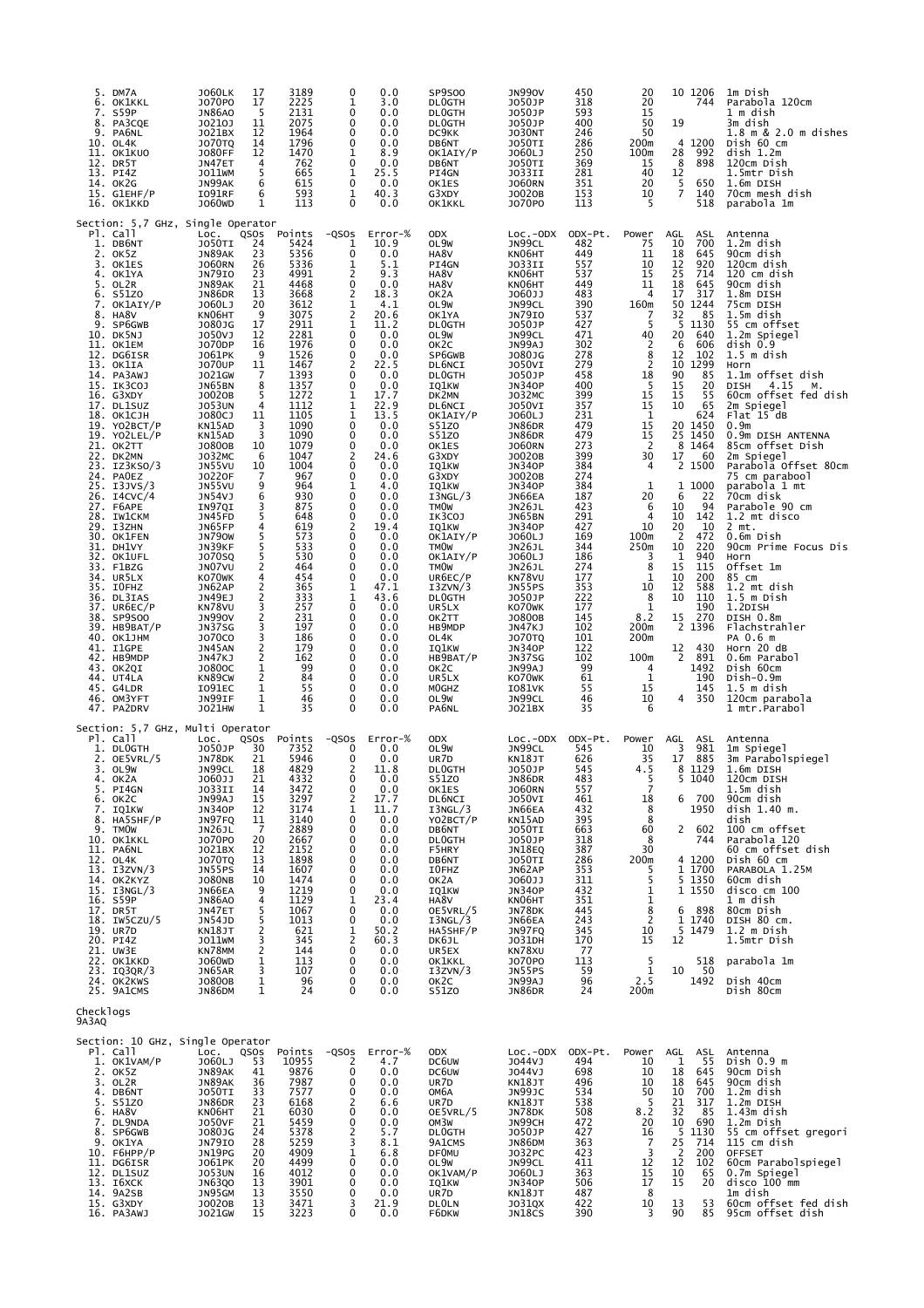| 5. DM7A<br>6. OK1KKL<br>S59P<br>7.<br>PA3CQE<br>8.<br>9. PA6NL<br>10. OL4K<br>11. OK1KUO<br>12. DR5T<br>13. PI4Z<br>14. OK2G<br>$15.$ G $1$ EHF/P<br>16. OK1KKD                                                                                                                                                                                                                                                                                                                                                                                                                                                                                                                                          | <b>JO60LK</b><br>J070P0<br><b>JN86AO</b><br>J0210J<br>J021BX<br><b>JO70TQ</b><br><b>JO80FF</b><br>JN47ET<br>J011WM<br>JN99AK<br>I091RF<br>J060WD                                                                                                                                                                                                                                                                                                                                                                                     | 3189<br>17<br>2225<br>17<br>-5<br>2131<br>2075<br>11<br>12<br>1964<br>14<br>1796<br>12<br>1470<br>4<br>762<br>5<br>665<br>6<br>615<br>6<br>593<br>1<br>113                                                                                                                                                                                                                                                                                                                                                                                                                                                                                                                                         | 0.0<br>$\mathbf 0$<br>1<br>3.0<br>0<br>0.0<br>0<br>0.0<br>0<br>0.0<br>0<br>0.0<br>1<br>8.9<br>0<br>0.0<br>1<br>25.5<br>0<br>0.0<br>1<br>40.3<br>0<br>0.0                                                                                                                                                                                                                                                                                                                                                                                                                                                                                                                      | SP9500<br><b>DLOGTH</b><br><b>DLOGTH</b><br><b>DLOGTH</b><br>DC9KK<br>DB6NT<br>OK1AIY/P<br>DB6NT<br>PI4GN<br>OK1ES<br>G3XDY<br>OK1KKL                                                                                                                                                                                                                                                                                                                                                                                             | <b>JN990V</b><br>J050JP<br>J050JP<br>J050JP<br><b>JO30NT</b><br>JO50TI<br>J060LJ<br>JO50TI<br>J033II<br><b>JO60RN</b><br>J0020B<br>J070P0                                                                                                                                                                                                                                                                                                                                                                                                         | 450<br>318<br>593<br>400<br>246<br>286<br>250<br>369<br>281<br>351<br>153<br>113                                                                                                                                                                                                                                                            | 20<br>20<br>15<br>50<br>50<br>200m<br>100m<br>15<br>40<br>20<br>10<br>5                                                                                                                                                                                                                                                                                               | 10 1206<br>744<br>19<br>4 1200<br>992<br>28<br>8<br>898<br>12<br>5<br>650<br>$\overline{7}$<br>140<br>518                                                                                                                                                                                                                                                                                                                                                                                                                                                       | 1m Dish<br>Parabola 120cm<br>1 m dish<br>3m dish<br>1.8 m & 2.0 m dishes<br>Dish 60 cm<br>dist 1.2m<br>120cm Dish<br>1.5mtr Dish<br>1.6m DISH<br>70cm mesh dish<br>parabola 1m                                                                                                                                                                                                                                                                                                                                                                                                                                                                                                                                                                    |
|----------------------------------------------------------------------------------------------------------------------------------------------------------------------------------------------------------------------------------------------------------------------------------------------------------------------------------------------------------------------------------------------------------------------------------------------------------------------------------------------------------------------------------------------------------------------------------------------------------------------------------------------------------------------------------------------------------|--------------------------------------------------------------------------------------------------------------------------------------------------------------------------------------------------------------------------------------------------------------------------------------------------------------------------------------------------------------------------------------------------------------------------------------------------------------------------------------------------------------------------------------|----------------------------------------------------------------------------------------------------------------------------------------------------------------------------------------------------------------------------------------------------------------------------------------------------------------------------------------------------------------------------------------------------------------------------------------------------------------------------------------------------------------------------------------------------------------------------------------------------------------------------------------------------------------------------------------------------|-------------------------------------------------------------------------------------------------------------------------------------------------------------------------------------------------------------------------------------------------------------------------------------------------------------------------------------------------------------------------------------------------------------------------------------------------------------------------------------------------------------------------------------------------------------------------------------------------------------------------------------------------------------------------------|-----------------------------------------------------------------------------------------------------------------------------------------------------------------------------------------------------------------------------------------------------------------------------------------------------------------------------------------------------------------------------------------------------------------------------------------------------------------------------------------------------------------------------------|---------------------------------------------------------------------------------------------------------------------------------------------------------------------------------------------------------------------------------------------------------------------------------------------------------------------------------------------------------------------------------------------------------------------------------------------------------------------------------------------------------------------------------------------------|---------------------------------------------------------------------------------------------------------------------------------------------------------------------------------------------------------------------------------------------------------------------------------------------------------------------------------------------|-----------------------------------------------------------------------------------------------------------------------------------------------------------------------------------------------------------------------------------------------------------------------------------------------------------------------------------------------------------------------|-----------------------------------------------------------------------------------------------------------------------------------------------------------------------------------------------------------------------------------------------------------------------------------------------------------------------------------------------------------------------------------------------------------------------------------------------------------------------------------------------------------------------------------------------------------------|---------------------------------------------------------------------------------------------------------------------------------------------------------------------------------------------------------------------------------------------------------------------------------------------------------------------------------------------------------------------------------------------------------------------------------------------------------------------------------------------------------------------------------------------------------------------------------------------------------------------------------------------------------------------------------------------------------------------------------------------------|
| Section: 5,7 GHz, Single Operator<br>Pl. Call<br>1. DB6NT<br>2. OK5Z<br>3. OK1ES<br>4. OK1YA<br>5. OL2R<br>6. S51ZO<br>7. OK1AIY/P<br>8. HA8V<br>9. SP6GWB<br>10. DK5NJ<br>11. OK1EM<br>12. DG6ISR<br>13. OK1IA<br>14. PA3AWJ<br>15. IK3COJ<br>16. G3XDY<br>17. DL1SUZ<br>18. ОК1СЈН<br>19. YO2BCT/P<br>19. YO2LEL/P<br>21. OK2TT<br>22. DK2MN<br>23. IZ3KSO/3<br>24. PAOEZ<br>25. I3JVS/3<br>26. I4CVC/4<br>27. F6APE<br>28. IW1CKM<br>29. I3ZHN<br>30. OK1FEN<br>31. DH1VY<br>32. OK1UFL<br>33. F1BZG<br>34. UR5LX<br>35. IOFHZ<br>36. DL3IAS<br>37. UR6EC/P<br>38. SP9SOO<br>39. НВ9ВАТ/Р<br>40. ОК1ЈНМ<br>41. I1GPE<br>42. HB9MDP<br>43. OK2QI<br>44. UT4LA<br>45. G4LDR<br>46. OM3YFT<br>47. PA2DRV | LOC.<br>JO50TI<br>JN89AK<br><b>JO60RN</b><br>JN79IO<br>JN89AK<br>JN86DR<br>J060LJ<br>KN06HT<br>J080JG<br>J050VJ<br>J070DP<br>J061PK<br><b>JO70UP</b><br>J021GW<br>JN65BN<br>J0020B<br><b>JO53UN</b><br>J080CJ<br>KN15AD<br>KN15AD<br>J0800B<br>J032MC<br>JN55VU<br>J0220F<br>JN55VU<br>JN54VJ<br>IN97QI<br>JN45FD<br>JN65FP<br><b>JN790W</b><br>JN39KF<br><b>JO70SQ</b><br>JN07VU<br>KO70WK<br>JN62AP<br>JN49EJ<br>KN78VU<br><b>JN990V</b><br>JN37SG<br>J070C0<br>JN45AN<br>JN47KJ<br>J0800C<br>KN89CW<br>I091EC<br>JN99IF<br>J021HW | Points<br>QSOS<br>24<br>5424<br>23<br>5356<br>26<br>5336<br>23<br>4991<br>4468<br>21<br>13<br>3668<br>20<br>3612<br>-9<br>3075<br>17<br>2911<br>2281<br>12<br>1976<br>16<br>9<br>1526<br>1467<br>11<br>7<br>1393<br>8<br>1357<br>5<br>1272<br>1112<br>4<br>11<br>1105<br>3<br>1090<br>3<br>1090<br>1079<br>10<br>1047<br>-6<br>1004<br>10<br>7<br>967<br>9<br>964<br>6<br>930<br>3<br>875<br>5<br>648<br>619<br>4<br>5<br>573<br>5<br>533<br>5<br>530<br>$\overline{2}$<br>464<br>$\overline{4}$<br>454<br>2<br>365<br>2<br>333<br>3<br>257<br>$\overline{c}$<br>231<br>3<br>197<br>3<br>186<br>2<br>179<br>2<br>162<br>$\mathbf{1}$<br>99<br>2<br>84<br>$\frac{1}{2}$<br>55<br>1<br>46<br>1<br>35 | $-QSOS$<br>$Error-%$<br>1<br>10.9<br>0<br>0.0<br>5.1<br>1<br>2<br>9.3<br>0<br>0.0<br>2<br>18.3<br>$\mathbf 1$<br>4.1<br>2<br>20.6<br>1<br>11.2<br>0<br>0.0<br>0<br>0.0<br>0<br>0.0<br>22.5<br>2<br>0<br>0.0<br>0<br>0.0<br>1<br>17.7<br>1<br>22.9<br>13.5<br>1<br>0<br>0.0<br>$\mathbf 0$<br>0.0<br>0<br>0.0<br>2<br>24.6<br>0<br>0.0<br>0<br>0.0<br>1<br>4.0<br>0<br>0.0<br>0<br>0.0<br>0<br>0.0<br>2<br>19.4<br>0<br>0.0<br>$\mathbf 0$<br>0.0<br>0<br>0.0<br>0<br>0.0<br>$\mathbf 0$<br>0.0<br>1<br>47.1<br>1<br>43.6<br>0<br>0.0<br>0<br>0.0<br>0<br>0.0<br>0<br>0.0<br>0<br>0.0<br>0<br>0.0<br>0<br>0.0<br>0<br>0.0<br>0<br>0.0<br>$\mathbf 0$<br>0.0<br>$\Omega$<br>0.0 | <b>ODX</b><br>OL9W<br>HA8V<br>PI4GN<br>HA8V<br>HA8V<br>OK <sub>2</sub> A<br>OL9W<br>OK1YA<br><b>DLOGTH</b><br>OL9W<br>OK <sub>2</sub> C<br>SP6GWB<br>DL6NCI<br><b>DLOGTH</b><br>IQ1KW<br>DK2MN<br>DL6NCI<br>OK1AIY/P<br>S51Z0<br>S51Z0<br>OK1ES<br>G3XDY<br>IQ1KW<br>G3XDY<br>IQ1KW<br>I3NGL/3<br><b>TMOW</b><br>IK3COJ<br>IQ1KW<br>OK1AIY/P<br><b>TMOW</b><br>OK1AIY/P<br><b>TMOW</b><br>UR6EC/P<br>I3ZVN/3<br><b>DLOGTH</b><br>UR5LX<br>OK2TT<br>HB9MDP<br>OL4K<br>IQ1KW<br>HB9BAT/P<br>OK2C<br>UR5LX<br>MOGHZ<br>OL9W<br>PA6NL | $Loc.-ODX$<br>JN99CL<br>KN06HT<br>JO33II<br>KN06HT<br>KN06HT<br>J060JJ<br>JN99CL<br><b>JN79IO</b><br>J050JP<br>JN99CL<br>JN99AJ<br>J080JG<br>J050VI<br>J050JP<br><b>JN340P</b><br>J032MC<br>J050VI<br>J060LJ<br>JN86DR<br>JN86DR<br><b>JO60RN</b><br>J0020B<br><b>JN340P</b><br>J0020B<br><b>JN340P</b><br>JN66EA<br>JN26JL<br>JN65BN<br>JN34OP<br>J060LJ<br>JN26JL<br>J060LJ<br>JN26JL<br>KN78VU<br>JN55PS<br>J050JP<br>KO70WK<br>J0800B<br>JN47KJ<br><b>JO70TQ</b><br><b>JN340P</b><br>JN37SG<br>JN99AJ<br>KO70WK<br>I081VK<br>JN99CL<br>J021BX | ODX-Pt.<br>482<br>449<br>557<br>537<br>449<br>483<br>390<br>537<br>427<br>471<br>302<br>278<br>279<br>458<br>400<br>399<br>357<br>231<br>479<br>479<br>273<br>399<br>384<br>274<br>384<br>187<br>423<br>291<br>427<br>169<br>344<br>186<br>274<br>177<br>353<br>222<br>177<br>145<br>102<br>101<br>122<br>102<br>99<br>61<br>55<br>46<br>35 | Power<br>75<br>11<br>10<br>15<br>11<br>4<br>160m<br>7<br>5<br>40<br>$\begin{array}{c} 2 \\ 8 \\ 2 \end{array}$<br>18<br>5<br>15<br>15<br>1<br>15<br>15<br>$\overline{2}$<br>30<br>4<br>$\mathbf{1}$<br>20<br>6<br>$\overline{4}$<br>10<br>100m<br>250m<br>3<br>8<br>$\mathbf{1}$<br>10<br>8<br>$\mathbf{1}$<br>8.2<br>200m<br>200m<br>100m<br>4<br>1<br>15<br>10<br>6 | AGL<br>ASL<br>700<br>10<br>18<br>645<br>12<br>920<br>25<br>714<br>18<br>645<br>17<br>317<br>50<br>1244<br>85<br>32<br>5<br>1130<br>20<br>640<br>6<br>606<br>102<br>12<br>10<br>1299<br>90<br>85<br>15<br>20<br>15<br>55<br>65<br>10<br>624<br>1450<br>20<br>25<br>1450<br>8<br>1464<br>17<br>60<br>2 1500<br>1 1000<br>6<br>22<br>10<br>94<br>142<br>10<br>20<br>10<br>472<br>$\overline{2}$<br>10<br>220<br>1<br>940<br>15<br>115<br>10<br>200<br>12<br>588<br>10<br>110<br>190<br>270<br>15<br>2 1396<br>12<br>430<br>2 891<br>1492<br>190<br>145<br>4<br>350 | Antenna<br>1.2m dish<br>90cm dish<br>120cm dish<br>120 cm dish<br>90cm dish<br>1.8m DISH<br>75cm DISH<br>1.5m dish<br>55 cm offset<br>1.2m Spiegel<br>dish 0.9<br>$1.5$ m dish<br>Horn<br>1.1m offset dish<br>DISH<br>4.15<br>м.<br>60cm offset fed dish<br>2m Spiegel<br>Flat 15 dB<br>0.9 <sub>m</sub><br>0.9m DISH ANTENNA<br>85cm offset Dish<br>2m Spiegel<br>Parabola Offset 80cm<br>75 cm parabool<br>parabola 1 mt<br>70cm disk<br>Parabole 90 cm<br>1.2 mt disco<br>2 mt.<br>0.6m Dish<br>90cm Prime Focus Dis<br>Horn<br>Offset 1m<br>85 cm<br>1.2 mt dish<br>1.5 m Dish<br>1.2DISH<br>DISH 0.8m<br>Flachstrahler<br>PA 0.6 m<br>Horn 20 dB<br>0.6m Parabol<br>Dish 60cm<br>Dish-0.9m<br>$1.5m$ dish<br>120cm parabola<br>1 mtr.Parabol |
| Section: 5,7 GHz, Multi Operator<br>Pl. Call<br>1. DLOGTH<br>2. OE5VRL/5<br>3. OL9W<br>4. OK2A<br>5. PI4GN<br>6. OK2C<br>7. IQ1KW<br>8. HA5SHF/P<br>9. TMOW<br>10. OK1KKL<br>11. PA6NL<br>12. OL4K<br>13. I3ZVN/3<br>14. OK2KYZ<br>15. I3NGL/3<br>16. S59P<br>17. DR5T<br>18. IW5CZU/5<br>19. UR7D<br>20. PI4Z<br>21. UW3E<br>22. OK1KKD<br>23. IQ3QR/3<br>24. OK2KWS<br>25. 9A1CMS                                                                                                                                                                                                                                                                                                                      | Loc.<br>J050JP<br>JN78DK<br>JN99CL<br>J060JJ<br>J033II<br>JN99AJ<br><b>JN340P</b><br>JN97FQ<br>JN26JL<br>J070P0<br>J021BX<br><b>JO70TQ</b><br><b>JN55PS</b><br><b>JO80NB</b><br>JN66EA<br><b>JN86AO</b><br>JN47ET<br>JN54JD<br>KN18JT<br>JO11WM<br>KN78MM<br>J060WD<br>JN65AR<br>J0800B<br>JN86DM                                                                                                                                                                                                                                    | QSOS<br>Points<br>30<br>7352<br>5946<br>21<br>4829<br>18<br>21<br>4332<br>14<br>3472<br>15<br>3297<br>12<br>3174<br>3140<br>11<br>- 7<br>2889<br>2667<br>20<br>2152<br>12<br>1898<br>13<br>14<br>1607<br>10<br>1474<br>1219<br>9<br>$\overline{4}$<br>1129<br>$\frac{5}{5}$<br>1067<br>1013<br>$\overline{2}$<br>621<br>$\frac{3}{2}$<br>345<br>144<br>113<br>1<br>3<br>107<br>$\mathbf{1}$<br>96<br>$\mathbf{1}$<br>24                                                                                                                                                                                                                                                                            | $-QSOS$<br>Error-%<br>0<br>0.0<br>0<br>0.0<br>2<br>11.8<br>0<br>0.0<br>0<br>0.0<br>2<br>17.7<br>1<br>11.7<br>0<br>0.0<br>0<br>0.0<br>0<br>0.0<br>$\mathbf 0$<br>0.0<br>$\mathbf 0$<br>0.0<br>0<br>0.0<br>0<br>0.0<br>0<br>0.0<br>23.4<br>1<br>$\mathbf 0$<br>0.0<br>0<br>0.0<br>1<br>50.2<br>2<br>60.3<br>0<br>0.0<br>0<br>0.0<br>$\mathbf 0$<br>0.0<br>$\mathbf 0$<br>0.0<br>$\Omega$<br>0.0                                                                                                                                                                                                                                                                                 | <b>ODX</b><br>OL9W<br>UR7D<br><b>DLOGTH</b><br>S51Z0<br>OK1ES<br>DL6NCI<br>I3NGL/3<br>YO2BCT/P<br>DB6NT<br><b>DLOGTH</b><br>F5HRY<br>DB6NT<br>I0FHZ<br>OK2A<br>IQ1KW<br>HA8V<br>OE5VRL/5<br>I3NGL/3<br>HA5SHF/P<br>DK6JL<br>UR5EX<br>OK1KKL<br>I3ZVN/3<br>OK2C<br>S51Z0                                                                                                                                                                                                                                                           | $Loc.-ODX$<br>JN99CL<br>KN18JT<br>J050JP<br>JN86DR<br><b>JO60RN</b><br>J050VI<br>JN66EA<br>KN15AD<br>JO50TI<br>J050JP<br>JN18EQ<br>J050TI<br>JN62AP<br>J060JJ<br><b>JN340P</b><br>KN06HT<br>JN78DK<br>JN66EA<br>JN97FQ<br>J031DH<br>KN78XU<br>J070P0<br>JN55PS<br>JN99AJ<br>JN86DR                                                                                                                                                                                                                                                                | ODX-Pt.<br>545<br>626<br>545<br>483<br>557<br>461<br>432<br>395<br>663<br>318<br>387<br>286<br>353<br>311<br>432<br>351<br>$\frac{445}{243}$<br>345<br>170<br>77<br>113<br>59<br>96<br>24                                                                                                                                                   | Power<br>10<br>35<br>4.5<br>5<br>7<br>18<br>8<br>8<br>60<br>8<br>30<br>200m<br>5<br>5<br>$\mathbf 1$<br>1<br>$\frac{8}{2}$<br>10<br>15<br>5<br>$1\,$<br>2.5<br>200m                                                                                                                                                                                                   | AGL<br>ASL<br>3<br>981<br>17<br>885<br>8 1 1 2 9<br>5 1040<br>700<br>6<br>1950<br>2 602<br>744<br>4 1200<br>1 1700<br>5 1350<br>1 1550<br>6<br>898<br>1740<br>1<br>5 1479<br>12<br>518<br>10<br>50<br>1492                                                                                                                                                                                                                                                                                                                                                      | Antenna<br>1m Spiegel<br>3m Parabolspiegel<br>1.6m DISH<br>120cm DISH<br>$1.5m$ dish<br>90cm dish<br>dish 1.40 m.<br>dish<br>100 cm offset<br>Parabola 120<br>60 cm offset dish<br>Dish 60 cm<br>PARABOLA 1.25M<br>60cm dish<br>disco cm 100<br>1 m dish<br>80cm Dish<br>DISH 80 cm.<br>$1.2m$ Dish<br>1.5mtr Dish<br>parabola 1m<br>Dish 40cm<br>Dish 80cm                                                                                                                                                                                                                                                                                                                                                                                       |
| Checklogs<br>9A3AQ<br>Section: 10 GHz, Single Operator<br>Pl. Call<br>1. OK1VAM/P<br>2. OK5Z<br>3. OL2R<br>4. DB6NT<br>5. S51Z0<br>6. HA8V<br>7. DL9NDA<br>8. SP6GWB<br>9. OK1YA<br>10. F6HPP/P<br>11. DG6ISR<br>12. DL1SUZ<br>13. I6XCK<br>14. 9A2SB<br>15. G3XDY<br>16. PA3AWJ                                                                                                                                                                                                                                                                                                                                                                                                                         | LOC.<br>J060LJ<br>JN89AK<br>JN89AK<br>JO50TI<br>JN86DR<br>KN06HT<br><b>JO50VF</b><br>J080JG<br>JN79I0<br>JN19PG<br>J061PK<br><b>JO53UN</b><br>JN63Q0<br>JN95GM<br>J0020B<br>J021GW                                                                                                                                                                                                                                                                                                                                                   | QSOS<br>Points<br>53<br>10955<br>9876<br>41<br>7987<br>36<br>7577<br>$\begin{array}{c} 33 \\ 23 \end{array}$<br>6168<br>21<br>6030<br>21<br>5459<br>5378<br>24<br>28<br>5259<br>4909<br>20<br>4499<br>20<br>4012<br>16<br>3901<br>13<br>3550<br>13<br>3471<br>13<br>15<br>3223                                                                                                                                                                                                                                                                                                                                                                                                                     | -QSOS<br>Error-%<br>2<br>4.7<br>0<br>0.0<br>0<br>0.0<br>0<br>0.0<br>2<br>6.6<br>$\mathbf 0$<br>0.0<br>0<br>0.0<br>2<br>5.7<br>3<br>8.1<br>$\mathbf{1}$<br>6.8<br>0<br>0.0<br>0<br>0.0<br>$\mathbf 0$<br>0.0<br>0<br>0.0<br>21.9<br>3<br>0<br>0.0                                                                                                                                                                                                                                                                                                                                                                                                                              | ODX<br>DC6UW<br>DC6UW<br>UR7D<br>ОМ6А<br>UR7D<br>OE5VRL/5<br>OM3W<br><b>DLOGTH</b><br>9A1CMS<br><b>DF0MU</b><br>OL9W<br>OK1VAM/P<br>IQ1KW<br>UR7D<br><b>DLOLN</b><br>F6DKW                                                                                                                                                                                                                                                                                                                                                        | LOC.-ODX ODX-Pt.<br>J044VJ<br>J044VJ<br>KN18JT<br>JN99JC<br>KN18JT<br>JN78DK<br>JN99CH<br>J050JP<br>JN86DM<br>J032PC<br>JN99CL<br>J060LJ<br><b>JN340P</b><br>KN18JT<br>J031QX<br>JN18CS                                                                                                                                                                                                                                                                                                                                                           | 494<br>698<br>496<br>534<br>538<br>508<br>472<br>427<br>363<br>423<br>411<br>363<br>506<br>487<br>422<br>390                                                                                                                                                                                                                                | Power<br>10<br>10<br>10<br>50<br>5<br>8.2<br>20<br>16<br>7<br>3<br>12<br>15<br>17<br>- 8<br>10<br>3                                                                                                                                                                                                                                                                   | AGL<br>ASL<br>1<br>55<br>18<br>645<br>18<br>645<br>10<br>700<br>21<br>317<br>32<br>85<br>10<br>690<br>$2\frac{5}{5}$<br>1130<br>714<br>$\frac{2}{12}$<br>200<br>102<br>10<br>65<br>15<br>20<br>13<br>53<br>90                                                                                                                                                                                                                                                                                                                                                   | Antenna<br>Dish 0.9 m<br>90cm Dish<br>90cm dish<br>1.2m dish<br>1.2m DISH<br>$1.43m$ dish<br>1.2m Dish<br>55 cm offset gregori<br>115 cm dish<br><b>OFFSET</b><br>60cm Parabolspiegel<br>0.7m Spiegel<br>disco 100 mm<br>1m dish<br>60cm offset fed dish<br>85 95cm offset dish                                                                                                                                                                                                                                                                                                                                                                                                                                                                   |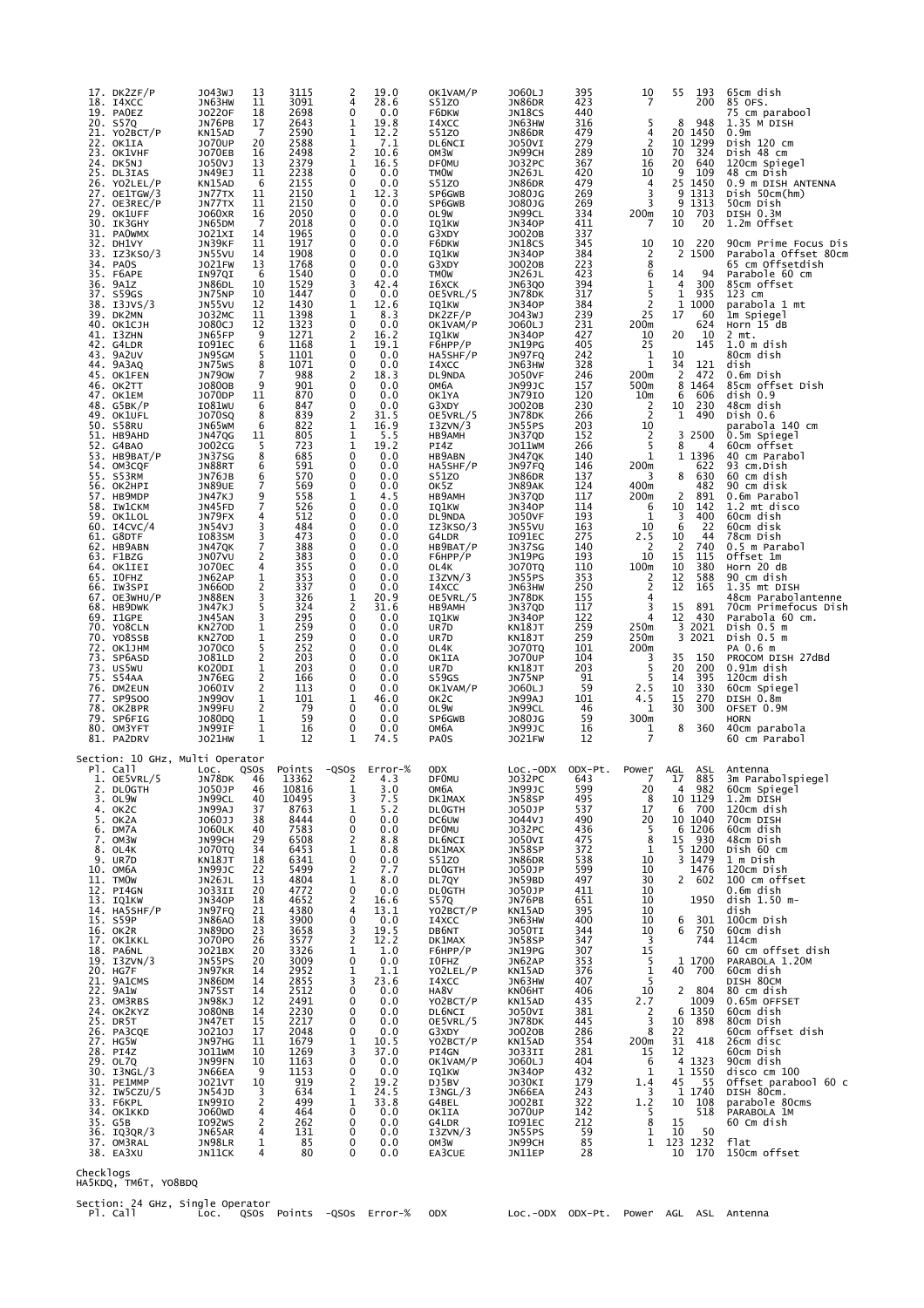| 17. DK2ZF/P<br>18.<br>14XCC<br>19. PAOEZ<br>20. S57Q                 | J043WJ<br>13<br>JN63HW<br>11<br>18<br>J0220F<br>$\overline{17}$<br>JN76PB                              | 3115<br>3091<br>2698<br>2643      | 2<br>19.0<br>4<br>28.6<br>$\mathbf 0$<br>0.0<br>1<br>19.8                 | OK1VAM/P<br>S51Z0<br>F6DKW<br>I4XCC              | J060LJ<br>JN86DR<br>JN18CS<br>JN63HW               | 395<br>423<br>440<br>316     | 10<br>7<br>5                                        | 55<br>193<br>200<br>948<br>8                                                                               | 65cm dish<br>85 OFS.<br>75 cm parabool<br>$1.35$ M DISH                            |
|----------------------------------------------------------------------|--------------------------------------------------------------------------------------------------------|-----------------------------------|---------------------------------------------------------------------------|--------------------------------------------------|----------------------------------------------------|------------------------------|-----------------------------------------------------|------------------------------------------------------------------------------------------------------------|------------------------------------------------------------------------------------|
| 21. YO2BCT/P<br>22. OK1IA<br>23. OK1VHF<br>24. DK5NJ                 | $\overline{7}$<br>KN15AD<br><b>JO70UP</b><br>20<br><b>JO70EB</b><br>16<br>J050VJ<br>13                 | 2590<br>2588<br>2498<br>2379      | 1<br>12.2<br>1<br>7.1<br>$\overline{c}$<br>10.6<br>1<br>16.5              | S51Z0<br>DL6NCI<br>OM3W<br><b>DF0MU</b>          | JN86DR<br><b>JO50VI</b><br>JN99CH<br>J032PC        | 479<br>279<br>289<br>367     | 4<br>$\overline{2}$<br>10<br>16                     | 20<br>1450<br>1299<br>10<br>70<br>324<br>20<br>640                                                         | 0.9 <sub>m</sub><br>Dish 120 cm<br>Dish 48 cm<br>120cm Spiegel                     |
| 25. DL3IAS<br>26. YO2LEL/P<br>27. OE1TGW/3                           | 11<br>JN49EJ<br>KN15AD<br>6<br>JN77TX<br>11                                                            | 2238<br>2155<br>2150              | 0<br>0.0<br>0<br>0.0<br>12.3<br>1                                         | <b>TMOW</b><br>S51Z0<br>SP6GWB                   | <b>JN26JL</b><br>JN86DR<br>J080JG                  | 420<br>479<br>269            | 10<br>4<br>3                                        | 9<br>109<br>25 1450<br>9<br>1313                                                                           | 48 cm Dish<br>0.9 m DISH ANTENNA<br>Dish 50cm(hm)                                  |
| 27. OE3REC/P<br>29. OK1UFF<br>30. IK3GHY<br>31.<br><b>PAOWMX</b>     | JN77TX<br>11<br><b>JO60XR</b><br>16<br>- 7<br>JN65DM<br>14<br>J021XI                                   | 2150<br>2050<br>2018<br>1965      | 0<br>0.0<br>0<br>0.0<br>0<br>0.0<br>0<br>0.0                              | SP6GWB<br>OL9W<br>IQ1KW<br>G3XDY                 | J080JG<br>JN99CL<br><b>JN340P</b><br>J0020B        | 269<br>334<br>411<br>337     | 3<br>200m<br>7                                      | 9<br>1313<br>10<br>703<br>10<br>20                                                                         | 50cm Dish<br>DISH 0.3M<br>1.2m Offset                                              |
| 32. DH1VY<br>33. IZ3KSO/3<br>34. PAOS<br>35. F6APE                   | JN39KF<br>11<br>JN55VU<br>14<br>13<br><b>JO21FW</b><br>IN97QI<br>6                                     | 1917<br>1908<br>1768<br>1540      | 0<br>0.0<br>0<br>0.0<br>0<br>0.0<br>0<br>0.0                              | F6DKW<br>IQ1KW<br>G3XDY<br><b>TMOW</b>           | JN18CS<br><b>JN340P</b><br>J0020B<br>JN26JL        | 345<br>384<br>223<br>423     | 10<br>2<br>8<br>6                                   | 10<br>220<br>2<br>1500<br>14<br>94                                                                         | 90cm Prime Focus Dis<br>Parabola Offset 80cm<br>65 cm Offsetdish<br>Parabole 60 cm |
| 36. 9A1Z<br>37.<br>S59GS<br>38. I3JVS/3                              | 10<br>JN86DL<br>10<br>JN75NP<br>12<br>JN55VU                                                           | 1529<br>1447<br>1430              | 3<br>42.4<br>0<br>0.0<br>1<br>12.6                                        | 16XCK<br>OE5VRL/5<br>IQ1KW                       | <b>JN63QO</b><br>JN78DK<br><b>JN340P</b>           | 394<br>317<br>384            | 1<br>5<br>$\overline{2}$                            | 300<br>4<br>$\mathbf{1}$<br>935<br>1<br>1000                                                               | 85cm offset<br>123 cm<br>parabola 1 mt                                             |
| 39. DK2MN<br>40. ОК1СЈН<br>41. I3ZHN<br>42. G4LDR                    | J032MC<br>11<br>J080CJ<br>12<br>9<br>JN65FP<br>6<br>I091EC                                             | 1398<br>1323<br>1271<br>1168      | 1<br>8.3<br>0<br>0.0<br>$\overline{c}$<br>16.2<br>1<br>19.1               | DK2ZF/P<br>OK1VAM/P<br>IQ1KW<br>F6HPP/P          | J043WJ<br>J060LJ<br><b>JN340P</b><br>JN19PG        | 239<br>231<br>427<br>405     | 25<br>200m<br>10<br>25                              | 17<br>60<br>624<br>20<br>10<br>145                                                                         | 1m Spiegel<br>Horn $15$ dB<br>$2$ mt.<br>$1.0m$ dish                               |
| 43.<br>9A2UV<br>44. 9A3AQ<br>45. OK1FEN<br>46. OK2TT                 | 5<br>JN95GM<br>8<br>JN75WS<br>7<br><b>JN790W</b><br>9<br>J0800B                                        | 1101<br>1071<br>988<br>901        | 0<br>0.0<br>0<br>0.0<br>2<br>18.3<br>0<br>0.0                             | HA5SHF/P<br>I4XCC<br>DL9NDA<br>ОМ6А              | JN97FQ<br>JN63HW<br><b>JO50VF</b><br>JN99JC        | 242<br>328<br>246<br>157     | 1<br>1<br>200m<br>500m                              | 10<br>121<br>34<br>2<br>472<br>8<br>1464                                                                   | 80cm dish<br>dish<br>0.6m Dish<br>85cm offset Dish                                 |
| 47. OK1EM<br>48. G5BK/P<br>49. OK1UFL                                | J070DP<br>11<br>6<br>IO81WU<br>8<br><b>JO70SQ</b>                                                      | 870<br>847<br>839                 | 0<br>0.0<br>0<br>0.0<br>2<br>31.5                                         | OK1YA<br>G3XDY<br>OE5VRL/5                       | <b>JN79IO</b><br>J0020B<br>JN78DK                  | 120<br>230<br>266            | 10 <sub>m</sub><br>$\overline{2}$<br>$\overline{2}$ | 6<br>606<br>10<br>230<br>490<br>1                                                                          | dish 0.9<br>48cm dish<br>Dish $0.6$                                                |
| 50. S58RU<br>51. HB9AHD<br>52. G4BAO<br>53. HB9BAT/P                 | 6<br>JN65WM<br><b>JN47QG</b><br>11<br>5<br>J002CG<br>8<br>JN37SG                                       | 822<br>805<br>723<br>685          | 1<br>16.9<br>1<br>5.5<br>1<br>19.2<br>0<br>0.0                            | I3ZVN/3<br>HB9AMH<br>PI4Z<br>HB9ABN              | JN55PS<br>JN37QD<br>J011WM<br>JN47QK               | 203<br>152<br>266<br>140     | 10<br>$\frac{2}{5}$<br>$\mathbf{1}$                 | 3<br>2500<br>8<br>4<br>1 1396                                                                              | parabola 140 cm<br>0.5m Spiegel<br>60cm offset<br>40 cm Parabol                    |
| 54. OM3CQF<br>55.<br>S53RM<br>56. OK2HPI<br>57. HB9MDP               | 6<br>JN88RT<br><b>JN76JB</b><br>6<br>7<br><b>JN89UE</b><br>JN47KJ<br>9                                 | 591<br>570<br>569<br>558          | 0<br>0.0<br>0<br>0.0<br>0<br>0.0<br>1<br>4.5                              | HA5SHF/P<br>S51Z0<br>OK5Z<br>HB9AMH              | JN97FQ<br>JN86DR<br>JN89AK<br>JN37QD               | 146<br>137<br>124<br>117     | 200m<br>3<br>400m<br>200m                           | 622<br>8<br>630<br>482<br>2<br>891                                                                         | 93 cm.Dish<br>60 cm dish<br>90 cm disk<br>0.6m Parabol                             |
| 58.<br>IW1CKM<br>59. OK1LOL<br>60. I4CVC/4                           | $\overline{7}$<br>JN45FD<br>JN79FX<br>4<br>3<br><b>JN54VJ</b>                                          | 526<br>512<br>484                 | 0<br>0.0<br>0<br>0.0<br>0<br>0.0                                          | IO1KW<br>DL9NDA<br>IZ3KSO/3                      | <b>JN340P</b><br><b>JO50VF</b><br>JN55VU           | 114<br>193<br>163            | 6<br>1<br>10                                        | 10<br>142<br>3<br>400<br>6<br>22                                                                           | 1.2 mt disco<br>60cm dish<br>60cm disk                                             |
| 61. G8DTF<br>62. HB9ABN<br>63. F1BZG<br>64. OK1IEI                   | 3<br>I083SM<br>$\overline{7}$<br>JN47QK<br>JN07VU<br>2<br><b>JO70EC</b><br>4                           | 473<br>388<br>383<br>355          | 0<br>0.0<br>0<br>0.0<br>0<br>0.0<br>0<br>0.0                              | G4LDR<br>HB9BAT/P<br>F6HPP/P<br>OL4K             | I091EC<br>JN37SG<br>JN19PG<br><b>JO70TQ</b>        | 275<br>140<br>193<br>110     | 2.5<br>2<br>10<br>100m                              | 10<br>44<br>740<br>2<br>15<br>115<br>10<br>380                                                             | 78cm Dish<br>0.5 m Parabol<br>Offset 1m<br>Horn 20 dB                              |
| 65. IOFHZ<br>66. IW3SPI<br>67. OE3WHU/P<br>68. HB9DWK                | 1<br>JN62AP<br>2<br><b>JN66OD</b><br>3<br><b>JN88EN</b><br>5<br>JN47KJ                                 | 353<br>337<br>326<br>324          | 0<br>0.0<br>0<br>0.0<br>1<br>20.9<br>$\overline{c}$<br>31.6               | I3ZVN/3<br>I4XCC<br>OE5VRL/5<br>HB9AMH           | JN55PS<br>JN63HW<br>JN78DK<br>JN37QD               | 353<br>250<br>155<br>117     | 2<br>$\overline{2}$<br>4<br>3                       | 12<br>588<br>12<br>165<br>15<br>891                                                                        | 90 cm dish<br>1.35 mt DISH<br>48cm Parabolantenne<br>70cm Primefocus Dish          |
| 69. I1GPE<br>70. YO8CLN<br>70. YO8SSB<br>72. ОК1ЈНМ                  | JN45AN<br>3<br>1<br><b>KN270D</b><br>$\mathbf 1$<br><b>KN270D</b><br>5<br><b>JO70CO</b>                | 295<br>259<br>259<br>252          | 0<br>0.0<br>0<br>0.0<br>0<br>0.0<br>0<br>0.0                              | IQ1KW<br>UR7D<br>UR7D<br>OL4K                    | <b>JN340P</b><br>KN18JT<br>KN18JT                  | 122<br>259<br>259<br>101     | 4<br>250m<br>250m<br>200m                           | 12<br>430<br>2021<br>3<br>3<br>2021                                                                        | Parabola 60 cm.<br>Dish $0.5m$<br>Dish 0.5 m<br>PA 0.6 m                           |
| 73. SP6ASD<br>73. US5WU<br>75. S54AA                                 | $\overline{\mathbf{c}}$<br>J081LD<br>1<br>KO20DI<br>2<br>JN76EG                                        | 203<br>203<br>166                 | 0<br>0.0<br>0<br>0.0<br>0<br>0.0                                          | OK1IA<br>UR7D<br>S59GS                           | <b>JO70TQ</b><br><b>JO70UP</b><br>KN18JT<br>JN75NP | 104<br>203<br>91             | 3<br>5<br>5                                         | 35<br>150<br>20<br>200<br>14<br>395                                                                        | PROCOM DISH 27dBd<br>0.91m dish<br>120cm dish                                      |
| 76. DM2EUN<br>77. SP9S00<br>78. OK2BPR<br>79. SP6FIG                 | $\overline{\mathbf{c}}$<br><b>JO60IV</b><br>$\mathbf 1$<br><b>JN990V</b><br>JN99FU<br>2<br>1<br>J080D0 | 113<br>101<br>79<br>59            | 0<br>0.0<br>1<br>46.0<br>0<br>0.0<br>0<br>0.0                             | OK1VAM/P<br>OK <sub>2</sub> C<br>OL9W<br>SP6GWB  | J060LJ<br>JN99AJ<br>JN99CL<br>J080JG               | 59<br>101<br>46<br>59        | 2.5<br>4.5<br>1<br>300m                             | 10<br>330<br>15<br>270<br>30<br>300                                                                        | 60cm Spiegel<br>DISH 0.8m<br>OFSET 0.9M<br>HORN                                    |
| 80. OM3YFT<br>81. PA2DRV<br>Section: 10 GHz, Multi Operator          | JN99IF<br>1<br>J021HW<br>1                                                                             | 16<br>12                          | 0<br>0.0<br>1<br>74.5                                                     | ОМ6А<br>PA0S                                     | JN99JC<br><b>JO21FW</b>                            | 16<br>12                     | 1<br>7                                              | 8<br>360                                                                                                   | 40cm parabola<br>60 cm Parabol                                                     |
| Pl. Call<br>$1.$ OE5VRL/5<br>2. DLOGTH                               | LOC.<br>QSOS<br>46<br>JN78DK<br>J050JP<br>46<br>40                                                     | Points<br>13362<br>10816<br>10495 | $-QSOS$<br>Error-%<br>4.3<br>2<br>3.0<br>Ŧ<br>7.5<br>3                    | <b>ODX</b><br><b>DF0MU</b><br>омба               | $Loc.-ODX$<br>J032PC<br>JN99JC                     | ODX-Pt.<br>643<br>599<br>495 | Power<br>7<br>20<br>8                               | ASL<br>AGL<br>17<br>885<br>4 982<br>10 1129                                                                | Antenna<br>3m Parabolspiegel<br>60cm Spiegel<br>1.2m DISH                          |
| 3. OL9W<br>$4.$ OK2C<br>5. OK2A<br>6. DM7A                           | JN99CL<br>JN99AJ<br>JO60JJ<br>37<br>38<br><b>JO60LK</b><br>40                                          | 8763<br>8444<br>7583              | 5.2<br>1<br>$\mathbf 0$<br>0.0<br>0<br>0.0                                | DK1MAX<br><b>DLOGTH</b><br>DC6UW<br><b>DF0MU</b> | JN58SP<br>J050JP<br>J044VJ<br>J032PC               | 537<br>490<br>436            | 17<br>20<br>5                                       | $\begin{array}{c} 6 & 700 \\ 10 & 1040 \end{array}$<br>$\begin{array}{r} 6 \ 1206 \\ 15 \ 930 \end{array}$ | 120cm dish<br>70cm DISH<br>60cm dish                                               |
| 7. OM3W<br>8. OL4K<br>9. UR7D<br>10. OM6A                            | JN99CH<br>29<br><b>JO70TQ</b><br>KN18JT<br>34<br>18<br>JN99JC<br>22                                    | 6508<br>6453<br>6341<br>5499      | $\overline{2}$<br>8.8<br>1<br>0.8<br>0<br>0.0<br>2<br>7.7                 | DL6NCI<br>DK1MAX<br>S51zo<br><b>DLOGTH</b>       | <b>JO50VI</b><br>JN58SP<br>JN86DR<br>J050JP        | 475<br>372<br>538<br>599     | $\overline{8}$<br>$\mathbf{1}$<br>10<br>10          | 5 1200<br>3 1479<br>1476                                                                                   | 48cm Dish<br>Dish 60 cm<br>1 m Dish<br>120cm Dish                                  |
| 11. TMOW<br>12. PI4GN<br>13. IQ1KW<br>14. HA5SHF/P                   | JN26JL<br>13<br><b>JO33II</b><br>20<br><b>JN340P</b><br>18<br>21                                       | 4804<br>4772<br>4652<br>4380      | 1<br>8.0<br>0<br>0.0<br>$\overline{2}$<br>16.6<br>4<br>13.1               | DL7QY<br><b>DLOGTH</b><br>S57Q<br>YO2BCT/P       | JN59BD<br><b>JO50JP</b><br>JN76PB<br>KN15AD        | 497<br>411<br>651<br>395     | 30<br>10<br>10<br>10                                | 2 602<br>1950                                                                                              | 100 cm offset<br>0.6m dish<br>dish 1.50 m-<br>dish                                 |
| 15. S59P<br>16. OK2R<br>17. OK1KKL                                   | JN97FQ<br>JN86AO<br>18<br>JN89DO<br>JO70PO<br>23<br>26<br>20                                           | 3900<br>3658<br>3577<br>3326      | $\mathbf 0$<br>0.0<br>3<br>19.5<br>$\overline{2}$<br>12.2<br>$\mathbf{1}$ | I4XCC<br>DB6NT<br>DK1MAX<br>F6HPP/P              | <b>JN63HW</b><br>JO50TI<br>JN58SP                  | 400<br>344<br>347<br>307     | 10<br>10<br>$\overline{\mathbf{3}}$<br>15           | 6 301<br>6 750<br>744                                                                                      | 100cm Dish<br>60cm dish<br>114cm<br>60 cm offset dish                              |
| 18. PA6NL<br>19. I3ZVN/3<br>20. HG7F<br>21. 9A1CMS                   | J021BX<br>JN55PS<br>20<br>JN97KR<br>14<br><b>JN86DM</b><br>14                                          | 3009<br>2952<br>2855              | 1.0<br>0<br>0.0<br>1<br>1.1<br>3<br>23.6                                  | I0FHZ<br>YO2LEL/P<br>I4XCC                       | <b>JN19PG</b><br>JN62AP<br>KN15AD<br>JN63HW        | 353<br>376<br>407            | 5<br>$\frac{1}{5}$                                  | 1 1700<br>40 700                                                                                           | PARABOLA 1.20M<br>60cm dish<br>DISH 80CM                                           |
| 22. 9A1W<br>23. OM3RBS<br>24. OK2KYZ<br>25. DR5T                     | JN75ST<br>14<br>JN98KJ<br>12<br><b>JO80NB</b><br>14<br>JN47ET<br>15                                    | 2512<br>2491<br>2230<br>2217      | 0<br>0.0<br>$\mathbf 0$<br>0.0<br>0<br>0.0<br>0<br>0.0                    | HA8V<br>YO2BCT/P<br>DL6NCI<br>OE5VRL/5           | KN06HT<br>KN15AD<br>JO50VI<br>JN78DK               | 406<br>435<br>381<br>445     | 10<br>2.7<br>2<br>3                                 | 2 804<br>1009<br>6 1350<br>10<br>898                                                                       | 80 cm dish<br>0.65m OFFSET<br>60cm dish<br>80cm Dish                               |
| 26. PA3CQE<br>27. HG5W<br>28. PI4Z<br>29. OL7Q                       | J0210J<br>JN97HG<br>17<br>11<br>J011WM<br>10<br>JN99FN<br>10                                           | 2048<br>1679<br>1269<br>1163      | 0<br>0.0<br>1<br>10.5<br>3<br>37.0<br>$\mathbf 0$<br>0.0                  | G3XDY<br>YO2BCT/P<br>PI4GN<br>OK1VAM/P           | J0020B<br>KN15AD<br>JO33II<br>J060LJ               | 286<br>354<br>281<br>404     | 8<br>200m<br>15<br>6                                | 22<br>31<br>418<br>12<br>4 1323                                                                            | 60cm offset dish<br>26cm disc<br>60cm Dish<br>90cm dish                            |
| 30. I3NGL/3<br>31. PE1MMP<br>32. IW5CZU/5                            | JN66EA<br>- 9<br>J021VT<br>10<br>JN54JD<br>3<br><b>IN99IO</b><br>2                                     | 1153<br>919<br>634<br>499         | 0<br>0.0<br>2<br>19.2<br>1<br>24.5<br>1                                   | IQ1KW<br>DJ5BV<br>I3NGL/3                        | <b>JN340P</b><br>JO30KI<br>JN66EA                  | 432<br>179<br>243<br>322     | $\mathbf{1}$<br>1.4<br>3<br>1.2                     | 1 1550<br>45<br>55<br>1 1740<br>10<br>108                                                                  | disco cm 100<br>Offset parabool 60 c<br>DISH 80cm.<br>parabole 80cms               |
| 33. F6KPL<br>34. OK1KKD<br>35. G5B<br>36. IQ3QR/3                    | J060WD<br>4<br>IO92WS<br>2<br>JN65AR<br>4                                                              | 464<br>262<br>131                 | 33.8<br>$\mathbf 0$<br>0.0<br>$\mathbf 0$<br>0.0<br>0<br>0.0              | G4BEL<br>OK1IA<br>G4LDR<br>I3ZVN/3               | J002BI<br>J070UP<br>I091EC<br>JN55PS               | 142<br>212<br>59             | 5<br>8<br>$\mathbf{1}$                              | 518<br>15<br>10<br>50                                                                                      | PARABOLA 1M<br>60 Cm dish                                                          |
| 37. OM3RAL<br>38. EA3XU<br>Checklogs                                 | $\mathbf{1}$<br>JN98LR<br>JN11CK<br>4                                                                  | 85<br>80                          | 0<br>0.0<br>$\Omega$<br>0.0                                               | OM3W<br>EA3CUE                                   | JN99CH<br>JN11EP                                   | 85<br>28                     |                                                     | $\overline{1}$ 123 1232<br>10 170                                                                          | flat<br>150cm offset                                                               |
| HA5KDQ, TM6T, YO8BDQ<br>Section: 24 GHz, Single Operator<br>Pl. Call |                                                                                                        |                                   | Loc. QSOs Points -QSOs Error-% ODX                                        |                                                  | Loc.-ODX ODX-Pt. Power AGL ASL Antenna             |                              |                                                     |                                                                                                            |                                                                                    |
|                                                                      |                                                                                                        |                                   |                                                                           |                                                  |                                                    |                              |                                                     |                                                                                                            |                                                                                    |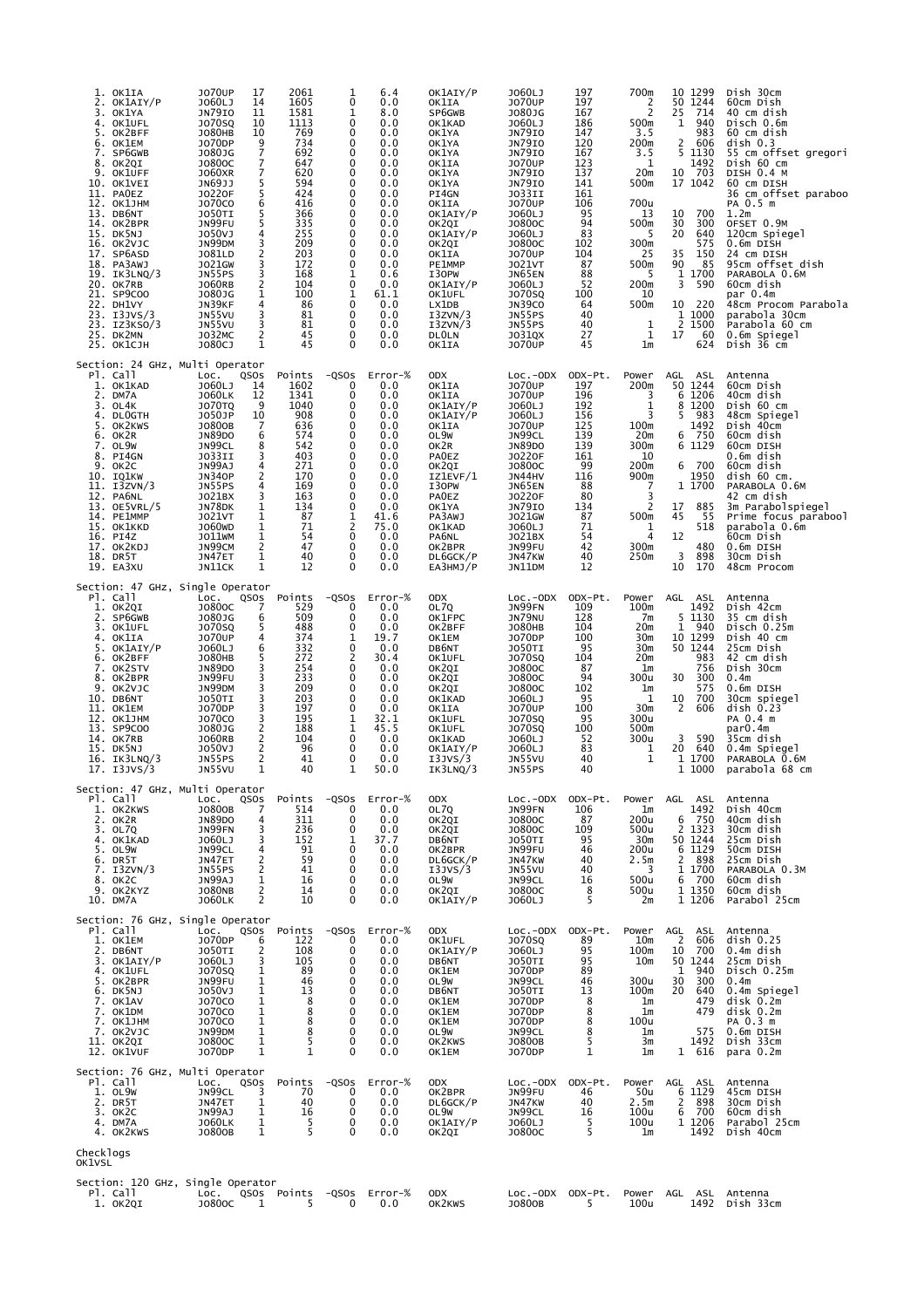| 1. OK1IA<br>2. OK1AIY/P<br>3.<br>OK1YA<br>OK1UFL<br>4.<br>OK2BFF<br>5.<br>OK1EM<br>6.<br>7. SP6GWB<br>8. OK2QI<br>9. OK1UFF<br>10. OK1VEI<br>11. PAOEZ<br>12. OK1JHM<br>13. DB6NT<br>14. OK2BPR<br>15. DK5NJ<br>16. OK2VJC<br>17. SP6ASD<br>18. PA3AWJ<br>19. IK3LNQ/3<br>20. OK7RB<br>21. SP9COO<br>22. DH1VY<br>23. I3JVS/3<br>23. IZ3KSO/3<br>25. DK2MN<br>25. ОК1СЈН | J070UP<br>17<br>J060LJ<br>14<br><b>JN79IO</b><br>11<br>J070SQ<br>10<br><b>JO80HB</b><br>10<br>J070DP<br>$\frac{9}{7}$<br>J080JG<br>J0800C<br>J060XR<br>7<br>5<br>JN69JJ<br>J0220F<br>5<br>J070C0<br>6<br>5<br><b>JO50TI</b><br>5<br>JN99FU<br>J050VJ<br>4<br>3<br>JN99DM<br>J081LD<br>2<br>3<br>J021GW<br>3<br>JN55PS<br>2<br>J060RB<br>$\mathbf{1}$<br>J080JG<br>JN39KF<br>4<br>JN55VU<br>3<br>JN55VU<br>3<br>$\overline{2}$<br>J032MC<br>$\mathbf{1}$<br>J080CJ | 2061<br>1605<br>1581<br>1113<br>769<br>734<br>692<br>647<br>620<br>594<br>424<br>416<br>366<br>335<br>255<br>209<br>203<br>172<br>168<br>104<br>100<br>86<br>81<br>81<br>45<br>45 | 6.4<br>1<br>0<br>0.0<br>1<br>8.0<br>0<br>0.0<br>0.0<br>0<br>0<br>0.0<br>0<br>0.0<br>0<br>0.0<br>$\mathbf 0$<br>0.0<br>0<br>0.0<br>0<br>0.0<br>0.0<br>0<br>0<br>0.0<br>0<br>0.0<br>0.0<br>0<br>0<br>0.0<br>0<br>0.0<br>$\mathbf 0$<br>0.0<br>$\mathbf{1}$<br>0.6<br>0<br>0.0<br>$\mathbf{1}$<br>61.1<br>0<br>0.0<br>0<br>0.0<br>0.0<br>0<br>0<br>0.0<br>$\Omega$<br>0.0 | OK1AIY/P<br>OK1IA<br>SP6GWB<br>OK1KAD<br>OK1YA<br>OK1YA<br>OK1YA<br>OK1IA<br>OK1YA<br>OK1YA<br>PI4GN<br>OK1IA<br>OK1AIY/P<br>OK2QI<br>OK1AIY/P<br>OK2QI<br>OK1IA<br>PE1MMP<br>I30PW<br>OK1AIY/P<br>OK1UFL<br>LX1DB<br>I3ZVN/3<br>I3ZVN/3<br><b>DLOLN</b><br>OK1IA | J060LJ<br>197<br><b>JO70UP</b><br>197<br>J080JG<br>167<br>J060LJ<br>186<br><b>JN79IO</b><br>147<br><b>JN79IO</b><br>120<br>JN7910<br>167<br><b>JO70UP</b><br>123<br><b>JN79IO</b><br>137<br>JN7910<br>141<br><b>JO33II</b><br>161<br><b>JO70UP</b><br>106<br>J060LJ<br>95<br>J0800C<br>94<br>83<br>J060LJ<br>J0800C<br>102<br>J070UP<br>104<br><b>JO21VT</b><br>87<br>88<br>JN65EN<br>52<br>J060LJ<br><b>JO70SQ</b><br>100<br><b>JN39CO</b><br>64<br>JN55PS<br>40<br>JN55PS<br>40<br>27<br>J031QX<br>J070UP<br>45 | 700m<br>2<br>2<br>500m<br>3.5<br>200m<br>3.5<br>1<br>20 <sub>m</sub><br>500m<br>700u<br>13<br>500m<br>5<br>300m<br>25<br>500m<br>5<br>200m<br>10<br>500m<br>1<br>$\mathbf{1}$<br>1 <sub>m</sub> | 10 1299<br>50 1244<br>25<br>714<br>940<br>1<br>983<br>2<br>606<br>5<br>1130<br>1492<br>10 703<br>17 1042<br>10<br>700<br>30<br>300<br>20<br>640<br>575<br>35<br>150<br>90<br>85<br>1 1700<br>3<br>590<br>10 220<br>1 1000<br>$\frac{2}{17}$<br>1500<br>60<br>624 | Dish 30cm<br>60cm Dish<br>40 cm dish<br>Disch 0.6m<br>60 cm dish<br>disk 0.3<br>55 cm offset gregori<br>Dish 60 cm<br>DISH 0.4 M<br>60 CM DISH<br>36 cm offset paraboo<br>PA 0.5 m<br>1.2 <sub>m</sub><br>OFSET 0.9M<br>120cm Spiegel<br>0.6m DISH<br>24 cm DISH<br>95cm offset dish<br>PARABOLA 0.6M<br>60cm dish<br>par 0.4m<br>48cm Procom Parabola<br>parabola 30cm<br>Parabola 60 cm<br>0.6m Spiegel<br>Dish 36 cm |
|--------------------------------------------------------------------------------------------------------------------------------------------------------------------------------------------------------------------------------------------------------------------------------------------------------------------------------------------------------------------------|-------------------------------------------------------------------------------------------------------------------------------------------------------------------------------------------------------------------------------------------------------------------------------------------------------------------------------------------------------------------------------------------------------------------------------------------------------------------|-----------------------------------------------------------------------------------------------------------------------------------------------------------------------------------|------------------------------------------------------------------------------------------------------------------------------------------------------------------------------------------------------------------------------------------------------------------------------------------------------------------------------------------------------------------------|-------------------------------------------------------------------------------------------------------------------------------------------------------------------------------------------------------------------------------------------------------------------|-------------------------------------------------------------------------------------------------------------------------------------------------------------------------------------------------------------------------------------------------------------------------------------------------------------------------------------------------------------------------------------------------------------------------------------------------------------------------------------------------------------------|-------------------------------------------------------------------------------------------------------------------------------------------------------------------------------------------------|------------------------------------------------------------------------------------------------------------------------------------------------------------------------------------------------------------------------------------------------------------------|-------------------------------------------------------------------------------------------------------------------------------------------------------------------------------------------------------------------------------------------------------------------------------------------------------------------------------------------------------------------------------------------------------------------------|
| Section: 24 GHz, Multi Operator<br>Pl. Call<br>1. OK1KAD<br>2. DM7A<br>3. OL4K<br>4. DLOGTH<br>5. OK2KWS<br>6. OK2R<br>7. OL9W<br>8. PI4GN<br>9. OK2C<br>10. IQ1KW<br>11. I3ZVN/3<br>12. PA6NL<br>13. OE5VRL/5<br>14. PE1MMP<br>15. OK1KKD<br>16. PI4Z<br>17. OK2KDJ<br>18. DR5T<br>19. EA3XU                                                                            | LOC.<br>QSOS<br>14<br>J060LJ<br><b>JO60LK</b><br>12<br><b>JO70TQ</b><br>9<br>J050JP<br>10<br>J0800B<br>7<br><b>JN89DO</b><br>6<br>JN99CL<br>8<br>J033II<br>$\overline{3}$<br>JN99AJ<br>4<br><b>JN340P</b><br>$\overline{c}$<br>JN55PS<br>4<br>J021BX<br>3<br>JN78DK<br>$\mathbf{1}$<br><b>JO21VT</b><br>1<br>$\mathbf{1}$<br>J060WD<br>$\mathbf{1}$<br>JO11WM<br>$\overline{c}$<br>JN99CM<br>JN47ET<br>1<br>$\mathbf{1}$<br>JN11CK                                | Points<br>1602<br>1341<br>1040<br>908<br>636<br>574<br>542<br>403<br>271<br>170<br>169<br>163<br>134<br>87<br>71<br>54<br>47<br>40<br>12                                          | $-QSOS$<br>Error-%<br>0<br>0.0<br>0.0<br>0<br>0<br>0.0<br>0<br>0.0<br>0<br>0.0<br>0<br>0.0<br>0.0<br>0<br>0<br>0.0<br>0<br>0.0<br>0.0<br>0<br>0<br>0.0<br>0<br>0.0<br>$\mathbf 0$<br>0.0<br>$\mathbf{1}$<br>41.6<br>2<br>75.0<br>$\mathbf 0$<br>0.0<br>0<br>0.0<br>0<br>0.0<br>$\mathbf 0$<br>0.0                                                                      | ODX<br>OK1IA<br>OK1IA<br>OK1AIY/P<br>OK1AIY/P<br>OK1IA<br>OL9W<br>OK2R<br><b>PAOEZ</b><br>OK2QI<br>IZ1EVF/1<br>I30PW<br><b>PAOEZ</b><br>OK1YA<br>PA3AWJ<br>OK1KAD<br>PA6NL<br>OK2BPR<br>DL6GCK/P<br>EA3HMJ/P                                                      | ODX-Pt.<br>$Loc.-ODX$<br><b>JO70UP</b><br>197<br><b>JO70UP</b><br>196<br>J060LJ<br>192<br>J060LJ<br>156<br><b>JO70UP</b><br>125<br>JN99CL<br>139<br><b>JN89DO</b><br>139<br>J0220F<br>161<br>J0800C<br>99<br>JN44HV<br>116<br>88<br>JN65EN<br>J0220F<br>80<br><b>JN79IO</b><br>134<br>87<br>J021GW<br>J060LJ<br>71<br>J021BX<br>54<br>42<br>JN99FU<br>JN47KW<br>40<br>12<br>JN11DM                                                                                                                                | Power<br>200m<br>3<br>1<br>3<br>100m<br>20 <sub>m</sub><br>300m<br>10<br>200m<br>900m<br>7<br>3<br>$\overline{2}$<br>500m<br>1<br>$\overline{4}$<br>300m<br>250m                                | AGL<br>ASL<br>50 1244<br>6 1206<br>8<br>1200<br>5<br>983<br>1492<br>6 750<br>6 1129<br>6<br>700<br>1950<br>1 1700<br>885<br>17<br>55<br>45<br>518<br>12<br>480<br>3<br>898<br>10<br>170                                                                          | Antenna<br>60cm Dish<br>40cm dish<br>Dish 60 cm<br>48cm Spiegel<br>Dish 40cm<br>60cm dish<br>60cm DISH<br>0.6m dish<br>60cm dish<br>dish 60 cm.<br>PARABOLA 0.6M<br>42 cm dish<br>3m Parabolspiegel<br>Prime focus parabool<br>parabola 0.6m<br>60cm Dish<br>0.6m DISH<br>30cm Dish<br>48cm Procom                                                                                                                      |
| Section: 47 GHz, Single Operator<br>Pl. Call<br>1. OK2QI<br>2. SP6GWB<br>3.<br>OK1UFL<br>4. OK1IA<br>5. OK1AIY/P<br>6. OK2BFF<br>7. OK2STV<br>8. OK2BPR<br>9. OK2VJC<br>10. DB6NT<br>11. OK1EM<br>12. OK1JHM<br>13. SP9COO<br>14. OK7RB<br>15. DK5NJ<br>16. IK3LNQ/3<br>17. I3JVS/3                                                                                      | QSOS<br>LOC.<br>J0800C<br>7<br>J080JG<br>6<br>J070SQ<br>5<br><b>JO70UP</b><br>4<br>J060LJ<br>6<br>5<br><b>JO80HB</b><br>3<br>JN89DO<br>JN99FU<br>3<br>JN99DM<br>3<br>$\overline{3}$<br><b>JO50TI</b><br>J070DP<br>3<br>J070C0<br>$\frac{3}{2}$<br>J080JG<br>J060RB<br>$\frac{2}{2}$<br>J050VJ<br>$\overline{c}$<br>JN55PS<br>1<br>JN55VU                                                                                                                          | Points<br>529<br>509<br>488<br>374<br>332<br>272<br>254<br>233<br>209<br>203<br>197<br>195<br>188<br>104<br>96<br>41<br>40                                                        | $-QSOS$<br>Error-%<br>0<br>0.0<br>0<br>0.0<br>$\mathbf 0$<br>0.0<br>1<br>19.7<br>0<br>0.0<br>$\overline{2}$<br>30.4<br>0<br>0.0<br>0<br>0.0<br>0.0<br>0<br>0<br>0.0<br>0<br>0.0<br>1<br>32.1<br>$\mathbf{1}$<br>45.5<br>0<br>0.0<br>0<br>0.0<br>0<br>0.0<br>1<br>50.0                                                                                                  | <b>ODX</b><br>OL7Q<br>OK1FPC<br>OK2BFF<br>OK1EM<br>DB6NT<br>OK1UFL<br>OK2QI<br>OK2QI<br>OK2QI<br>OK1KAD<br>OK1IA<br>OK1UFL<br>OK1UFL<br>OK1KAD<br>OK1AIY/P<br>I3JVS/3<br>IK3LNQ/3                                                                                 | $Loc.-ODX$<br>JN99FN<br>109<br>JN79NU<br>128<br><b>JO80HB</b><br>104<br>100<br>J070DP<br><b>JO50TI</b><br>95<br>J070SQ<br>J0800C<br>104<br>87<br>J0800C<br>94<br>J0800C<br>102<br>J060LJ<br>95<br><b>JO70UP</b><br>100<br>J070SQ<br>95<br>J070SQ<br>100<br>J060LJ<br>52<br>83<br>J060LJ<br>JN55VU<br>40<br>40<br>JN55PS                                                                                                                                                                                           | ODX-Pt.<br>Power<br>100m<br>7m<br>20m<br>30m<br>30m<br>20m<br>1 <sub>m</sub><br>300u<br>1m<br>1<br>30m<br>300u<br>500m<br>300u<br>1<br>$\mathbf 1$                                              | AGL<br>ASL<br>1492<br>5 1130<br>$\mathbf{1}$<br>940<br>10 1299<br>50 1244<br>983<br>756<br>30<br>300<br>575<br>700<br>10<br>606<br>2<br>3<br>590<br>20<br>640<br>1 1700<br>1 1000                                                                                | Antenna<br>Dish 42cm<br>35 cm dish<br>Disch 0.25m<br>Dish 40 cm<br>25cm Dish<br>42 cm dish<br>Dish 30cm<br>0.4 <sub>m</sub><br>0.6m DISH<br>30cm spiegel<br>disk 0.23<br>PA 0.4 m<br>par0.4m<br>35cm dish<br>0.4m Spiegel<br>PARABOLA 0.6M<br>parabola 68 cm                                                                                                                                                            |
| Section: 47 GHz, Multi Operator<br>Pl. Call<br>1. OK2KWS<br>2. OK2R<br>3. OL7Q<br>4. OK1KAD<br>5. OL9W<br>6. DR5T<br>7. I3ZVN/3<br>8. OK2C<br>9. OK2KYZ<br>10. DM7A                                                                                                                                                                                                      | QSOS<br>LOC.<br>J0800B<br>7<br>JN89DO<br>4<br>JN99FN<br>3<br>3<br>J060LJ<br>JN99CL<br>4<br>JN47ET<br>$\overline{c}$<br>JN55PS<br>$\overline{2}$<br>JN99AJ<br>1<br><b>JO80NB</b><br>2<br>$\overline{2}$<br><b>JO60LK</b>                                                                                                                                                                                                                                           | Points<br>514<br>311<br>236<br>152<br>91<br>59<br>41<br>16<br>14<br>10                                                                                                            | $-QSOS$<br>Error-%<br>0<br>0.0<br>0<br>0.0<br>0<br>0.0<br>37.7<br>1<br>0<br>0.0<br>0<br>0.0<br>$\mathbf 0$<br>0.0<br>$\Omega$<br>0.0<br>0<br>0.0<br>$\mathbf 0$<br>0.0                                                                                                                                                                                                 | <b>ODX</b><br>OL7Q<br>OK2QI<br>OK2QI<br>DB6NT<br>OK2BPR<br>DL6GCK/P<br>I3JVS/3<br>OL9W<br>OK2QI<br>OK1AIY/P                                                                                                                                                       | ODX-Pt.<br>$Loc.-ODX$<br>JN99FN<br>J0800C<br>106<br>87<br>J0800C<br>109<br>95<br><b>JO50TI</b><br>JN99FU<br>46<br>JN47KW<br>40<br><b>JN55VU</b><br>40<br>JN99CL<br>16<br>J0800C<br>8<br>J060LJ                                                                                                                                                                                                                                                                                                                    | Power<br>1m<br>200u<br>500u<br>30m<br>200u<br>2.5m<br>3<br>500u<br>500u<br>5<br>2 <sub>m</sub>                                                                                                  | AGL ASL<br>1492<br>6<br>750<br>2 1323<br>50 1244<br>6 1129<br>2<br>898<br>1 1700<br>6<br>700<br>1 1350<br>1 1206                                                                                                                                                 | Antenna<br>Dish 40cm<br>40cm dish<br>30cm dish<br>25cm Dish<br>50cm DISH<br>25cm Dish<br>PARABOLA 0.3M<br>60cm dish<br>60cm dish<br>Parabol 25cm                                                                                                                                                                                                                                                                        |
| Section: 76 GHz, Single Operator<br>Pl. Call<br>1. OK1EM<br>2. DB6NT<br>3. OK1AIY/P<br>4. OK1UFL<br>5. OK2BPR<br>6. DK5NJ<br>7. OK1AV<br>7. OK1DM<br>7. OK1JHM<br>7. OK2VJC<br>11. OK2QI<br>12. OK1VUF                                                                                                                                                                   | LOC.<br>QSOS<br>J070DP<br>6<br>$\overline{c}$<br>J050TI<br>3<br>J060LJ<br><b>JO70SQ</b><br>1<br>JN99FU<br>1<br>J050VJ<br>1<br>J070C0<br>1<br>$\mathbf{1}$<br>J070C0<br>$\mathbf{1}$<br>J070C0<br>JN99DM<br>1<br>J0800C<br>1<br>$\mathbf{1}$<br>J070DP                                                                                                                                                                                                             | Points<br>122<br>108<br>105<br>89<br>46<br>13<br>8<br>8<br>8<br>8<br>5<br>$\mathbf{1}$                                                                                            | $-QSOS$<br>Error-%<br>$\Omega$<br>0.0<br>0<br>0.0<br>0<br>0.0<br>0.0<br>0<br>0<br>0.0<br>0<br>0.0<br>$\Omega$<br>0.0<br>0<br>0.0<br>$\mathbf 0$<br>0.0<br>0<br>0.0<br>0<br>0.0<br>$\mathbf 0$<br>0.0                                                                                                                                                                   | <b>ODX</b><br>OK1UFL<br>OK1AIY/P<br>DB6NT<br>OK1EM<br>OL9W<br>DB6NT<br>OK1EM<br>OK1EM<br>OK1EM<br>OL9W<br>OK2KWS<br>OK1EM                                                                                                                                         | ODX-Pt.<br>$Loc.-ODX$<br>J070SQ<br>89<br>J060LJ<br>95<br><b>JO50TI</b><br>95<br>J070DP<br>89<br>JN99CL<br>46<br><b>JO50TI</b><br>13<br>J070DP<br>8<br>J070DP<br>8<br>8<br>J070DP<br>JN99CL<br>8<br>J0800B<br>5<br>J070DP                                                                                                                                                                                                                                                                                          | Power<br>10 <sub>m</sub><br>100m<br>10m<br>300u<br>100m<br>1 <sub>m</sub><br>1m<br>100u<br>1m<br>Зm<br>$\mathbf{1}$<br>1m                                                                       | AGL<br>ASL<br>$\begin{smallmatrix} 2 \ 10 \end{smallmatrix}$<br>606<br>700<br>50 1244<br>940<br>1<br>30<br>300<br>20<br>640<br>479<br>479<br>575<br>1492<br>1 616                                                                                                | Antenna<br>disk 0.25<br>0.4m dish<br>25cm Dish<br>Disch 0.25m<br>0.4 <sub>m</sub><br>0.4m Spiegel<br>disk 0.2m<br>disk 0.2m<br>PA 0.3 m<br>0.6m DISH<br>Dish 33cm<br>para 0.2m                                                                                                                                                                                                                                          |
| Section: 76 GHz, Multi Operator<br>Pl. Call<br>1. OL9W<br>2. DR5T<br>3. OK2C<br>4. DM7A<br>4. OK2KWS<br>Checklogs                                                                                                                                                                                                                                                        | QSOS<br>LOC.<br>JN99CL<br>3<br>JN47ET<br>1<br>JN99AJ<br>$\mathbf{1}$<br><b>JO60LK</b><br>1<br>$\mathbf{1}$<br>J0800B                                                                                                                                                                                                                                                                                                                                              | Points<br>70<br>40<br>16<br>5<br>5                                                                                                                                                | $-QSOS$<br>Error-%<br>0<br>0.0<br>0<br>0.0<br>$\mathbf 0$<br>0.0<br>0<br>0.0<br>$\Omega$<br>0.0                                                                                                                                                                                                                                                                        | <b>ODX</b><br>OK2BPR<br>DL6GCK/P<br>OL9W<br>OK1AIY/P<br>OK2QI                                                                                                                                                                                                     | $Loc.-ODX$<br>ODX-Pt.<br>JN99FU<br>46<br>JN47KW<br>40<br>JN99CL<br>16<br>J060LJ<br>5<br>5<br>J0800C                                                                                                                                                                                                                                                                                                                                                                                                               | Power<br>50u<br>2.5m<br>100u<br>100u<br>1m                                                                                                                                                      | AGL<br>ASL<br>6 1129<br>2<br>898<br>700<br>6<br>1 1206<br>1492                                                                                                                                                                                                   | Antenna<br>45cm DISH<br>30cm Dish<br>60cm dish<br>Parabol 25cm<br>Dish 40cm                                                                                                                                                                                                                                                                                                                                             |
| OK1VSL<br>Section: 120 GHz, Single Operator<br>Pl. Call<br>1. OK2QI                                                                                                                                                                                                                                                                                                      | LOC.<br>J0800C<br>1                                                                                                                                                                                                                                                                                                                                                                                                                                               | QSOS Points<br>5                                                                                                                                                                  | -QSOs Error-%<br>0<br>0.0                                                                                                                                                                                                                                                                                                                                              | ODX<br>OK2KWS                                                                                                                                                                                                                                                     | LOC.-ODX ODX-Pt.<br>5<br>J0800B                                                                                                                                                                                                                                                                                                                                                                                                                                                                                   | 100u                                                                                                                                                                                            | Power AGL ASL Antenna<br>1492                                                                                                                                                                                                                                    | Dish 33cm                                                                                                                                                                                                                                                                                                                                                                                                               |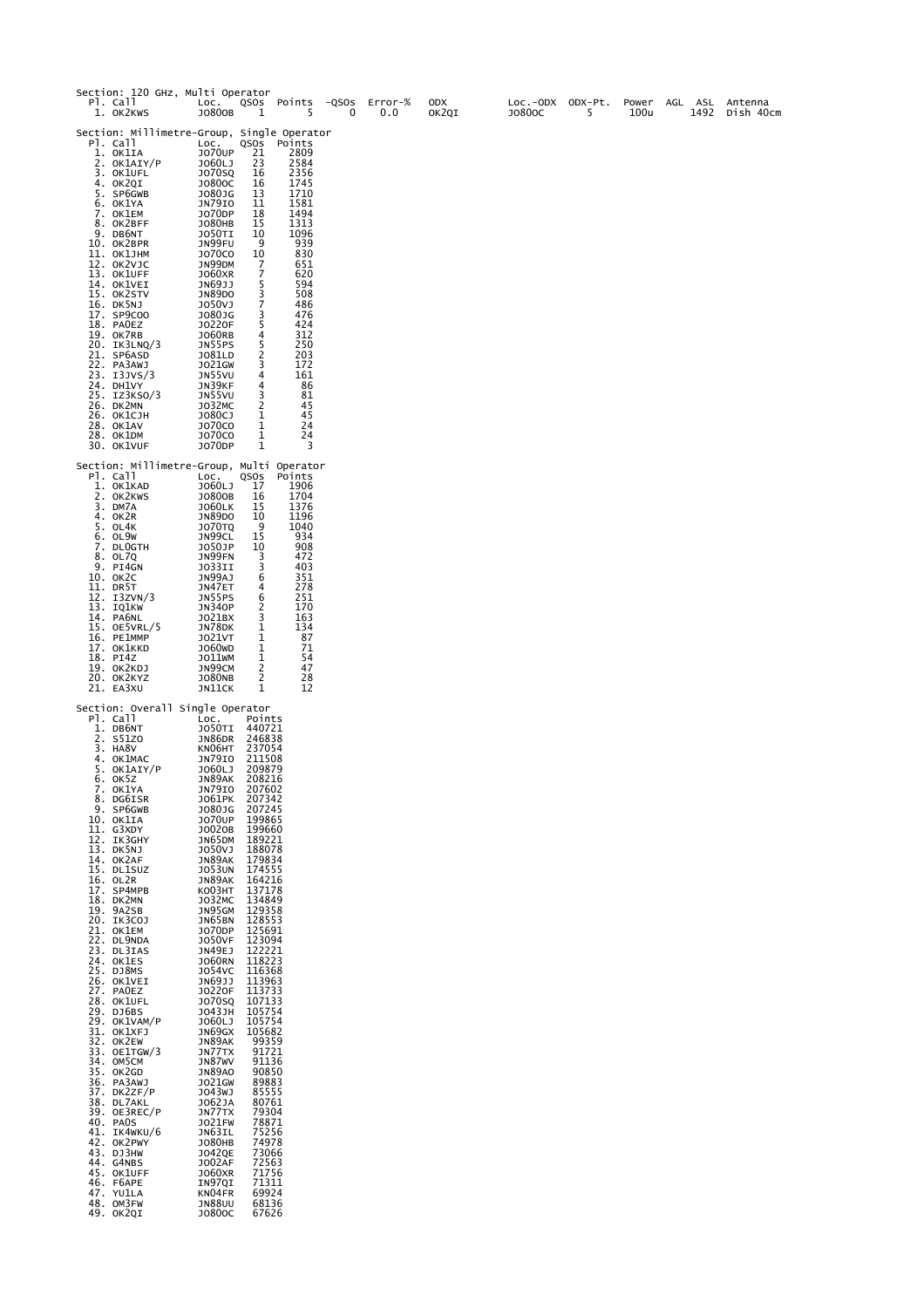| Section: 120 GHz, Multi Operator<br>PI. Call<br>1. OK2KWS                                                                                                                                                                                                                                                                                                                                                                                                                                                                                                                                                                                                                                                                        | Loc.<br>J0800B                                                                                                                                                                                                                                                                                                                                                                                                                                                                                                                                                                         | 1                                                                                                                                                                                                                                                                                                                                                                                                                                                                                              | QSOs Points<br>5                                                                                                                                                                                                          | -QSOS<br>0 | Error-%<br>0.0 | <b>ODX</b><br>OK2QI | LOC.-ODX ODX-Pt.<br>J0800C | 5 | Power<br>100u | AGL ASL<br>1492 | Antenna<br>Dish 40cm |
|----------------------------------------------------------------------------------------------------------------------------------------------------------------------------------------------------------------------------------------------------------------------------------------------------------------------------------------------------------------------------------------------------------------------------------------------------------------------------------------------------------------------------------------------------------------------------------------------------------------------------------------------------------------------------------------------------------------------------------|----------------------------------------------------------------------------------------------------------------------------------------------------------------------------------------------------------------------------------------------------------------------------------------------------------------------------------------------------------------------------------------------------------------------------------------------------------------------------------------------------------------------------------------------------------------------------------------|------------------------------------------------------------------------------------------------------------------------------------------------------------------------------------------------------------------------------------------------------------------------------------------------------------------------------------------------------------------------------------------------------------------------------------------------------------------------------------------------|---------------------------------------------------------------------------------------------------------------------------------------------------------------------------------------------------------------------------|------------|----------------|---------------------|----------------------------|---|---------------|-----------------|----------------------|
| Section: Millimetre-Group, Single Operator<br>Pl. Call<br>1. OK1IA<br>2. OK1AIY/P<br>3. OK1UFL<br>4. OK2QI<br>5. SP6GWB<br>6. OK1YA<br>7. OK1EM<br>8. OK2BFF<br>9. DB6NT<br>10. OK2BPR<br>11. ОК1ЈНМ<br>12. OK2VJC<br>13. OK1UFF<br>14. OK1VEI<br>15. OK2STV<br>16. DK5NJ<br>17. SP9COO<br>18. PAOEZ<br>19. OK7RB<br>20. IK3LNQ/3<br>21. SP6ASD<br>22. PA3AWJ<br>23. I3JVS/3<br>24. DH1VY<br>25. IZ3KSO/3<br>26. DK2MN<br>26. ОК1СЈН<br>28. OK1AV<br>28. OK1DM<br>30. OK1VUF                                                                                                                                                                                                                                                     | LOC.<br><b>JO70UP</b><br>J060LJ<br><b>JO70SQ</b><br>J0800C<br>J080JG<br>JN79IO<br>J070DP<br><b>JO80HB</b><br>JO50TI<br>JN99FU<br><b>JO70CO</b><br>JN99DM<br><b>JO60XR</b><br>JN69JJ<br><b>JN89DO</b><br>J050VJ<br>J080JG<br><b>JO220F</b><br>J060RB<br>JN55PS<br>J081LD<br>J021GW<br>JN55VU<br>JN39KF<br><b>JN55VU</b><br>JO32MC<br>J080CJ<br><b>JO70CO</b><br><b>JO70CO</b><br>J070DP                                                                                                                                                                                                 | QSOS<br>21<br>23<br>16<br>16<br>13<br>11<br>18<br>15<br>10<br>9<br>10<br>7<br>7<br>5<br>3<br>7<br>3<br>5<br>4<br>5<br>$\overline{\mathbf{c}}$<br>3<br>4<br>4<br>3<br>2<br>1<br>1<br>1<br>1                                                                                                                                                                                                                                                                                                     | Points<br>2809<br>2584<br>2356<br>1745<br>1710<br>1581<br>1494<br>1313<br>1096<br>939<br>830<br>651<br>620<br>594<br>508<br>486<br>476<br>424<br>312<br>250<br>203<br>172<br>161<br>86<br>81<br>45<br>45<br>24<br>24<br>3 |            |                |                     |                            |   |               |                 |                      |
| Section: Millimetre-Group, Multi Operator<br>Pl. Call<br>1. OK1KAD<br>2. OK2KWS<br>3. DM7A<br>4. OKZR<br>5. OL4K<br>6. OL9W<br>7. DLOGTH<br>8. OL7Q<br>9. PI4GN<br>10. ОК2С<br>11. DR5T<br>12. I3ZVN/3<br>13. IQ1KW<br>14. PA6NL<br>15. OE5VRL/5<br>16. PE1MMP<br>17. OK1KKD<br>18. PI4Z<br>19. OK2KDJ<br>20. OK2KYZ<br>21. EA3XU                                                                                                                                                                                                                                                                                                                                                                                                | LOC.<br>J060LJ<br>J0800B<br><b>JO60LK</b><br><b>JN89DO</b><br><b>JO70TQ</b><br>JN99CL<br>J050JP<br>JN99FN<br>JO33II<br>JN99AJ<br>JN47ET<br>JN55PS<br><b>JN340P</b><br>J021BX<br>JN78DK<br><b>JO21VT</b><br><b>JO60WD</b><br>JO11WM<br>JN99CM<br><b>JO80NB</b><br>JN11CK                                                                                                                                                                                                                                                                                                                | QSOS<br>17<br>16<br>15<br>10<br>9<br>15<br>10<br>3<br>3<br>6<br>4<br>6<br>2<br>3<br>1<br>1<br>1<br>1<br>2<br>2<br>1                                                                                                                                                                                                                                                                                                                                                                            | Points<br>1906<br>1704<br>1376<br>1196<br>1040<br>934<br>908<br>472<br>403<br>351<br>278<br>251<br>170<br>163<br>134<br>87<br>71<br>54<br>47<br>28<br>12                                                                  |            |                |                     |                            |   |               |                 |                      |
| Section: Overall Single Operator<br>Pl. Call<br>1. DB6NT<br>2. S51ZO<br>3. HA8V<br>4. OK1MAC<br>5. OK1AIY/P<br>6. OK5Z<br>7. OK1YA<br>DG6ISR<br>8.<br>9. SP6GWB<br>10. OK1IA<br>11. G3XDY<br>12. IK3GHY<br>13. DK5NJ<br>14. OK2AF<br>15. DL1SUZ<br>16. OL2R<br>17. SP4MPB<br>18. DK2MN<br>19. 9A2SB<br>20. ІКЗСОЈ<br>21. OK1EM<br>22. DL9NDA<br>23. DL3IAS<br>24. OK1ES<br>25. DJ8MS<br>26. OK1VEI<br>27. PAOEZ<br>28. OK1UFL<br>29. DJ6BS<br>29. OK1VAM/P<br>31. OK1XFJ<br>32. OK2EW<br>33. OE1TGW/3<br>34. OM5CM<br>35. OK2GD<br>36. PA3AWJ<br>37. DK2ZF/P<br>38. DL7AKL<br>39. OE3REC/P<br>40. PAOS<br>41. IK4WKU/6<br>42. OK2PWY<br>43. DJ3HW<br>44. G4NBS<br>45. OK1UFF<br>46. F6APE<br>47. YU1LA<br>48. OM3FW<br>49. OK2QI | LOC.<br><b>JO50TI</b><br>JN86DR<br>KN06HT<br>JN79IO<br>J060LJ<br>JN89AK<br>JN79IO<br>1061PK<br>10 <u>8</u> 01G<br>J070UP<br>J0020B<br>JN65DM<br>J050VJ<br><b>JN89AK</b><br>JO53UN<br>JN89AK<br><b>КООЗНТ</b><br>J032MC<br>JN95GM<br>JN65BN<br>J070DP<br><b>JO50VF</b><br>JN49EJ<br><b>JO60RN</b><br>J054VC<br>JN69JJ<br>J0220F<br>J070SQ<br>J043JH<br>J060LJ<br>JN69GX<br>JN89AK<br>JN77TX<br><b>JN87WV</b><br><b>JN89A0</b><br>J021GW<br>J043WJ<br>J062JA<br>JN77TX<br>J021FW<br>JN63IL<br>J080HB<br><b>JO42QE</b><br><b>JO02AF</b><br>J060XR<br>IN97QI<br>KN04FR<br>JN88UU<br>J0800C | Points<br>440721<br>246838<br>237054<br>211508<br>209879<br>208216<br>207602<br>207342<br>207245<br>199865<br>199660<br>189221<br>188078<br>179834<br>174555<br>164216<br>137178<br>134849<br>129358<br>128553<br>125691<br>123094<br>122221<br>118223<br>116368<br>113963<br>113733<br>107133<br>105754<br>105754<br>105682<br>99359<br>91721<br>91136<br>90850<br>89883<br>85555<br>80761<br>79304<br>78871<br>75256<br>74978<br>73066<br>72563<br>71756<br>71311<br>69924<br>68136<br>67626 |                                                                                                                                                                                                                           |            |                |                     |                            |   |               |                 |                      |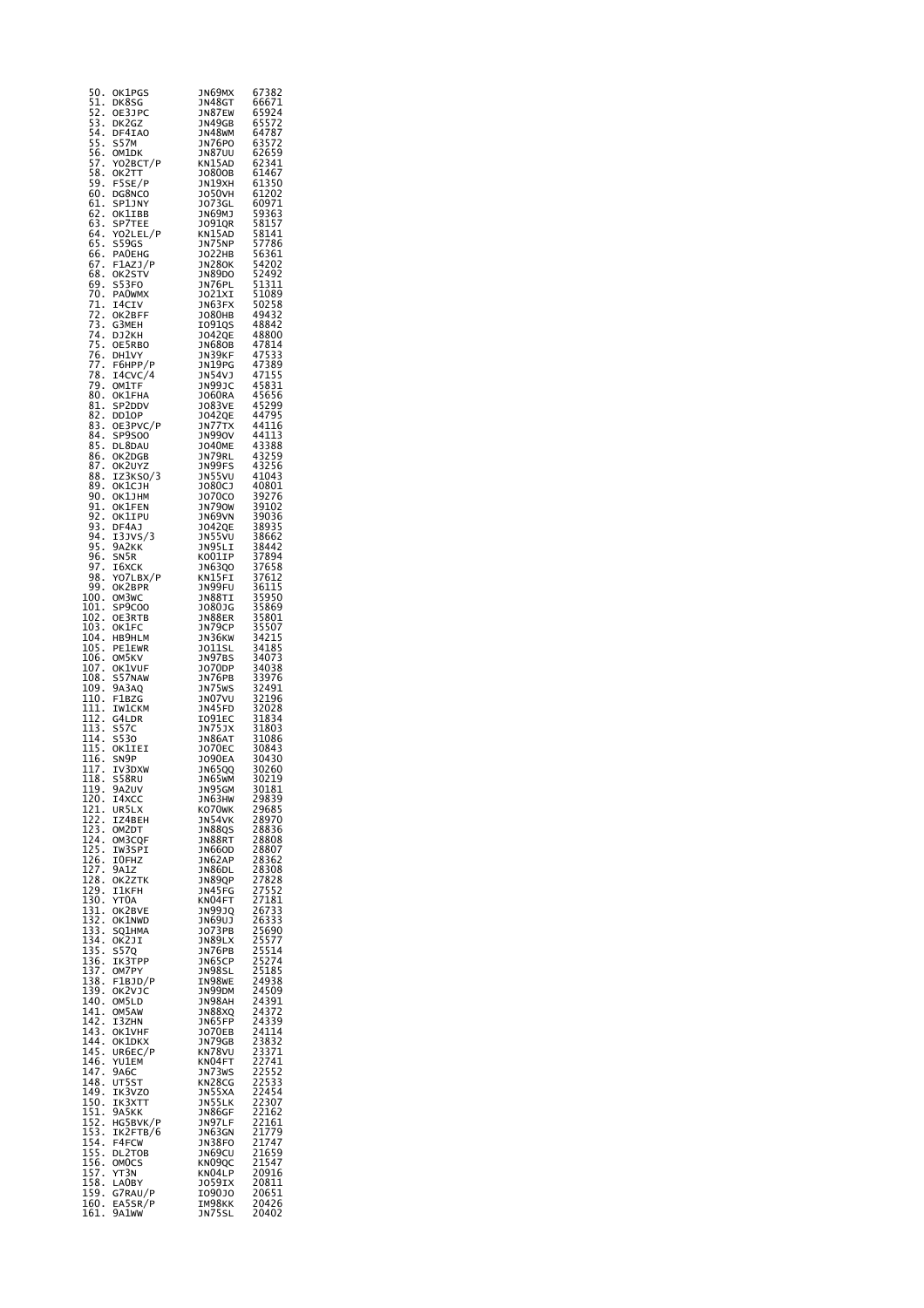| 50.<br>OK1PGS                                                                    | JN69MX                                                             | 67382                                              |
|----------------------------------------------------------------------------------|--------------------------------------------------------------------|----------------------------------------------------|
| 51.<br>DK8SG                                                                     | JN48GT                                                             | 66671                                              |
| 52.<br>OE3JPC                                                                    | JN87EW                                                             | 65924                                              |
| 53.<br>DK2GZ                                                                     | JN49GB                                                             | 65572                                              |
| 54.<br>DF4IAO                                                                    | JN48WM                                                             | 64787                                              |
| 55.<br>S57M                                                                      | <b>JN76PO</b>                                                      | 63572<br>62659                                     |
| 56.<br>OM1DK                                                                     | <b>JN87UU</b>                                                      |                                                    |
| YOZBCT/P<br>57.                                                                  | KN15AD                                                             | 62341                                              |
| 58.<br>OK2TT                                                                     | J0800B                                                             | 61467                                              |
| 59.<br>F5SE/P                                                                    | JN19XH                                                             | 61350                                              |
| 60.<br>DG8NCO                                                                    | J050VH                                                             | 61202                                              |
| 61.<br>SP1JNY                                                                    | J073GL                                                             | 60971                                              |
| 62.<br>OK1IBB                                                                    | JN69MJ                                                             | 59363                                              |
| 63.<br>SP7TEE<br>YO2LEL/P<br>64.                                                 | J091QR<br>KN15AD                                                   | 58157                                              |
| 65.                                                                              | JN75NP                                                             | 58141<br>57786                                     |
| S59GS<br>66.<br><b>PAOEHG</b>                                                    |                                                                    |                                                    |
|                                                                                  | ----------<br>JO22HB<br>JN28OK                                     | 56361<br>54202                                     |
| F1AZJ/P<br>OK2STV<br>67.<br>68.                                                  | JN89DO                                                             | 52492                                              |
| 69.<br>S53FO                                                                     | JN76PL                                                             | 51311                                              |
| PA0WMX<br>70.                                                                    | JO21XI                                                             | 51089                                              |
| 71.<br>I4CIV                                                                     | JN63FX                                                             | 50258                                              |
| OK2BFF                                                                           | J080HB                                                             | 49432                                              |
| ;72<br>73.<br>74.<br>G3MEH                                                       | 1091QS                                                             | 48842                                              |
| DJ2KH                                                                            | J042QE                                                             | 48800                                              |
| 75.<br>OE5RBO                                                                    | JN68OB                                                             | 47814                                              |
| 76.<br>DH1VY                                                                     | JN39KF                                                             | 47533                                              |
| 77.<br>F6HPP/P                                                                   | JN19PG                                                             | 47389                                              |
| 78.<br>I4CVC/4                                                                   | วท54vว<br>วท99วc                                                   | 47155<br>45831                                     |
| 79.<br>OM1TF                                                                     |                                                                    |                                                    |
| 80.<br>OK1FHA                                                                    | J060RA                                                             | 45656                                              |
| 81.<br>SP2DDV                                                                    | J083VE                                                             | 45299                                              |
| 82.<br>DD10P                                                                     | J042QE                                                             | 44795                                              |
| 0E3PVC/P<br>5B9500<br>83.                                                        | JN77TX                                                             | 44116                                              |
| 84.<br>SP9S00                                                                    | <b>JN990V</b>                                                      | 44113                                              |
| 85.<br>DL8DAU                                                                    | <b>JO40ME</b>                                                      | 43388<br>43259                                     |
| 86.<br>OK2DGB<br>OKZDGB<br>OK2UYZ<br>IZ3KSO/3<br>OK1CJH                          | JN79RL                                                             |                                                    |
| 87. OK2UYZ                                                                       | JN99FS                                                             | 43256                                              |
| 88.                                                                              | JN55VU<br>JO80CJ                                                   | 41043                                              |
| 89.                                                                              |                                                                    | 40801                                              |
| 90.<br>OK1JHM                                                                    | <b>JO70CO</b><br>JN79OW                                            | 39276<br>39102<br>39036                            |
| 91.<br>92.                                                                       | JN69VN                                                             |                                                    |
| OK1IPU<br>OK1IPU<br>DF44<br>93.                                                  |                                                                    | 38935                                              |
| 94.                                                                              | JO42QE<br>JN55VU                                                   | 38662                                              |
| I3JVS/3<br>95.<br>9A2KK                                                          | JN95LI                                                             | 38442                                              |
| 96.<br>SN <sub>5</sub> R                                                         | KO01IP                                                             |                                                    |
| 97.<br>16XCK                                                                     | JN63Q0                                                             |                                                    |
| 98.<br>YO7LBX/P                                                                  | KN15FI                                                             | 37894<br>37658<br>37612                            |
| 99.<br>OK2BPR                                                                    | JN99FU                                                             |                                                    |
| 100.<br>OM3WC                                                                    | JN88TI                                                             |                                                    |
| 101.<br>SP9C00                                                                   | J080JG                                                             | 36115<br>35950<br>35869<br>35801<br>35507<br>34215 |
| 102.<br>OE3RTB                                                                   |                                                                    |                                                    |
| $\overline{103}$ .<br>OK1FC                                                      | JN88ER<br>JN79CP                                                   |                                                    |
| 104.<br>HB9HLM                                                                   | JN36KW                                                             |                                                    |
| 105.<br>PE1EWR                                                                   | JO11SL                                                             | 34185<br>34073                                     |
| 106.<br>OM5KV                                                                    | JN97BS                                                             |                                                    |
| 107.<br>108.<br>OK1VUF                                                           | J070DP                                                             | 34038                                              |
| S57NAW                                                                           | JN76PB<br>JN75WS<br>JN07VU                                         | 33976<br>32491<br>32196                            |
| 9A3AQ<br>109.                                                                    |                                                                    |                                                    |
| 110.<br>F1BZG                                                                    |                                                                    |                                                    |
| 111.                                                                             |                                                                    | 32028<br>31834                                     |
| 112.                                                                             |                                                                    |                                                    |
| 113.                                                                             |                                                                    | 31803                                              |
| 114.                                                                             |                                                                    |                                                    |
| 115.                                                                             | JN45FD<br>JN45FD<br>JN75JX<br>JN86AT<br>JO70EC<br>JO90EA<br>JU6500 | 31086<br>30843<br>30430                            |
| <b>IWICNG</b><br>G4LDR<br>S57C<br>S530<br>OKLIEI<br>SN9P<br>116.<br>117.         |                                                                    |                                                    |
| 118.                                                                             | <b>JN65QQ</b>                                                      | 30260<br>30219                                     |
| S58RU<br>9A2UV<br>119.                                                           | JN65WM<br>JN95GM                                                   | 30181                                              |
| 120.<br>14XCC                                                                    | JN63HW                                                             | 29839                                              |
| UR5LX                                                                            | ko70wk                                                             | 29685                                              |
| I21.<br>122.<br>IZ4BEH                                                           | JN54VK                                                             | 28970                                              |
| 123. OM2DT                                                                       | JN88QS                                                             | 28836                                              |
|                                                                                  | JN88RT                                                             | 28808                                              |
|                                                                                  | JN66OD                                                             | 28807                                              |
|                                                                                  | JN62AP                                                             |                                                    |
| ∪ <sup>M3CQF</sup><br>⊥∠5. IW3SPI<br>126. IOFHZ<br>127. 9Α <sup>1-2</sup><br>128 | JN86DL                                                             | 28362<br>28308                                     |
| 128.<br>OK2ZTK                                                                   | JN89QP                                                             | 27828                                              |
| 129.<br>IlKFH                                                                    | JN45FG                                                             | 27552                                              |
| 130.<br>YT0A                                                                     | KN04FT                                                             | 27181                                              |
| 131.<br>OK2BVE                                                                   | JN99JQ                                                             | 26733<br>26333                                     |
| 131<br>132<br>133<br>OK1NWD                                                      | JN69UJ                                                             |                                                    |
| SQ1HMA<br>134.                                                                   | J073PB                                                             | 25690                                              |
| ОК2ЈІ<br>135. S57Q                                                               | JN89LX<br>JN76PB                                                   |                                                    |
| 136.<br>IK3TPP                                                                   | JN65CP                                                             | 25577<br>25514<br>25274                            |
| OM7PY                                                                            | <b>JN98SL</b>                                                      | 25185                                              |
| F1BJD/P                                                                          | IN98WE                                                             | 24938                                              |
| 137<br>138<br>139<br>ок2ујс                                                      | JN99DM                                                             | 24509                                              |
| 140.<br>OM5LD                                                                    | JN98AH                                                             | 24391                                              |
| 141.<br>OM5AW                                                                    | JN88XQ                                                             | 24372                                              |
| 142.<br>I3ZHN                                                                    | JN65FP                                                             | 24339                                              |
| 143.<br>OK1VHF                                                                   | J070EB                                                             | 24114                                              |
| 144.<br>OK1DKX                                                                   | JN79GB                                                             |                                                    |
| 145.<br>UR6EC/P                                                                  | KN78VU                                                             | 23832<br>23371                                     |
| 146.<br>YU1EM                                                                    | KN04FT                                                             | 22741<br>22552<br>22533                            |
| 147.<br>9A6C                                                                     | JN73WS                                                             |                                                    |
| 148.<br>UT5ST                                                                    | KN28CG                                                             |                                                    |
| IK3VZ0<br>149.                                                                   | JN55XA                                                             | 22454                                              |
| IK3XTT<br>9A5KK<br>150.<br>151.                                                  | JN55LK                                                             | 22307<br>22162                                     |
|                                                                                  | JN86GF                                                             |                                                    |
| 152.<br>HG5BVK/P                                                                 | JN97LF                                                             | 22161                                              |
| 153.<br>IK2FTB/6                                                                 | JN63GN                                                             | 21779                                              |
| 154.<br>F4FCW                                                                    | JN38FO                                                             | 21747                                              |
| 155<br>156<br>157<br>157<br>DL2T0B                                               | JN69CU<br>KN09QC                                                   | 21659<br>21547                                     |
| OMOCS<br>YT3N                                                                    | KN04LP                                                             | 20916                                              |
| 158.<br>LA0BY                                                                    | J059IX                                                             | 20811                                              |
| 159. G7RAU/P                                                                     | 109010                                                             | 20651                                              |
| 160.<br>EA5SR/P                                                                  | IM98KK                                                             | 20426                                              |
| 161.<br>9A1ww                                                                    | JN75SL                                                             | 20402                                              |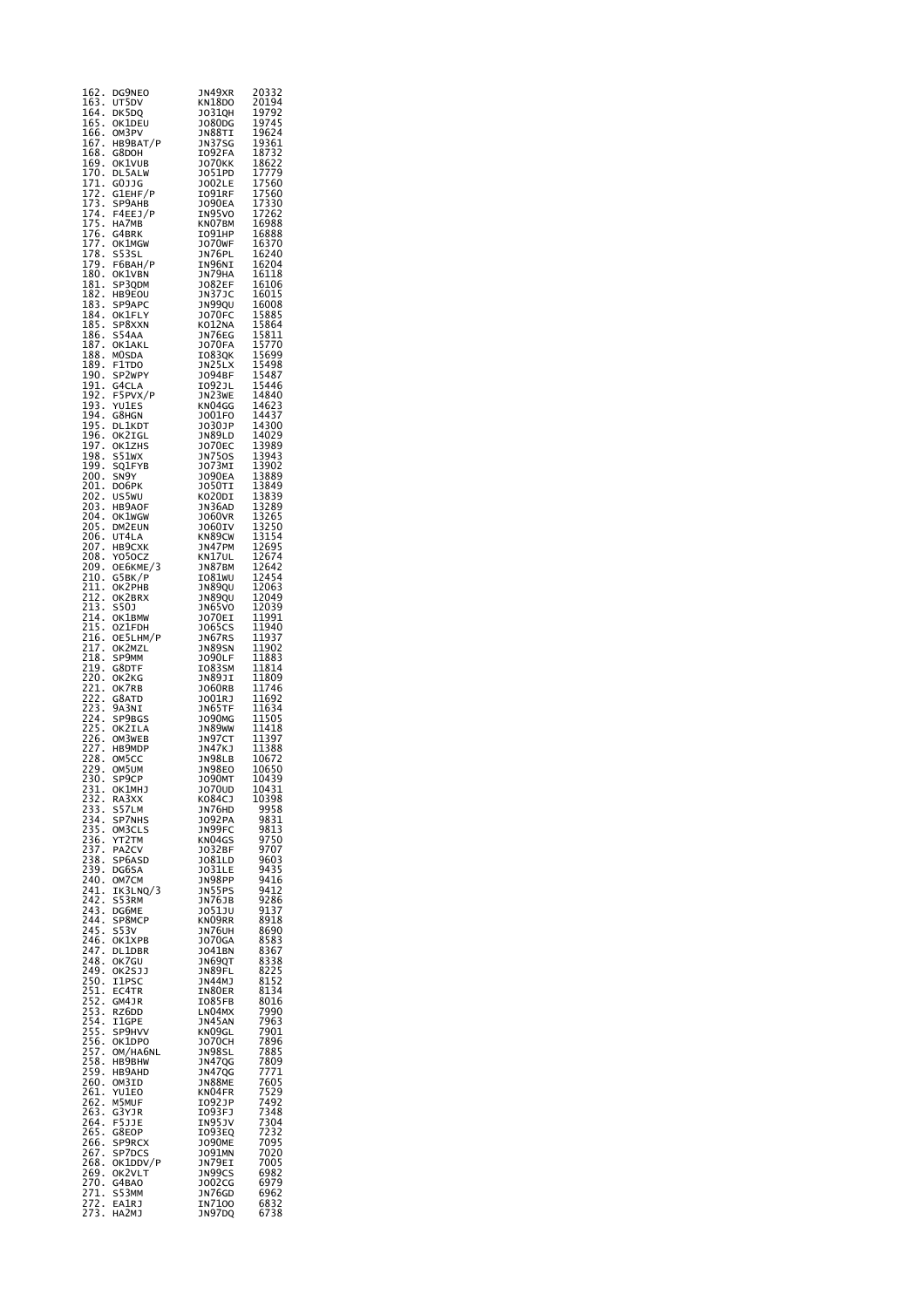| 162.<br>163.                                        | DG9NEO<br>UT5DV                           | JN49XR<br>KN18DO               | 20332<br>20194                                       |
|-----------------------------------------------------|-------------------------------------------|--------------------------------|------------------------------------------------------|
| 164.                                                | DK5DQ                                     | J0310H                         | 19792                                                |
| 165.<br>166.                                        | OK1DEU<br>OM3PV                           | J080DG<br>JN88TI               | 19745<br>19624                                       |
| 167.                                                | HB9BAT/P                                  | JN37SG                         | $\frac{19361}{18732}$                                |
| 168.<br>169.                                        | G8DOH<br><b>OK1VUB</b>                    | I092FA<br><b>JO70KK</b>        | 18622                                                |
| 170.                                                | DL5ALW                                    | J051PD                         | 17779<br>17560                                       |
| 171.                                                | GOJJG<br>G1EHF/P                          | <b>JO02LE</b><br>I091RF        |                                                      |
| 172.<br>173.                                        | SP9AHB                                    | <b>JO90EA</b>                  | 17560<br>17330<br>17262<br>16888                     |
| 174.<br>$\overline{175}$ .                          | F4EEJ/P<br>HA7MB                          | IN95VO<br>KNO7BM               | 16988                                                |
| $\frac{176}{176}$ .                                 | G4BRK                                     | IO91HP                         | 16888                                                |
| 177.<br>$\overline{178}$ .                          | OK1MGW<br>S53SL                           | <b>JO70WF</b><br>JN76PL        | 16370<br>16240                                       |
| ī79.                                                | F6BAH/P                                   | IN96NI                         | 16204                                                |
| 180.<br>$\frac{1}{2}$ .                             | OK1VBN<br>SP3QDM                          | JN79HA<br>J082EF               | 16118<br>16106                                       |
| 182.                                                | HB9EOU                                    | JN37JC                         | 16015                                                |
| 183.<br>184.                                        | SP9APC<br>OK1FLY                          | JN99QU<br><b>JO70FC</b>        | 16008                                                |
| 185.                                                | SP8XXN                                    | KO12NA                         | 15885<br>15864<br>15811                              |
| 186.<br>187.                                        | S54AA<br>OK1AKL                           | JN76EG<br>J070FA               | 15770                                                |
| 188.<br>189.                                        | MOSDA<br>F1TDO                            | IO83QK<br>JN25LX               | 15699<br>15498                                       |
| $\overline{190}$ .                                  | SP2WPY                                    | J094BF                         | 15487                                                |
| ī91.<br>192.                                        | G4CLA                                     | I092JL                         | $\frac{15446}{1.212}$<br>14840                       |
| 193.                                                | F5PVX/P<br>YU1ES                          | JN23WE<br>KN04GG               | 14623<br>14437                                       |
| 194.<br>ī95.                                        | G8HGN                                     | J001F0<br>J030JP               | 14300                                                |
| $\bar{1}96$ .                                       | DL1KDT<br>OK2IGL                          | JN89LD                         | 14029                                                |
| ī97.<br>198.                                        | OK1ZHS<br>S51wx                           | <b>JO70EC</b><br><b>JN750S</b> | 13989<br>13943                                       |
| 199.                                                | SQ1FYB                                    | JO73MI                         |                                                      |
| 200.                                                | SN9Y                                      | <b>JO90EA</b>                  | 13902<br>13889<br>13849                              |
| 201.<br>202.                                        | DO6PK<br>US5WU                            | J050TI<br>KO20DI               |                                                      |
| 203.<br>$\overline{204}$ .                          | HB9AOF<br>OK1WGW                          | JN36AD<br>J060VR               | 13839<br>13289<br>13265<br>13265                     |
| 205.                                                | DM2EUN                                    | J060IV                         |                                                      |
| $\frac{5}{6}$ .<br>207.                             | UT4LA<br>HB9CXK                           | KN89CW<br>JN47PM               | 13250<br>13154<br>12695                              |
| 208.                                                | Y050CZ                                    | KN17UL                         | 12674                                                |
| 209.<br>210.                                        | ОЕ6КМЕ/3<br>G5BK/P                        | JN87BM<br>IO81WU               | 12642<br>12454                                       |
| 211.                                                | OK2PHB                                    | JN89QU                         | 12063                                                |
| 212.<br>213.                                        | OK2BRX<br>S50J                            | JN89QU<br>JN65VO               | 12049<br>12039                                       |
| 214.                                                | OK1BMW                                    | J070EI                         | 11991                                                |
| 215.<br>$\frac{5}{216}$ .                           | OZ1FDH<br>OE5LHM/P                        | JO65CS<br>JN67RS               | 11940<br>11937                                       |
| 217.<br>218.                                        | OK2MZL                                    | JN89SN                         | 11902                                                |
| 219.                                                | SP9MM<br>G8DTF                            | J090LF<br>IO83SM               | 11883<br>11814                                       |
| 220.                                                | OK2KG                                     | JN89JI                         | 11809                                                |
| 221.222.223.224.225.                                | OK7RB<br>G8ATD                            | J060RB<br>JO01RJ               | 11746<br>11692                                       |
|                                                     | 9A3NI                                     | JN65TF                         | 11634                                                |
|                                                     | SP9BGS<br>OK2ILA                          | J090MG<br>JN89WW               | 11505<br>11418                                       |
| 226.                                                | OM3WEB                                    | JN97CT                         | 11397<br>11388                                       |
| 227.<br>228.                                        | HB9MDP<br>OM5CC                           | JN47KJ<br>JN98LB               |                                                      |
| 229.                                                | OM5UM                                     | <b>JN98EO</b>                  | 10672<br>10650                                       |
| 230.<br>2<br>3<br>1.                                | SP9CP<br>ок1мнэ                           | <b>JO90MT</b><br>J070UD        | 10439<br>10431                                       |
| 232.233.234.235.236.                                | RA3XX                                     | K084CJ                         | 10398                                                |
|                                                     | S57LM<br><b>SP7NHS</b>                    | JN76HD<br>J092PA               | 9958<br>9831                                         |
|                                                     | OM3CLS                                    | JN99FC                         | 9813                                                 |
|                                                     | YT2TM<br>PA2CV                            | KN04GS<br>J032BF               | 9750<br>9707                                         |
| ----<br>237<br>238<br>239                           | SP6ASD                                    | J081LD                         | 9603<br>9435                                         |
| 240.                                                | DG6SA<br>OM7CM                            | J031LE<br>JN98PP               | 9416                                                 |
| 241.<br>242.                                        | IK3LNQ/3<br>S53RM                         | <b>JN55PS</b><br>JN76JB        | 9412<br>9286                                         |
| 243.                                                | DG6ME                                     | ว051วบ                         | 9137                                                 |
| 244.<br>$\frac{5}{245}$ .                           | SP8MCP<br>$\overline{\text{S}}$ 53 $\vee$ | KN09RR<br>JN76UH               | 8918<br>8690                                         |
| 246.                                                | OK1XPB                                    | <b>JO70GA</b>                  |                                                      |
| 247.<br>248.                                        | DL1DBR<br>OK7GU                           | J041BN<br>JN69QT               | 8583<br>8583<br>8367<br>8338<br>8225<br>8152<br>8134 |
| 249.                                                | OK2SJJ                                    | JN89FL                         |                                                      |
| 243.<br>250.<br>251.<br>252.<br>253.<br>254.        | I1PSC<br>EC4TR                            | JN44MJ<br>IN80ER               |                                                      |
|                                                     | GM4JR                                     | IO85FB                         | 8016                                                 |
|                                                     | RZ6DD<br>I1GPE                            | LN04MX<br>JN45AN               | 7990<br>7963                                         |
|                                                     | SP9HVV                                    | KN09GL                         | 7901                                                 |
| $255$<br>$256$<br>$256$<br>$257$<br>$\frac{6}{7}$ . | OK1DPO<br>OM/HA6NL                        | J070CH<br>JN98SL               | 7896<br>7885                                         |
| $\frac{258}{259}$ .                                 | <b>HB9BHW</b>                             | JN47QG                         | 7809<br>7771                                         |
| 260.                                                | HB9AHD<br>OM3ID                           | JN47QG<br>JN88ME               | 7605                                                 |
| 261.                                                | YU1EO                                     | KN04FR                         | 7529<br>7492                                         |
| 262.<br>263.                                        | M5MUF<br>G3YJR                            | I092JP<br>IO93FJ               |                                                      |
| 264.                                                | F5JJE                                     | IN95JV                         | - - - - - -<br>7304<br>7232<br>7232                  |
| $\overline{265}$ .<br>266.                          | G8EOP<br>SP9RCX                           | I093EQ<br><b>JO90ME</b>        |                                                      |
| 267.<br>268.                                        | SP7DCS                                    | <b>JO91MN</b>                  | 7095<br>7020                                         |
| 269.                                                | OK1DDV/P<br>OK2VLT                        | JN79EI<br>JN99CS               | 7005<br>6982                                         |
| 270.                                                | G4BAO                                     | J002CG                         | 6979                                                 |
| 271.<br>272.                                        | S53MM<br>EA1RJ                            | JN76GD<br>IN7100               | 6962<br>6832                                         |
| 273                                                 | HA2MJ                                     | JN97DQ                         | 6738                                                 |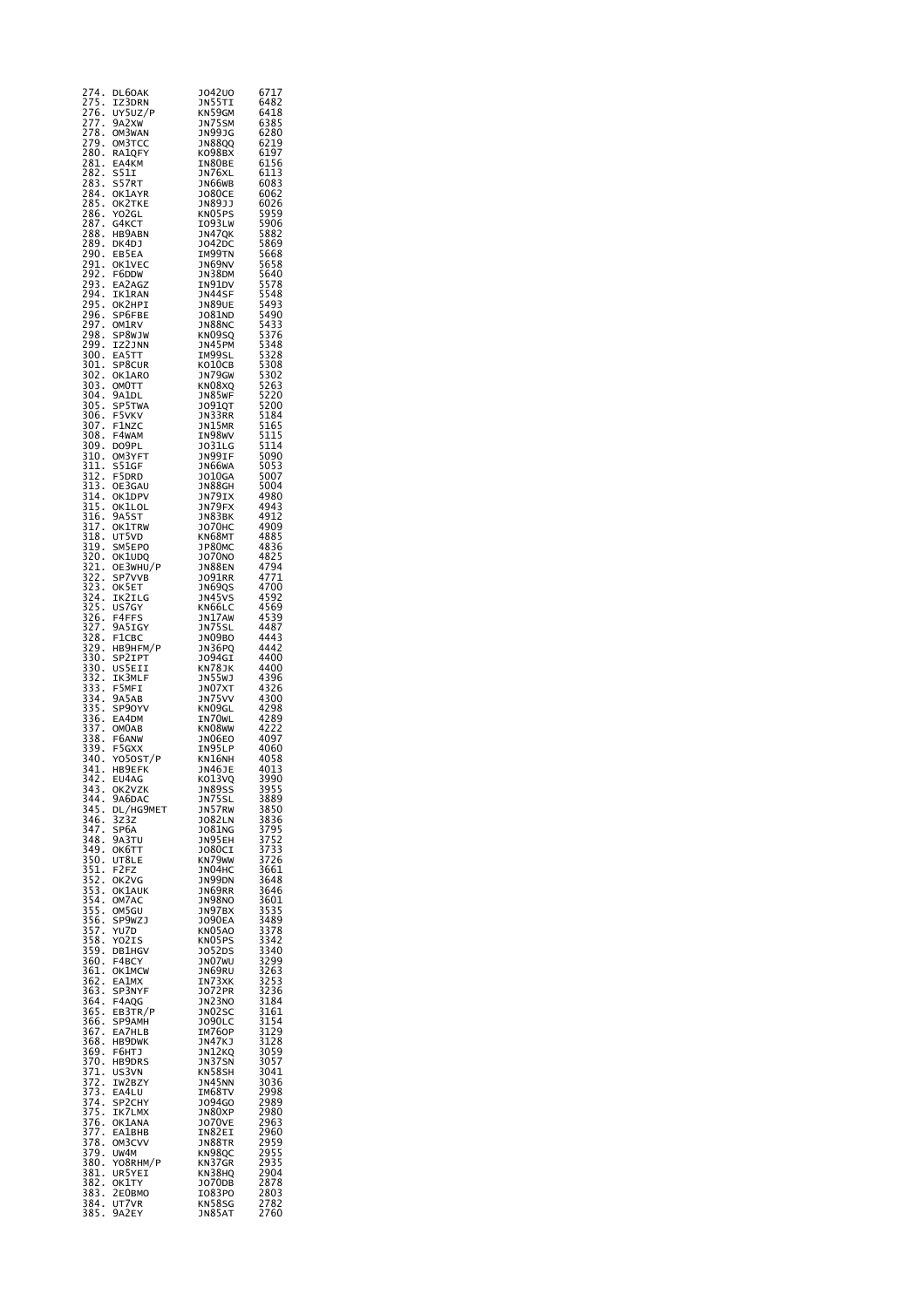| 274.                                                 | DL60AK                     | JO42UO<br>JN55TI               | 6717                                                                 |
|------------------------------------------------------|----------------------------|--------------------------------|----------------------------------------------------------------------|
| 275.<br>$\cdot$                                      | IZ3DRN<br>UY5UZ/P          | KN59GM                         | 6482<br>6418                                                         |
| 276<br>277                                           | 9A2XW                      | JN75SM                         | 6385<br>6280                                                         |
| 278.                                                 | OM3WAN<br>ом3тсс           | <b>JN99JG</b><br><b>JN88QQ</b> |                                                                      |
| ----<br>279.<br>280.<br>281.                         | RA1QFY                     | ко98вх                         | 6219<br>6197<br>6156                                                 |
|                                                      | EA4KM<br>5511              | IN80BE                         | 6113                                                                 |
| 282<br>283<br>$\ddot{\cdot}$                         | S57RT                      | JN76XL<br>JN66WB               | 6083                                                                 |
| 284.<br>285.<br>285.<br>286.<br>287.<br>288.<br>289. | OK1AYR                     | <b>JO80CE</b>                  | 6062                                                                 |
|                                                      | OK2TKE<br>YO2GL            | JN89JJ<br>KN05PS               | 6026<br>5959<br>5906                                                 |
|                                                      | G4KCT                      | IO93LW                         |                                                                      |
|                                                      | нв9авн<br>DK4DJ            | JN47QK<br>J042DC               | 5882<br>5869                                                         |
| $\frac{2}{90}$ .                                     |                            | IM99TN                         | 5668                                                                 |
| 291<br>292<br>293<br>294<br>294                      | EB5EA<br>OK1VEC            | JN69NV                         | 5658<br>5658<br>5640<br>5578<br>5548                                 |
|                                                      | F6DDW<br>EA2AGZ            | JN38DM<br>IN91DV               |                                                                      |
|                                                      | IK1RAN                     | JN44SF                         |                                                                      |
|                                                      | ОК2НРІ<br>SP6FBE           | JN89UE<br><b>JO81ND</b>        |                                                                      |
|                                                      | OM1RV                      | <b>JN88NC</b>                  |                                                                      |
| 294<br>295<br>296<br>297<br>298                      | SP8WJW                     | KN09SQ                         | 5493<br>5490<br>5433<br>5376<br>5376<br>5328<br>5302<br>5220<br>5220 |
| 299.<br>300.                                         | IZ2JNN<br>EA5TT            | JN45PM<br>IM99SL               |                                                                      |
| 301                                                  | SP8CUR                     | KO10CB                         |                                                                      |
| 302<br>$\ddot{\cdot}$                                | OK1ARO<br>омотт            | JN79GW<br>KN08XQ               |                                                                      |
| $\frac{302}{303}$ .<br>304.                          | 9A1DL                      | JN85WF                         |                                                                      |
| 305<br>306<br>307                                    | SP5TWA<br>F5VKV            | <b>JO91QT</b><br>JN33RR        | 5200<br>5200<br>5184<br>5165                                         |
| $\frac{1}{2}$                                        | F1NZC                      | JN15MR                         |                                                                      |
| 308<br>l,                                            | F4WAM                      | IN98WV                         |                                                                      |
| 308.<br>309.<br>310.                                 | DO9PL<br>OM3YFT            | JO31LG<br>JN99IF               | 5115<br>5115<br>5090<br>5090                                         |
| j                                                    | <b>S51GF</b>               | JN66WA                         | 5053<br>5007                                                         |
| 311<br>312<br>313                                    | F5DRD<br>OE3GAU            | J010GA<br><b>JN88GH</b>        | 5004                                                                 |
|                                                      | OK1DPV                     | JN79IX                         | 4980                                                                 |
| $\frac{314}{315}$ .<br>$\frac{315}{316}$ .           | OK1LOL<br>9A5ST            | JN79FX<br>JN83BK               | 4943<br>4912                                                         |
|                                                      | OK1TRW                     | <b>JO70HC</b>                  | 4909                                                                 |
| $\frac{317}{318}$ .                                  | UT5VD                      | KN68MT                         | 4885                                                                 |
| 319.<br>320.<br>321.<br>322.<br>323.<br>324.<br>325. | SM5EPO<br>OK1UDQ           | JP80MC<br><b>JO70NO</b>        | 4836<br>4825<br>4794<br>4771                                         |
|                                                      | OE3WHU/P<br>SP7VVB         | <b>JN88EN</b>                  |                                                                      |
|                                                      | OK5ET                      | J091RR<br>JN69QS               |                                                                      |
|                                                      | IK2ILG                     | JN45VS                         | 4700<br>4592                                                         |
|                                                      | US7GY<br>F4FFS             | KN66LC<br>JN17AW               | 4569                                                                 |
|                                                      | 9A5IGY                     | JN75SL                         | 4539<br>4487                                                         |
|                                                      | F1CBC<br>нв9нғм/р          | JN09BO<br>JN36PQ               | 4443<br>4442                                                         |
|                                                      | SP2IPT                     | J094GI                         | 4400                                                                 |
|                                                      | US5EII<br>IK3MLF           | KN78JK                         | 4400                                                                 |
|                                                      | F5MFI                      | נS5W<br>אנ <u>ס</u> אנ         | 4396<br>4326<br>4300                                                 |
|                                                      | 9A5AB<br>SP90YV            | JN75VV<br>KN09GL               | 4298                                                                 |
|                                                      | EA4DM                      | IN70WL                         | 4289<br>4222                                                         |
|                                                      | <b>OMOAB</b><br>F6ANW      | KN08WW<br>JN06EO               |                                                                      |
| 337 .<br>338 .<br>339 .<br>340 .<br>$\vdots$         | F5GXX                      | IN95LP                         | 4097<br>4060                                                         |
| 341                                                  | Y050ST/P<br>HB9EFK         | KN16NH<br><b>JN46JE</b>        | 4058<br>4013                                                         |
| $\ddot{\cdot}$<br>342                                | EU4AG                      | KO13VQ                         | 3990                                                                 |
| 343.                                                 | ok2vzk                     | JN89SS                         | 3955                                                                 |
| 344.<br>345.                                         | 9A6DAC                     | ่<br>วิ่ม57ลิพ<br>วิ่ม57ลิพ    |                                                                      |
| 346.                                                 | DL/HG9MET<br>3Z3Z          | J082LN                         | 3889<br>3889<br>3850<br>3836<br>3795<br>3752                         |
| 347.<br>348.                                         | SP <sub>6</sub> A<br>9A3TU | <b>JO81NG</b><br>JN95EH        |                                                                      |
| 349.                                                 | <b>ОК6ТТ</b>               | J080CI                         | 3733<br>3733<br>3726<br>3661<br>3648<br>3646<br>3601                 |
| 350.                                                 | UT8LE<br>F2FZ              | KN79WW<br>JN04HC               |                                                                      |
| 350<br>351<br>352<br>353<br>354                      | OK2VG                      | JN99DN                         |                                                                      |
|                                                      | OK1AUK<br>OM7AC            | JN69RR<br>JN98NO               |                                                                      |
|                                                      | OM5GU                      | JN97BX                         |                                                                      |
|                                                      | SP9WZJ<br>YU7D             | <b>JO90EA</b><br>KN05A0        |                                                                      |
|                                                      | YO2IS                      | KNO5PS                         |                                                                      |
| 355.<br>355.<br>356.<br>358.<br>359.<br>359.         | <b>DB1HGV</b>              | J052DS                         | 3535<br>3535<br>3489<br>3378<br>3342<br>3340<br>3299                 |
| 361.                                                 | F4BCY<br><b>OK1MCW</b>     | JNO7WU<br>JN69RU               |                                                                      |
| $\frac{362}{362}$ .                                  | EA1MX                      | IN73XK<br>1072PR               | 3263<br>3253<br>3253<br>3236<br>3184<br>3161<br>3154                 |
| 363.<br>$\frac{564}{364}$                            | SP3NYF<br>F4AQG            | JN23NO                         |                                                                      |
| 365.                                                 | EB3TR/P                    | JN02SC                         |                                                                      |
| 366.                                                 | SP9AMH<br>EA7HLB           | J090LC<br>IM760P               |                                                                      |
| 367.<br>368.                                         | HB9DWK                     | JN47KJ                         | 3129<br>3128<br>3128<br>3059<br>3057<br>3041<br>3036<br>2009         |
| 369.                                                 | F6HTJ<br>HB9DRS            | JN12KQ<br><b>JN37SN</b>        |                                                                      |
| 370<br>371<br>372<br>372                             | US3VN                      | KN58SH                         |                                                                      |
| 373.                                                 | IW2BZY<br>EA4LU            | JN45NN<br>IM68TV               | 2998                                                                 |
| 374.                                                 | SP2CHY                     | J094G0                         | 2989                                                                 |
|                                                      | IK7LMX<br>OK1ANA           | JN80XP<br><b>JO70VE</b>        | 2980                                                                 |
| 375<br>375<br>376<br>377<br>378                      | <b>EA1BHB</b>              | IN82EI                         | 2963<br>2963<br>2960                                                 |
| 379.                                                 | OM3CVV<br>UW4M             | JN88TR<br>KN98QC               | 2959                                                                 |
| 380.                                                 | YO8RHM/P                   | KN37GR                         | 2955<br>2935                                                         |
| 381.<br>.<br>382.                                    | UR5YEI<br>OK1TY            | KN38HQ<br>J070DB               | 2904<br>2878                                                         |
| 383.                                                 | 2E0BMO                     | I083PO                         | 2803                                                                 |
| 384.<br>385.                                         | UT7VR<br>9A2EY             | KN58SG<br>JN85AT               | 2782<br>2760                                                         |
|                                                      |                            |                                |                                                                      |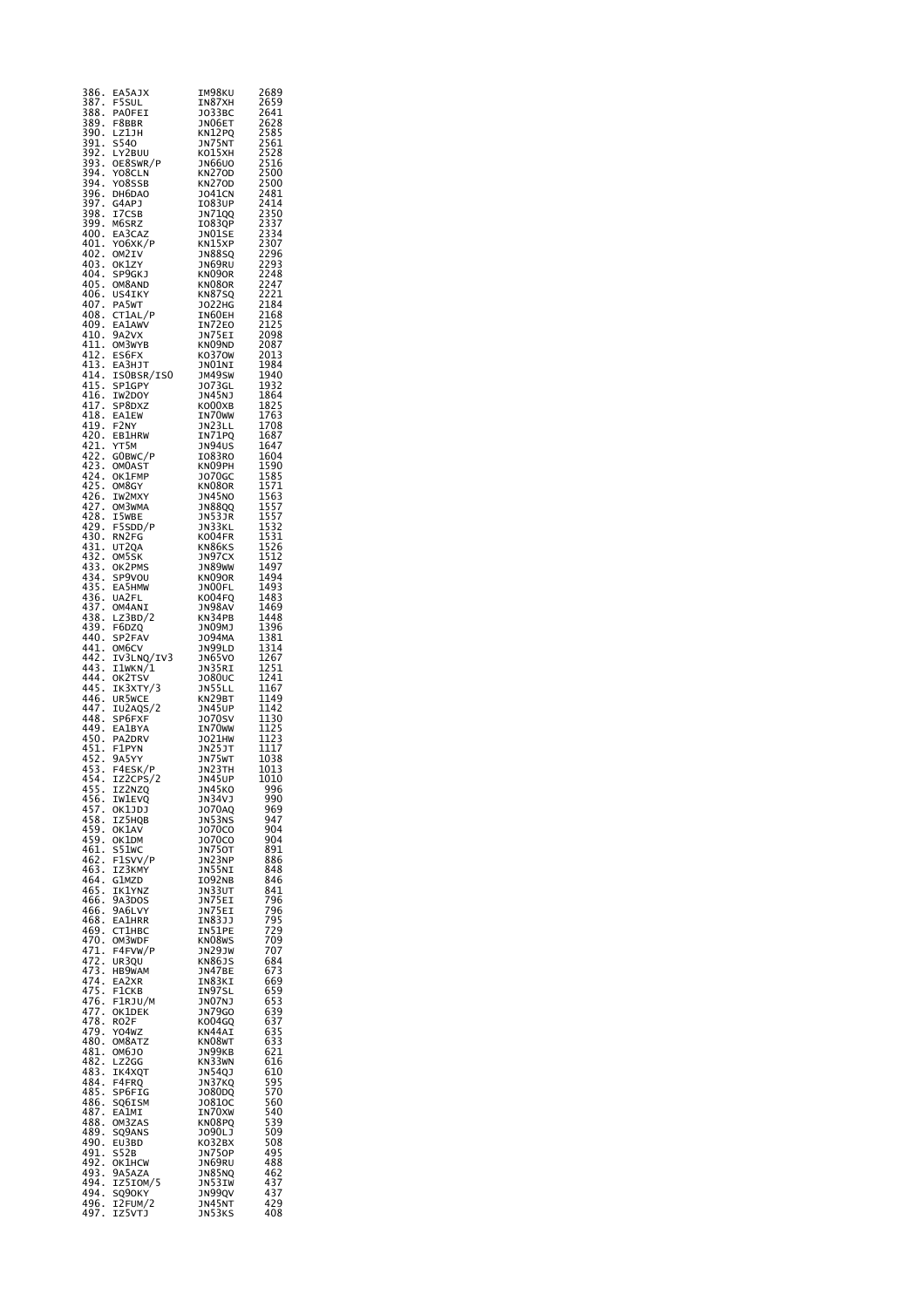| 386.<br>387.            | EA5AJX<br>F5SUL         | ⊥м98к∪<br>IN87XH               | 2689<br>2659                                                                                  |
|-------------------------|-------------------------|--------------------------------|-----------------------------------------------------------------------------------------------|
| 388.                    | <b>PAOFEI</b>           | J033BC                         | 2641<br>2628<br>2585                                                                          |
| 389.<br>390.            | F8BBR<br>LZ1JH          | JNO6ET<br>KN12PQ               |                                                                                               |
|                         | s540                    | JN75NT                         |                                                                                               |
| 391.<br>392.<br>393.    | LY2BUU<br>OE8SWR/P      | ко15хн<br>JN66U0               | 2561<br>2528<br>2528<br>2516                                                                  |
| 394.                    | Y08CLN                  | <b>KN270D</b>                  | 2500<br>2500                                                                                  |
| 394.                    | Y08SSB<br>DH6DAO        | <b>KN270D</b><br><b>JO41CN</b> |                                                                                               |
| 396<br>397<br>398       | G4APJ<br>I7CSB          | 1083UP<br>JN71QQ               |                                                                                               |
| 399.                    | M6SRZ                   | <b>IO83QP</b>                  |                                                                                               |
| 400.                    | EA3CAZ                  | JNO1SE                         |                                                                                               |
| 401.<br>402.            | YO6XK/P<br>OM2IV        | KN15XP<br><b>JN88SQ</b>        |                                                                                               |
| 403.<br>404.            | OK1ZY<br>SP9GKJ         | JN69RU<br>KN090R               |                                                                                               |
| 405.                    | OM8AND                  | KN08OR                         | 24814<br>2414<br>2350<br>2337<br>2334<br>2296<br>2298<br>2244<br>2221<br>2221<br>2184<br>2184 |
| 406<br>$\cdot$<br>407.  | US4IKY<br>PA5WT         | KN87SQ<br><b>JO22HG</b>        |                                                                                               |
| 408.                    | CT1AL/P                 | IN60EH                         |                                                                                               |
| 409.<br>410.            | EA1AWV<br>9A2VX         | IN72EO<br>JN75EI               | 2168<br>2125<br>2098                                                                          |
| 411.                    | OM3WYB                  | KN09ND                         | 2087                                                                                          |
| 412.<br>413.            | ES6FX<br>EA3HJT         | KO370W<br>JNO1NI               | 2013<br>1984                                                                                  |
| 414.                    | ISOBSR/ISO              | JM49SW                         | 1940                                                                                          |
| 415.<br>416.            | SP1GPY<br>IW2DOY        | <b>JO73GL</b><br><b>JN45NJ</b> | 1932<br>1864                                                                                  |
| 417.<br>418.            | SP8DXZ                  | KO00XB                         | 1825<br>1763                                                                                  |
| 419.                    | <b>EA1EW</b><br>F2NY    | IN70WW<br>JN23LL               | 1708                                                                                          |
| 420.                    | <b>EB1HRW</b>           | IN71PQ                         | 1687                                                                                          |
| 421.<br>422.            | YT5M<br>GOBWC/P         | JN94US<br>1083RO               | 1647                                                                                          |
| þ,<br>$\frac{423}{424}$ | OM0AST                  | KNO9PH                         |                                                                                               |
| 425.                    | OK1FMP<br>OM8GY         | J070GC<br>KN080R               |                                                                                               |
| $426$<br>$427$<br>$428$ | IW2MXY                  | <b>JN45NO</b>                  |                                                                                               |
|                         | OM3WMA<br>I5wBE         | JN88QQ<br>JN53JR               |                                                                                               |
| 429.<br>430.            | F5SDD/P                 | JN33KL                         |                                                                                               |
| 431.                    | RN2FG<br>UT2QA          | KO04FR<br>KN86KS               | 1604<br>1590<br>1585<br>1571<br>1563<br>1557<br>1557<br>1531<br>1531<br>1526                  |
| $432$<br>$433$<br>$434$ | OM5SK<br>OK2PMS         | JN97CX                         | 1512<br>1512<br>1497                                                                          |
|                         | SP9VOU                  | JN89WW<br>KN090R               | 1494                                                                                          |
| 435.                    | EA5HMW                  | JNOOFL                         | 1493<br>1483                                                                                  |
| 436<br>437.             | UA2FL<br>OM4ANI         | KO04FQ<br>JN98AV               | 1469                                                                                          |
| 438.                    | LZ3BD/2                 | KN34PB                         | 1448                                                                                          |
| 439.<br>440.            | F6DZQ<br>SP2FAV         | JNO9MJ<br>J094MA               | 1396<br>1381                                                                                  |
| 441.<br>442.            | OM6CV                   | JN99LD                         | 1314<br>1267                                                                                  |
| 443.                    | IV3LNQ/IV3<br>I1WKN/1   | <b>JN65VO</b><br>JN35RI        | 1251                                                                                          |
| 444.<br>445.            | OK2TSV                  | <b>JO80UC</b>                  | 1241                                                                                          |
| 446.                    | IK3XTY/3<br>UR5WCE      | JN55LL<br>KN29BT               | 1167<br>1149<br>1142                                                                          |
| 447.<br>448.            | IU2AQS/2<br>SP6FXF      | JN45UP<br><b>J070SV</b>        | $\frac{1130}{1130}$                                                                           |
| 449.                    | EA1BYA                  | IN70 <sub>W</sub>              | 1125                                                                                          |
| 450.                    | PA2DRV                  | JO21HW                         | 1123<br>1117                                                                                  |
| 451.<br>452.            | F1PYN<br>9A5YY          | JN25JT<br>JN25JT<br>JN23TH     | 1038                                                                                          |
| 453<br>ł,<br>454.       | F4ESK/P<br>IZ2CPS/2     | <b>JN45UP</b>                  | 1013<br>1010                                                                                  |
| 455.                    | IZ2NZQ                  | JN45KO                         | 996                                                                                           |
| 456.                    | <b>IW1EVQ</b><br>OK1JDJ | JN34VJ                         | 990                                                                                           |
| 457.<br>458.            | IZ5HQB                  | JO70AQ<br>JN53NS               | 969<br>947                                                                                    |
| 459.<br>459.            | OK1AV<br>OK1DM          | J070C0<br>J070C0               | 904<br>904                                                                                    |
| 461.                    | S51wC                   | JN750T                         | 891                                                                                           |
| 462.<br>463.            | F1SVV/P<br>IZ3KMY       | JN23NP                         | 886<br>848                                                                                    |
| 464.                    | G1MZD                   | JN55NI<br>IO92NB               | 846                                                                                           |
| 465.<br>466.            | IK1YNZ<br>9A3DOS        | JN33UT<br>JN75EI               | 841<br>796                                                                                    |
| 466.                    | 9A6LVY                  | JN75EI<br>IN83JJ               | 796                                                                                           |
| 468.<br>469.            | <b>EA1HRR</b><br>CT1HBC | IN51PE                         | 795<br>.<br>729                                                                               |
| 470.                    | OM3WDF                  | KN08WS                         | 709                                                                                           |
| 471.<br>472.            | F4FVW/P<br>UR3OU        | JN29JW<br>KN86JS               | 707<br>684                                                                                    |
| 473.<br>474.            | HB9WAM                  | JN47BE<br>IN83KI               | 673<br>669                                                                                    |
| 475.                    | EA2XR<br>F1CKB          | IN97SL                         |                                                                                               |
| 476.<br>477.            | F1RJU/M<br>OK1DEK       | JNO7NJ<br><b>JN79GO</b>        | 659<br>653<br>639<br>637                                                                      |
| 478.                    | RO2F                    | KO04GQ                         |                                                                                               |
| 479.<br>480.            | Y04WZ<br>OM8ATZ         | KN44AI<br>KN08WT               |                                                                                               |
| 481.                    | OM6JO                   | эм99кв                         | 635<br>633<br>633<br>621                                                                      |
| 482.<br>483.            | LZ2GG<br>IK4XQT         | KN33WN<br><b>JN54QJ</b>        | 616<br>610                                                                                    |
| 484.                    | F4FRQ                   | JN37KQ                         | 595<br>570                                                                                    |
| 485.<br>486.            | SP6FIG<br>SQ6ISM        | J080DQ<br>J0810C               | 560                                                                                           |
| 487.                    | EA1MI                   | IN70XW                         | 540                                                                                           |
| 488.<br>489.            | OM3ZAS<br>SQ9ANS        | KN08PQ<br>J090LJ               | 539<br>509                                                                                    |
| 490.                    | EU3BD                   | KO32BX                         | 508                                                                                           |
| 491.<br>492.            | S52B<br>OK1HCW          | <b>JN75OP</b><br>JN69RU        | 495<br>488                                                                                    |
| 493.                    | 9A5AZA                  | JN85NQ<br>JN53IW               | 462                                                                                           |
| 494.<br>494.            | IZ5IOM/5<br>SQ90KY      | JN99QV                         | 437<br>437<br>429                                                                             |
| 496.<br>497.            | I2FUM/2<br>IZ5VTJ       | JN45NT<br>JN53KS               | 408                                                                                           |
|                         |                         |                                |                                                                                               |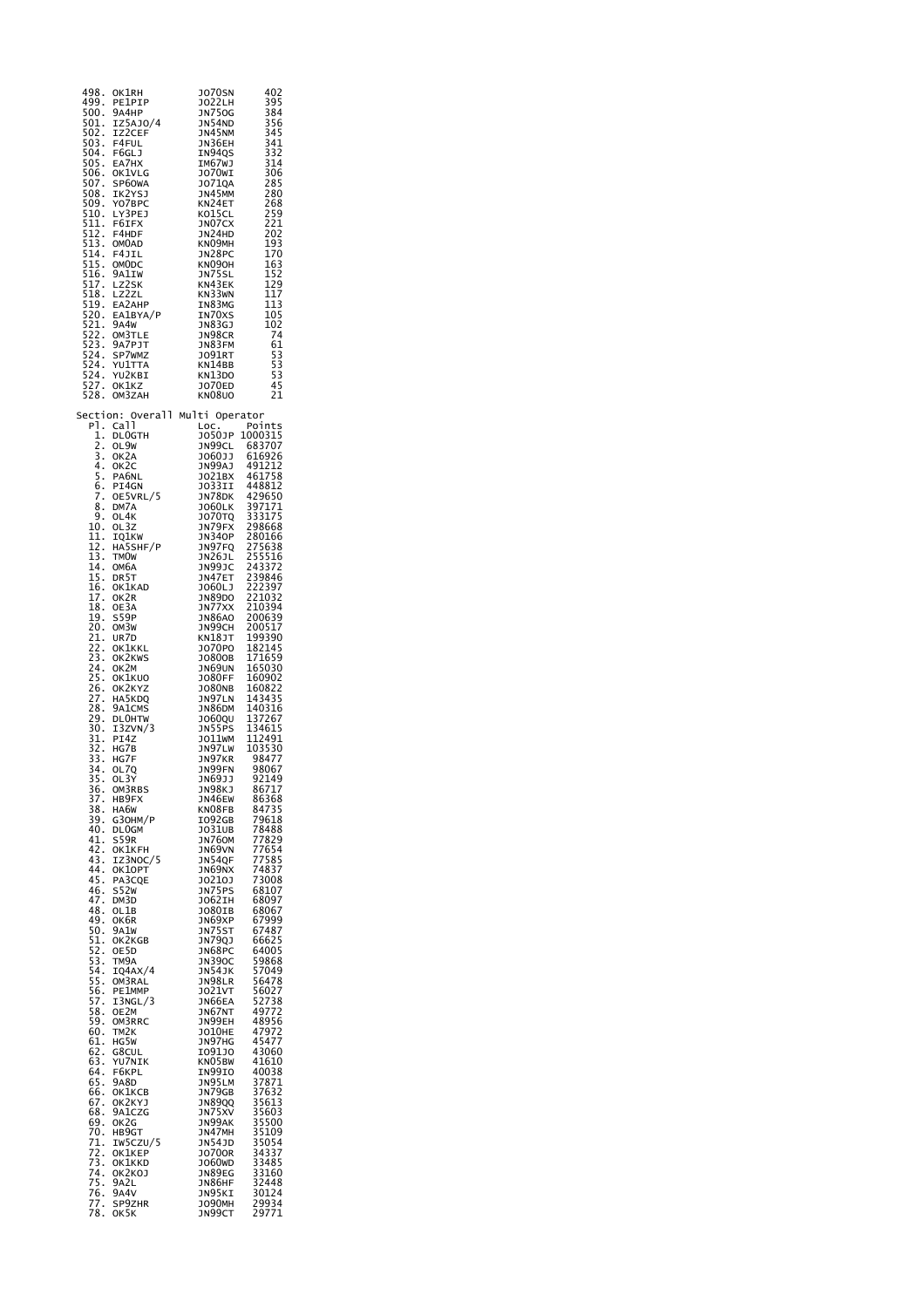| 498.<br>499.<br>500.<br>501.<br>502.<br>503.<br>504.<br>505.<br>506.<br>507.<br>508.<br>509.<br>510.<br>511.<br>512.<br>513.<br>514.<br>$\overline{515}$ .<br>516.<br>517.<br>518.<br>519.<br>520.<br>521.<br>522.<br>523.<br>524.<br>524.<br>524.<br>5<br>27<br>527.<br>528.                                                                                                                                                                                                                                                                                                                                                                            | OK1RH<br>PE1PIP<br>9а4нр<br>IZ5AJ0/4<br>IZ2CEF<br>F4FUL<br>F6GLJ<br>EA7HX<br>OKIVLG<br>SP60WA<br>IK2YSJ<br>Y07BPC<br>LY3PEJ<br>F6IFX<br>F4HDF<br>OM0AD<br>F4JIL<br>OMODC<br>9A1IW<br>LZ2SK<br>LZ2ZL<br>EA2AHP<br>EA1BYA/P<br>9A4W<br>OM3TLE<br>9A7PJT<br>SP7WMZ<br>YU1TTA<br>YU2KBI<br>OK1KZ<br>OM3ZAH                                                                                                                                                                                                                                                                                                                                                                                                                                                                                         | <b>JO70SN</b><br>J022LH<br><b>JN750G</b><br>JN54ND<br>JN45NM<br>JN36EH<br>IN94QS<br>IM67WJ<br>JO70WI<br>J071QA<br>JN45MM<br>KN24ET<br>KO15CL<br>JNO7CX<br>JN24HD<br>KNO9MH<br>JN28PC<br>KN090H<br>JN75SL<br>KN43EK<br>KN33WN<br>IN83MG<br>IN70XS<br>JN83GJ<br>JN98CR<br>JN83FM<br>JO91RT<br>KN14BB<br>KN13DO<br>J070ED<br>KN08U0                                                                                                                                                                                                                                                                                                                                                                                                                                                                                                                                                                                                   | 402<br>395<br>384<br>356<br>345<br>341<br>332<br>314<br>306<br>285<br>280<br>268<br>259<br>221<br>202<br>193<br>170<br>163<br>152<br>120<br>129<br>117<br>113<br>105<br>102<br>74<br>61<br>$\frac{53}{53}$<br>45<br>21                                                                                                                                                                                                                                                                                                                                                                                                                                                                                                                                                            |
|----------------------------------------------------------------------------------------------------------------------------------------------------------------------------------------------------------------------------------------------------------------------------------------------------------------------------------------------------------------------------------------------------------------------------------------------------------------------------------------------------------------------------------------------------------------------------------------------------------------------------------------------------------|------------------------------------------------------------------------------------------------------------------------------------------------------------------------------------------------------------------------------------------------------------------------------------------------------------------------------------------------------------------------------------------------------------------------------------------------------------------------------------------------------------------------------------------------------------------------------------------------------------------------------------------------------------------------------------------------------------------------------------------------------------------------------------------------|------------------------------------------------------------------------------------------------------------------------------------------------------------------------------------------------------------------------------------------------------------------------------------------------------------------------------------------------------------------------------------------------------------------------------------------------------------------------------------------------------------------------------------------------------------------------------------------------------------------------------------------------------------------------------------------------------------------------------------------------------------------------------------------------------------------------------------------------------------------------------------------------------------------------------------|-----------------------------------------------------------------------------------------------------------------------------------------------------------------------------------------------------------------------------------------------------------------------------------------------------------------------------------------------------------------------------------------------------------------------------------------------------------------------------------------------------------------------------------------------------------------------------------------------------------------------------------------------------------------------------------------------------------------------------------------------------------------------------------|
| Section:<br>P1.<br>1.<br>$\overline{2}$ .<br>3.<br>$\overline{4}$ .<br>5<br>$\cdot$<br>6.<br>7.<br>8<br>l,<br>9.<br>10.<br>11.<br>12.<br>13.<br>14.<br>15.<br>16.<br>17.<br>18.<br>19.<br>20.<br>21.<br>22.<br>23.<br>24.<br>25<br>26<br>27<br>27<br>28.<br>29.<br>30.<br>31.<br>32.<br>33.<br>34.<br>35.<br>36.<br>$\frac{37}{38}$ .<br>$\frac{39}{39}$ .<br>40.<br>41.<br>42.<br>43.<br>44.<br>45.<br>46.<br>47.<br>48.<br>49.<br>50.<br>51.<br>52.<br>53.<br>54.<br>55.<br>56.<br>57.<br>58.<br>59.<br>60.<br>61.<br>62.<br>63.<br>64.<br>65.<br>66.<br>$\frac{67}{100}$<br>68.<br>69.<br>70.<br>71.<br>72.<br>73.<br>74.<br>75.<br>76.<br>77.<br>78. | Overall<br>Call<br><b>DLOGTH</b><br>OL9W<br>OK2A<br>ок2с<br>PA6NL<br>PI4GN<br>OE5VRL/5<br>DM7A<br>OL4K<br>OL3Z<br>IQ1KW<br>HA5SHF/P<br>TMOW<br>ОМбА<br>DR5T<br>OK1KAD<br>OK2R<br>OE3A<br>S59P<br>OM3W<br>UR7D<br>OKIKKL<br>OK2KWS<br>OK2M<br>OK1KUO<br>OK2KYZ<br>HA5KDQ<br>9A1CMS<br><b>DLOHTW</b><br>I3ZVN/3<br>PI4Z<br>HG7B<br>HG7F<br>OL7Q<br>OL3Y<br>OM3RBS<br>HB9FX<br>HA6W<br>G30HM/P<br>DL0GM<br>S59R<br><b>OK1KFH</b><br>IZ3NOC/5<br>OK10PT<br>PA3CQE<br><b>S52W</b><br>DM3D<br>OL1B<br>ок6к<br>9A1W<br>OK2KGB<br>OE5D<br>TM <sub>9</sub> A<br>IQ4AX/4<br>OM3RAL<br>PE1MMP<br>I3NGL/3<br>OE2M<br>OM3RRC<br>TM2K<br>HG5W<br>G8CUL<br>YU7NIK<br>F6KPL<br>9A8D<br>OK1KCB<br>OK2KYJ<br>9A1CZG<br>OK2G<br>HB9GT<br>IW5CZU/5<br>OK1KEP<br>OK1KKD<br>OK2KOJ<br>9A2L<br>9A4V<br>SP9ZHR<br>OK5K | Multi<br>LOC.<br>J050JP<br><b>JN99CL</b><br>J060JJ<br>JN99AJ<br>J021BX<br>JO33II<br>JN78DK<br>3060LK<br><b>JO70TQ</b><br>JN79FX<br><b>JN340P</b><br>JN97FQ<br>JN26JL<br><b>JN99JC</b><br>JN47ET<br>J060LJ<br>JN89DO<br>JN77XX<br><b>JN86AO</b><br>JN99CH<br>KN18JT<br>J070P0<br>J0800B<br>JN69UN<br><b>JO80FF</b><br><b>JO80NB</b><br>JN97LN<br><b>JN86DM</b><br>J0600U<br>JN55PS<br>J011WM<br>JN97LW<br>JN97KR<br>JN99FN<br>JN69JJ<br>JN98KJ<br>JN46EW<br>KN08FB<br>I092GB<br>J031UB<br>JN76OM<br>JN69VN<br>JN54QF<br>JN69NX<br>J0210J<br>JN75PS<br>J062IH<br>J080IB<br>JN69XP<br>JN75ST<br>JN79QJ<br>JN68PC<br><b>JN390C</b><br><b>JN54JK</b><br>JN98LR<br><b>JO21VT</b><br>JN66EA<br>JN67NT<br>JN99EH<br>JO10HE<br><b>JN97HG</b><br>1091J0<br>KN05BW<br>IN99IO<br>JN95LM<br>JN79GB<br><b>JN89QQ</b><br>JN75XV<br>JN99AK<br>JN47MH<br><b>JN54JD</b><br><b>JO700R</b><br>J060WD<br>JN89EG<br>JN86HF<br>JN95KI<br>J090MH<br>JN99CT | Operator<br>Points<br>1000315<br>683707<br>616926<br>491212<br>461758<br>448812<br>429650<br>397171<br>333175<br>298668<br>280166<br>275638<br>255516<br>243372<br>239846<br>222397<br>221032<br>210394<br>200639<br>200517<br>199390<br>182145<br>171659<br>165030<br>160902<br>160822<br>143435<br>140316<br>137267<br>134615<br>112491<br>103530<br>98477<br>98067<br>92149<br>86717<br>86368<br>84735<br>79618<br>78488<br>77829<br>77654<br>77585<br>74837<br>73008<br>68107<br>68097<br>68067<br>67999<br>67487<br>66625<br>64005<br>59868<br>57049<br>56478<br>56027<br>52738<br>49772<br>48956<br>47972<br>45477<br>43060<br>41610<br>40038<br>37871<br>37632<br>35613<br>35603<br>35500<br>35109<br>35054<br>34337<br>33485<br>33160<br>32448<br>30124<br>29934<br>29771 |